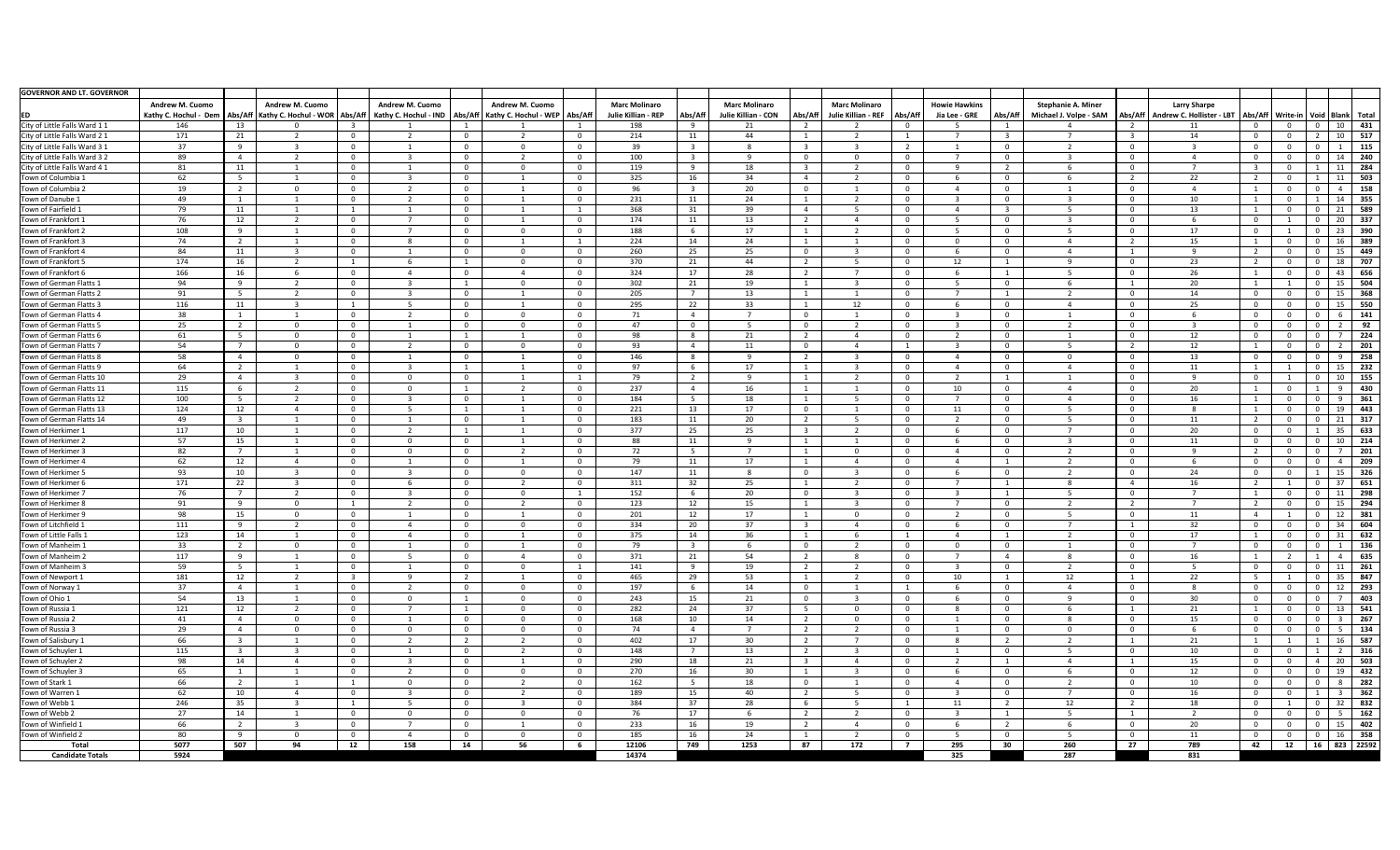| <b>GOVERNOR AND LT. GOVERNOR</b> |                                                   |                |                                                                                                                                         |                         |                        |                                  |                         |                |                                             |          |                                             |                            |                                                       |                |                                       |                         |                                                     |                |                                                  |                                        |           |                |                |                                                                                                |
|----------------------------------|---------------------------------------------------|----------------|-----------------------------------------------------------------------------------------------------------------------------------------|-------------------------|------------------------|----------------------------------|-------------------------|----------------|---------------------------------------------|----------|---------------------------------------------|----------------------------|-------------------------------------------------------|----------------|---------------------------------------|-------------------------|-----------------------------------------------------|----------------|--------------------------------------------------|----------------------------------------|-----------|----------------|----------------|------------------------------------------------------------------------------------------------|
|                                  | <b>Andrew M. Cuomo</b><br>  Kathy C. Hochul - Dem |                | <b>Andrew M. Cuomo</b><br>Abs/Aff   Kathy C. Hochul - WOR   Abs/Aff   Kathy C. Hochul - IND   Abs/Aff   Kathy C. Hochul - WEP   Abs/Aff |                         | <b>Andrew M. Cuomo</b> |                                  | <b>Andrew M. Cuomo</b>  |                | <b>Marc Molinaro</b><br>Julie Killian - REP | Abs/Aff  | <b>Marc Molinaro</b><br>Julie Killian - CON | Abs/Aff                    | <b>Marc Molinaro</b><br>Julie Killian - REF   Abs/Aff |                | <b>Howie Hawkins</b><br>Jia Lee - GRE | Abs/Aff                 | <b>Stephanie A. Miner</b><br>Michael J. Volpe - SAM | Abs/Aff        | <b>Larry Sharpe</b><br>Andrew C. Hollister - LBT |                                        |           |                |                | Abs/Aff   Write-in   Void   Blank   Total                                                      |
| City of Little Falls Ward 11     | 146                                               | 13             |                                                                                                                                         |                         |                        |                                  |                         |                | 198                                         |          | 21                                          |                            |                                                       |                |                                       |                         |                                                     |                | 11                                               | - 0                                    |           |                | 10             | 431                                                                                            |
| City of Little Falls Ward 2 1    | 171                                               | 21             |                                                                                                                                         | $\Omega$                |                        | $\mathbf{0}$                     |                         | $\mathbf{0}$   | 214                                         |          | 44                                          |                            |                                                       |                |                                       | $\overline{3}$          |                                                     |                | 14                                               | - 0                                    |           |                | 10             | 517                                                                                            |
| City of Little Falls Ward 3 1    | -37                                               |                |                                                                                                                                         |                         |                        | $\mathbf{0}$                     |                         | റ              | 39                                          |          |                                             |                            |                                                       |                |                                       |                         |                                                     |                |                                                  | - 0                                    |           |                |                | 115                                                                                            |
| City of Little Falls Ward 3 2    | 89                                                |                |                                                                                                                                         | $\overline{0}$          |                        | $\mathbf{0}$                     |                         | $\overline{0}$ | 100                                         |          | $\Omega$                                    | $\overline{0}$             | റ                                                     |                |                                       | $\overline{0}$          |                                                     | $\Omega$       |                                                  | - 0                                    |           | $\Omega$       | 14             | 240                                                                                            |
| City of Little Falls Ward 4 1    | 81                                                | 11             |                                                                                                                                         | - 0                     |                        | $\mathbf{0}$                     | റ                       | $\Omega$       | 119                                         | - 9      | 18                                          | -3-                        |                                                       |                |                                       | $\overline{2}$          |                                                     |                |                                                  |                                        |           |                | -11            | 284                                                                                            |
| Town of Columbia 1               | 62                                                |                |                                                                                                                                         | $\Omega$                |                        | $\mathbf{0}$                     |                         | $\Omega$       | 325                                         | 16       | 34                                          | $\overline{4}$             |                                                       |                |                                       |                         |                                                     |                | 22                                               |                                        |           |                | -11            | 503                                                                                            |
| Town of Columbia 2               | 19                                                |                |                                                                                                                                         | $\Omega$                |                        | $\mathbf{0}$                     |                         | $\overline{0}$ | 96                                          |          | 20                                          | - 0                        |                                                       |                |                                       | $\overline{0}$          |                                                     |                |                                                  |                                        |           | $\cap$         |                | 158                                                                                            |
| Town of Danube 1                 | 49                                                |                |                                                                                                                                         | $\Omega$                |                        | $\mathbf{0}$                     |                         | $\mathbf{0}$   | 231                                         |          | 24                                          |                            |                                                       |                |                                       | $\Omega$                |                                                     |                | 10                                               |                                        |           |                | 14             | 355                                                                                            |
| Town of Fairfield 1              | 79                                                | 11             |                                                                                                                                         |                         |                        | $\overline{0}$                   |                         |                | 368                                         | 31       | 39                                          |                            |                                                       |                |                                       | $\overline{\mathbf{3}}$ |                                                     |                | 13                                               |                                        |           | $\Omega$       | 21             | 589                                                                                            |
| Town of Frankfort 1              | 76                                                | 12             |                                                                                                                                         | $\Omega$                |                        | $\mathbf{0}$                     |                         | $\Omega$       | 174                                         | 11       | 13                                          |                            |                                                       |                |                                       | $\Omega$                |                                                     |                |                                                  | - 0                                    |           | റ              | 20             | 337                                                                                            |
| Town of Frankfort 2              | 108                                               |                |                                                                                                                                         | $\overline{0}$          |                        | $\mathbf{0}$                     | $\cap$                  | $\overline{0}$ | 188                                         | - 6      | 17                                          |                            |                                                       |                |                                       | $\mathbf 0$             |                                                     |                | 17                                               | $\overline{0}$                         |           | $\overline{0}$ | 23             | 390                                                                                            |
| Town of Frankfort 3              | 74                                                | $\overline{2}$ |                                                                                                                                         | $\Omega$                |                        | $\overline{0}$                   |                         |                | 224                                         | 14       | 24                                          |                            |                                                       |                |                                       | $\overline{0}$          |                                                     |                | 15                                               |                                        |           | $\Omega$       | -16            | 389                                                                                            |
| Town of Frankfort 4              | 84                                                | 11             | - 2                                                                                                                                     | $\overline{0}$          |                        | $\mathbf{0}$                     | <u>n</u>                | $\mathbf{0}$   | 260                                         | 25       | 25                                          | $\Omega$                   |                                                       |                |                                       | $\overline{0}$          |                                                     |                | വ                                                | $\overline{\phantom{0}}$               |           | $\Omega$       | 15             | 449                                                                                            |
| Town of Frankfort 5              | 174                                               | 16             | 2                                                                                                                                       | $\overline{1}$          |                        |                                  | $\Omega$                | $\overline{0}$ | 370                                         | 21       | 44                                          | $\overline{2}$             |                                                       |                | 12                                    |                         |                                                     |                | 23                                               |                                        |           | $\Omega$       | 18             | 707                                                                                            |
| Town of Frankfort 6              | 166                                               | 16             |                                                                                                                                         | $\Omega$                |                        |                                  |                         | $\Omega$       |                                             | 17       | 28                                          |                            |                                                       |                |                                       |                         |                                                     |                | 26                                               |                                        |           | $\cap$         | -43            | 656                                                                                            |
| Town of German Flatts 1          | 94                                                |                |                                                                                                                                         | $\Omega$                |                        | $\overline{0}$                   | $\Omega$                | $\overline{0}$ | 324<br>302                                  |          | 19                                          |                            |                                                       |                |                                       | $\Omega$                |                                                     |                | 20                                               |                                        |           | റ              | 15             | 504                                                                                            |
| Town of German Flatts 2          | 91                                                |                |                                                                                                                                         |                         |                        |                                  |                         | $\overline{0}$ | 205                                         | 21       | 13                                          |                            |                                                       |                |                                       | $\overline{\mathbf{1}}$ |                                                     |                | 14                                               | $\overline{0}$                         |           | $\Omega$       | 15             | 368                                                                                            |
| Town of German Flatts 3          | 116                                               |                |                                                                                                                                         | $\overline{0}$<br>1     |                        | $\mathbf{0}$                     |                         | $\mathbf{0}$   | 295                                         | 22       | 33                                          |                            | 12                                                    |                |                                       | $\overline{0}$          |                                                     |                | 25                                               | - 0                                    |           | $\Omega$       |                | 550                                                                                            |
| Town of German Flatts 4          | 38                                                | 11             |                                                                                                                                         | $\Omega$                |                        | $\mathbf{0}$                     | റ                       | $\Omega$       |                                             |          | $\overline{ }$                              | $\Omega$                   |                                                       |                |                                       |                         |                                                     |                |                                                  | - 0                                    |           | $\Omega$       | 15             |                                                                                                |
|                                  |                                                   |                |                                                                                                                                         |                         |                        | $\overline{0}$                   | $\cap$                  |                | 71                                          |          |                                             |                            |                                                       |                |                                       |                         |                                                     |                |                                                  | $\Omega$                               |           | $\Omega$       |                | 141                                                                                            |
| Town of German Flatts 5          | 25                                                |                |                                                                                                                                         | $\overline{0}$          |                        | $\overline{0}$                   |                         | $\overline{0}$ | 47                                          | $\Omega$ |                                             | $\overline{0}$             |                                                       |                |                                       | $\overline{0}$          |                                                     | $\Omega$       |                                                  |                                        |           | $\Omega$       |                | 92<br>224                                                                                      |
| Town of German Flatts 6          | 61                                                |                |                                                                                                                                         | $\overline{0}$          |                        |                                  | _ റ                     | $\overline{0}$ | 98                                          | -8       | 21                                          | $\overline{2}$<br>$\Omega$ |                                                       |                |                                       | $\mathbf 0$             |                                                     |                | 12                                               | $\overline{\mathbf{0}}$                |           | $\Omega$       |                |                                                                                                |
| Town of German Flatts 7          | 54<br>58                                          |                |                                                                                                                                         | $\overline{0}$          |                        | $\overline{0}$                   |                         | $\mathbf{0}$   | 93                                          |          | 11<br>$\Omega$                              |                            |                                                       |                |                                       | $\overline{0}$          | - 0                                                 |                | 12                                               | - 0                                    |           | $\Omega$       | <b>Q</b>       | 201                                                                                            |
| Town of German Flatts 8          |                                                   |                |                                                                                                                                         | $\Omega$                |                        | $\overline{0}$                   |                         | $\Omega$       | 146                                         |          |                                             |                            |                                                       |                |                                       | $\Omega$                |                                                     |                | 13                                               |                                        |           | $\Omega$       |                | 258                                                                                            |
| Town of German Flatts 9          | 64                                                |                |                                                                                                                                         | $\overline{0}$          |                        |                                  |                         | $\Omega$       | 97                                          |          | 17<br><b>Q</b>                              |                            |                                                       |                |                                       | $\Omega$                |                                                     |                | 11<br>വ                                          |                                        |           | $\Omega$       | -15            | 232                                                                                            |
| Town of German Flatts 10         | 29                                                |                |                                                                                                                                         | $\overline{0}$          |                        | $\mathbf{0}$                     |                         |                | 79                                          |          |                                             |                            |                                                       |                |                                       |                         |                                                     |                |                                                  | $\overline{0}$                         |           |                | 10<br><b>Q</b> | 155                                                                                            |
| Town of German Flatts 11         | 115                                               |                | 2                                                                                                                                       | $\overline{0}$          | $\Omega$               |                                  |                         | $\overline{0}$ | 237                                         |          | 16                                          |                            |                                                       |                | 10                                    | 0                       |                                                     |                | 20                                               |                                        |           |                |                | 430                                                                                            |
| Town of German Flatts 12         | 100                                               |                | $\overline{A}$                                                                                                                          | $\Omega$                |                        | $\overline{0}$<br>$\blacksquare$ |                         | $\Omega$       | 184                                         |          | 18                                          |                            | $\sim$ 1                                              |                |                                       | $\Omega$                |                                                     | $\Omega$       | 16<br>$\circ$                                    | $\blacksquare$                         | $\bigcap$ | $\Omega$       | - 9            | 361                                                                                            |
| Town of German Flatts 13         | 124                                               | 12             |                                                                                                                                         | $\overline{0}$          |                        |                                  |                         | $\overline{0}$ | 221                                         | 13       | 17                                          | $\overline{0}$             |                                                       |                | 11                                    | $\mathbf 0$             |                                                     |                |                                                  |                                        |           |                |                | $\begin{array}{ c c c c c c } \hline \rule{0pt}{1em} 0 & 19 & \textbf{443} \hline \end{array}$ |
| Town of German Flatts 14         | 49                                                |                |                                                                                                                                         | $\Omega$                |                        | $\mathbf{0}$                     |                         | $\overline{0}$ | 183                                         | 11       | 20                                          |                            |                                                       |                |                                       | $\overline{0}$          |                                                     |                | 11                                               | $\overline{\phantom{0}}$               |           |                | -21            | 317                                                                                            |
| Town of Herkimer 1               | 117                                               | 10             |                                                                                                                                         | $\overline{0}$          |                        |                                  |                         | $\overline{0}$ | 377                                         | 25       | 25                                          | -3-                        |                                                       |                |                                       | $\overline{0}$          |                                                     | $\Omega$       | 20                                               | - 0                                    |           |                | 35             | 633                                                                                            |
| Town of Herkimer 2               | 57                                                | 15             |                                                                                                                                         | $\Omega$                |                        | - 0                              |                         | $\Omega$       | 88                                          | 11       | െ<br>$\overline{ }$                         |                            |                                                       |                |                                       | $\Omega$                |                                                     |                | 11                                               | - 0                                    |           | $\Omega$       | 10             | 214                                                                                            |
| Town of Herkimer 3               | 82                                                |                |                                                                                                                                         | $\Omega$                |                        | $\mathbf{0}$                     |                         | $\Omega$       | 72                                          | -5       |                                             |                            | $\Omega$                                              |                |                                       |                         |                                                     |                |                                                  |                                        |           | $\Omega$       |                | 201                                                                                            |
| Town of Herkimer 4               | 62                                                | 12             |                                                                                                                                         | $\overline{0}$          |                        | $\overline{0}$                   |                         | $\overline{0}$ | 79                                          | 11       | 17                                          |                            |                                                       |                |                                       | $\mathbf{1}$            |                                                     |                |                                                  | $\overline{0}$                         |           | $\cap$         |                | 209                                                                                            |
| Town of Herkimer 5               | 93                                                | 10             |                                                                                                                                         | $\Omega$                |                        | $\overline{0}$                   | റ                       | $\overline{0}$ | 147                                         | 11       | $\mathbf{R}$                                | $\cap$                     |                                                       |                |                                       | $\Omega$                |                                                     | $\Omega$       | 24                                               | $\Omega$                               |           |                |                | 326                                                                                            |
| Town of Herkimer 6               | 171                                               | 22             |                                                                                                                                         | $\Omega$                |                        | $\mathbf{0}$                     |                         | $\overline{0}$ | 311                                         | 32       | 25                                          |                            |                                                       |                |                                       | $\blacksquare$          |                                                     |                | 16                                               |                                        |           | റ              | -37            | 651                                                                                            |
| Town of Herkimer 7               | 76                                                |                |                                                                                                                                         |                         |                        | $\mathbf{0}$                     |                         |                | 152                                         |          | 20                                          | $\cap$                     |                                                       |                |                                       |                         |                                                     |                |                                                  |                                        |           |                |                | 298                                                                                            |
| Town of Herkimer 8               | 91                                                |                |                                                                                                                                         | 1                       |                        | $\overline{0}$                   |                         | $\overline{0}$ | 123                                         | 12       | 15                                          |                            |                                                       |                |                                       | $\overline{0}$          |                                                     |                |                                                  |                                        |           | $\Omega$       | -15            | 294                                                                                            |
| Town of Herkimer 9               | 98                                                | 15             |                                                                                                                                         | $\Omega$                |                        | $\mathbf{0}$                     |                         | $\Omega$       | 201                                         | 12       | 17                                          |                            | $\Omega$                                              |                |                                       | $\Omega$                |                                                     |                | 11                                               | 4                                      |           | $\Omega$       | - 1 ገ          | 381                                                                                            |
| Town of Litchfield 1             | 111                                               |                |                                                                                                                                         | $\Omega$                |                        | $\mathbf{0}$                     | റ                       | $\overline{0}$ | 334                                         | 20       | 37                                          | -3                         |                                                       |                |                                       | 0                       |                                                     |                | 32                                               | - 0                                    |           | $\Omega$       | 34             | 604                                                                                            |
| Town of Little Falls 1           | 123                                               | 14             |                                                                                                                                         | $\Omega$                |                        | $\overline{0}$                   |                         | $\overline{0}$ | 375                                         | 14       | 36                                          |                            |                                                       |                |                                       |                         |                                                     |                | 17                                               |                                        |           |                |                | 632                                                                                            |
| Town of Manheim 1                | 33                                                |                |                                                                                                                                         | $\Omega$                |                        | $\mathbf{0}$                     |                         | $\mathbf{0}$   | 79                                          |          |                                             | $\Omega$<br>ົາ             |                                                       |                |                                       |                         |                                                     |                | $\overline{z}$                                   | - റ                                    |           |                |                | 136                                                                                            |
| Town of Manheim 2                | 117                                               |                |                                                                                                                                         | $\Omega$                |                        | $\overline{0}$                   |                         | $\overline{0}$ | 371                                         | 21       | 54                                          |                            |                                                       |                |                                       | $\overline{4}$          |                                                     |                | 16                                               |                                        |           |                |                | 635                                                                                            |
| Town of Manheim 3                | 59                                                |                |                                                                                                                                         | $\Omega$                |                        | $\mathbf{0}$                     |                         |                | 141                                         | - q      | 19                                          |                            |                                                       |                |                                       | $\Omega$                |                                                     |                |                                                  | - 0                                    |           |                |                | 261                                                                                            |
| Town of Newport :                | 181                                               | 12             |                                                                                                                                         | $\mathbf{3}$            |                        | $\overline{2}$                   | റ                       | $\overline{0}$ | 465                                         | 29       | 53                                          |                            |                                                       |                | 10                                    | $\overline{1}$          | 12                                                  |                | 22                                               |                                        |           | റ              | -35            | 847                                                                                            |
| Town of Norway :                 | 37                                                |                |                                                                                                                                         | 0                       |                        | $\overline{0}$                   |                         | $\Omega$       | 197                                         |          | 14                                          | $\Omega$                   |                                                       |                |                                       | $\Omega$                | - 0                                                 |                |                                                  | - 0                                    |           |                |                | 293                                                                                            |
| Town of Ohio 1                   | 54                                                | 13             |                                                                                                                                         | $\Omega$                |                        |                                  | $\cap$                  | $\overline{0}$ | 243                                         | 15       | 21                                          | $\Omega$                   |                                                       |                |                                       | $\overline{0}$          |                                                     |                | 30                                               | - 0                                    |           |                |                | 403                                                                                            |
| Town of Russia 1                 | 121                                               | 12             |                                                                                                                                         | $\Omega$                |                        |                                  | റ                       | $\overline{0}$ | 282                                         | 24       | 37                                          | $-5$                       | $\Omega$                                              |                |                                       | $\Omega$                |                                                     |                | 21                                               |                                        |           |                | - 13           | 541                                                                                            |
| Town of Russia 2                 | 41                                                |                |                                                                                                                                         |                         |                        | $\mathbf{0}$                     | റ                       | $\mathbf{0}$   | 168                                         | 10       | 14<br>$\overline{7}$                        | $\mathcal{D}$              | റ                                                     |                |                                       |                         |                                                     |                | 15                                               | - 0                                    |           | $\Omega$       |                | 267                                                                                            |
| Town of Russia 3                 | 29                                                |                |                                                                                                                                         | $\Omega$                |                        | $\mathbf{0}$                     | $\cap$                  | $\mathbf{0}$   | 74                                          | -4       |                                             | $\mathcal{D}$              |                                                       |                |                                       | - 0                     |                                                     |                |                                                  | - റ                                    |           | . റ            |                | 134                                                                                            |
| Town of Salisbury 1              | 66                                                |                |                                                                                                                                         | $\overline{0}$          |                        | $\overline{2}$                   |                         | $\overline{0}$ | 402                                         | 17       | 30 <sup>°</sup>                             |                            |                                                       |                |                                       | $\overline{2}$          |                                                     |                | 21                                               |                                        |           |                | -16            | 587                                                                                            |
| Town of Schuyler 1               | 115                                               |                |                                                                                                                                         | $\Omega$                |                        | $\mathbf{0}$                     |                         | $\mathbf{0}$   | 148                                         |          | 13                                          |                            |                                                       |                |                                       | $\overline{0}$          |                                                     |                | 10                                               | - റ                                    |           |                |                | 316                                                                                            |
| Town of Schuyler 2               | 98                                                | 14             |                                                                                                                                         |                         |                        | $\overline{0}$                   |                         | $\Omega$       | 290                                         | 18       | 21                                          |                            |                                                       |                |                                       |                         |                                                     |                | 15                                               |                                        |           |                | 20             | 503                                                                                            |
| Town of Schuyler 3               | 65                                                |                |                                                                                                                                         | $\Omega$                |                        | $\overline{0}$                   | റ                       | $\overline{0}$ | 270                                         | 16       | 30 <sup>°</sup>                             |                            |                                                       |                |                                       |                         |                                                     |                | 12                                               | - 0                                    |           |                | 19             | 432                                                                                            |
| Town of Stark 1                  | 66                                                |                |                                                                                                                                         |                         | $\Omega$               | $\mathbf{0}$                     |                         | $\overline{0}$ | 162                                         | 5        | 18                                          | - 0                        |                                                       |                |                                       | $\Omega$                |                                                     | $\Omega$       | 10                                               | - 0                                    |           | റ              | - 8            | 282                                                                                            |
| Town of Warren 1                 | 62                                                | 10             |                                                                                                                                         | $\Omega$                |                        | $\overline{0}$                   |                         | $\Omega$       | 189                                         | 15       | 40                                          | 2                          |                                                       |                |                                       | $\Omega$                |                                                     |                | 16                                               | - 0                                    |           |                |                | 362                                                                                            |
| Town of Webb :                   | 246                                               | 35             |                                                                                                                                         |                         |                        | $\overline{0}$                   |                         | $\Omega$       | 384                                         | 37       | 28                                          | -6                         |                                                       |                | 11                                    | $\overline{2}$          | 12                                                  |                | 18                                               | - 0                                    |           | $\cap$         | -32            | 832                                                                                            |
| Town of Webb 2                   | 27                                                | 14             |                                                                                                                                         | $\Omega$                |                        | $\mathbf{0}$                     |                         | - 0            | 76                                          | 17       |                                             |                            |                                                       |                |                                       | -1                      |                                                     |                |                                                  | - 0                                    |           | റ              |                | 162                                                                                            |
| Town of Winfield 1               | 66                                                |                |                                                                                                                                         | $\Omega$                |                        | $\mathbf{0}$                     |                         | $\mathbf{0}$   | 233                                         | 16       | 19                                          |                            |                                                       |                |                                       | $\overline{2}$          |                                                     |                | 20                                               | - 0                                    |           | $\Omega$       | 15             | 402                                                                                            |
| Town of Winfield 2               | 80                                                | 9              | $\overline{\mathbf{0}}$                                                                                                                 | $\overline{\mathbf{0}}$ | $\overline{4}$         | $\overline{\mathbf{0}}$          | $\overline{\mathbf{0}}$ | $\overline{0}$ | 185                                         | 16       | 24                                          | $\overline{1}$             | $\overline{2}$                                        | $\overline{0}$ | 5 <sub>5</sub>                        | $\overline{\mathbf{0}}$ | 5 <sub>5</sub>                                      | $\overline{0}$ | 11                                               | $\begin{array}{ccc} & 0 & \end{array}$ |           |                |                | 0 0 16 358<br>12 16 823 22592                                                                  |
| Total                            | 5077                                              | 507            | 94                                                                                                                                      | 12                      | 158                    | 14                               | 56                      | 6              | 12106                                       | 749      | 1253                                        | 87                         | 172                                                   | $\overline{7}$ | 295                                   | 30                      | 260                                                 | 27             | 789                                              | 42                                     |           |                |                |                                                                                                |
| <b>Candidate Totals</b>          | 5924                                              |                |                                                                                                                                         |                         |                        |                                  |                         |                | 14374                                       |          |                                             |                            |                                                       |                | 325                                   |                         | 287                                                 |                | 831                                              |                                        |           |                |                |                                                                                                |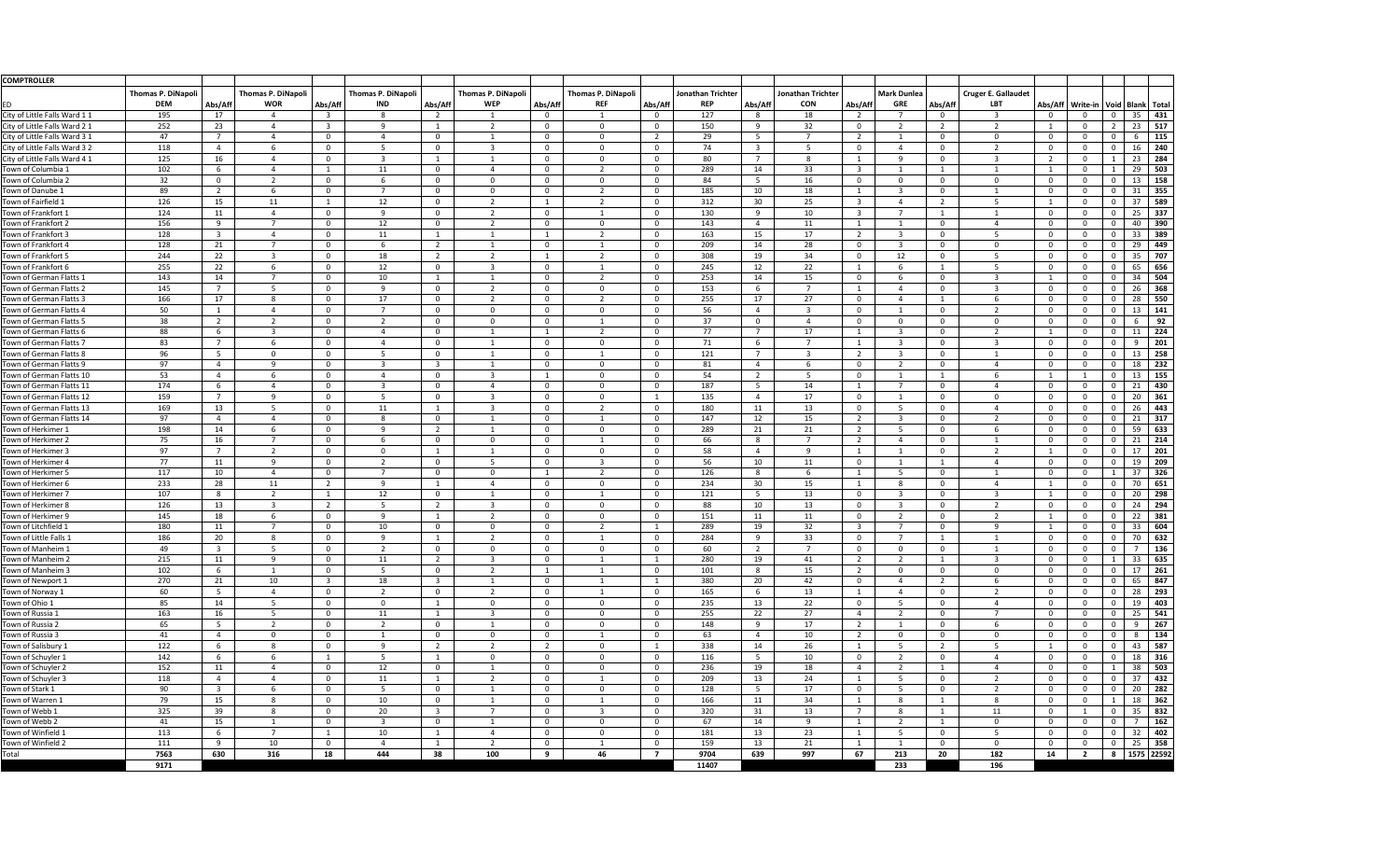| <b>COMPTROLLER</b>                                   |                           |                         |                                |                         |                           |                |                           |                      |                                  |                      |                          |                                  |                      |                |                    |                |                            |          |                                              |          |                        |
|------------------------------------------------------|---------------------------|-------------------------|--------------------------------|-------------------------|---------------------------|----------------|---------------------------|----------------------|----------------------------------|----------------------|--------------------------|----------------------------------|----------------------|----------------|--------------------|----------------|----------------------------|----------|----------------------------------------------|----------|------------------------|
|                                                      | <b>Thomas P. DiNapoli</b> |                         | <b>Thomas P. DiNapoli</b>      |                         | <b>Thomas P. DiNapoli</b> |                | <b>Thomas P. DiNapoli</b> |                      | <b>Thomas P. DiNapoli</b>        |                      | <b>Jonathan Trichter</b> |                                  | Jonathan Trichter    |                | <b>Mark Dunlea</b> |                | <b>Cruger E. Gallaudet</b> |          |                                              |          |                        |
| D                                                    | <b>DEM</b>                | Abs/Aff                 | <b>WOR</b>                     | Abs/Aft                 | <b>IND</b>                | Abs/Aff        | <b>WEP</b>                | Abs/Aff              | <b>REF</b>                       | Abs/Aff              | <b>REP</b>               | Abs/Aff                          | <b>CON</b>           | Abs/Aff        | <b>GRE</b>         | Abs/Aff        | <b>LBT</b>                 |          | Abs/Aff   Write-in   Void   Blank   Total    |          |                        |
| City of Little Falls Ward 11                         | 195                       | 17                      | $\overline{4}$                 | -3                      | 8                         | 2              |                           | $\Omega$             |                                  | $\Omega$             | 127                      | 8                                | 18                   | <u>າ</u>       |                    | $\Omega$       | $\overline{3}$             |          | $\mathbf{0}$<br>$\Omega$                     |          | 35<br>431              |
| City of Little Falls Ward 2 1                        | 252                       | 23                      | $\boldsymbol{\Lambda}$         | -3                      | 9                         |                | $\mathcal{D}$             | $\Omega$             | $\mathbf 0$                      | - 0                  | 150                      | -9                               | 32                   | - 0            | ຳ                  | $\overline{2}$ | $\overline{\phantom{a}}$   |          | $\overline{2}$<br>$\Omega$                   |          | 517<br>23              |
| City of Little Falls Ward 3 1                        | 47                        | 7                       | $\overline{4}$                 | $\Omega$                | $\overline{4}$            | $\Omega$       |                           | $\Omega$             | $\mathbf 0$                      |                      | 29                       | -5                               |                      |                |                    |                | $\cap$                     |          | $\Omega$<br>$\Omega$                         |          | 115                    |
| City of Little Falls Ward 3 2                        | 118                       | $\overline{4}$          | 6                              | $\mathbf 0$             | 5                         | $\mathbf{0}$   | 3                         | $\Omega$             | $\mathbf 0$                      | $\Omega$             | 74                       | $\overline{\mathbf{3}}$          | -5                   | $\Omega$       |                    | $\theta$       | ຳ                          | - 0      | $\overline{0}$<br>$\Omega$                   | 16       | 240                    |
| City of Little Falls Ward 4 1                        | 125                       | 16                      | $\boldsymbol{\varLambda}$      | 0                       | $\overline{3}$            |                |                           | $\Omega$             | $\mathbf 0$                      | $\Omega$             | 80                       | $\overline{7}$                   | 8                    |                | q                  |                | $\mathbf{R}$               |          | $\Omega$                                     |          | 284<br>23              |
| Town of Columbia 1                                   | 102                       | 6                       |                                |                         | 11                        | $\overline{0}$ |                           | $\Omega$             | $\overline{2}$                   | $\Omega$             | 289                      | 14                               | 33                   |                |                    |                |                            |          | $\overline{0}$                               |          | 503<br>29              |
| Town of Columbia 2                                   | 32                        | $\overline{0}$          | ຳ                              | $\overline{0}$          | 6                         | $\Omega$       | $\Omega$                  | $\Omega$             | $\Omega$                         |                      | 84                       | 5 <sup>5</sup>                   | 16                   | $\cap$         | $\Omega$           |                | $\Omega$                   |          | $\Omega$<br>$\Omega$                         |          | 158<br>13              |
| Town of Danube 1                                     | 89                        | 2                       |                                | - 0                     |                           | $\Omega$       | $\Omega$                  | $\Omega$             | ຳ                                |                      | 185                      | 10                               | 18                   |                | -3                 |                |                            |          | $\Omega$                                     | 31       | 355                    |
| Town of Fairfield 1                                  | 126                       | 15                      | 11                             | 1                       | 12                        | $\Omega$       | ຳ                         |                      | ຳ                                | $\Omega$             | 312                      | 30 <sup>°</sup>                  | 25                   | -3             |                    | -2             |                            |          | $\Omega$<br>$\Omega$                         | 37       | 589                    |
| Town of Frankfort 1                                  | 124                       | 11                      |                                | $\Omega$                | 9                         | $\mathbf{0}$   | ຳ                         | $\Omega$             |                                  |                      | 130                      | 9                                | 10                   | $\mathbf{R}$   |                    |                |                            |          | $\Omega$                                     |          | 337<br>25              |
| Town of Frankfort 2                                  | 156                       | 9                       |                                | $\Omega$                | 12                        | $\mathbf{0}$   | ຳ                         | $\Omega$             | $\Omega$                         | $\Omega$             | 143                      | $\overline{4}$                   | 11                   |                |                    |                |                            |          | $\Omega$<br>$\Omega$                         |          | 390<br>40              |
| Town of Frankfort 3                                  | 128                       | $\overline{\mathbf{3}}$ |                                | -0                      |                           |                |                           |                      | ຳ                                |                      | 163                      | 15                               | 17                   | $\mathcal{D}$  | -3                 |                | 5                          |          | $\Omega$<br>$\Omega$                         |          | 389<br>33 <sup>2</sup> |
| Town of Frankfort 4                                  | 128                       |                         |                                | $\Omega$                | 11<br>6                   | $\overline{2}$ |                           | $\Omega$             |                                  |                      | 209                      | 14                               | 28                   | - 0            | -3                 |                | $\Omega$                   |          | - 0<br>$\Omega$                              | 29       | 449                    |
| Town of Frankfort 5                                  | 244                       | 21<br>22                | $\overline{3}$                 | $\Omega$                | 18                        | $\overline{2}$ | ຳ                         |                      | ຳ                                | $\Omega$             | 308                      | 19                               | 34                   | $\Omega$       | 12                 | $\theta$       |                            | - 0      | $\overline{0}$<br>$\Omega$                   |          | 707<br>35              |
| Town of Frankfort 6                                  |                           |                         |                                |                         |                           |                | -3                        | $\Omega$             |                                  |                      |                          |                                  |                      |                |                    |                | -5                         |          | $\Omega$                                     |          | 656                    |
|                                                      | 255                       | 22                      | 6<br>$\overline{7}$            | $\Omega$                | 12                        | $\mathbf{0}$   |                           |                      |                                  |                      | 245                      | 12                               | 22                   |                | -6                 |                |                            |          |                                              |          | 65                     |
| Town of German Flatts 1<br>Town of German Flatts 2   | 143                       | 14<br>$\overline{7}$    |                                | $\overline{0}$          | 10                        | $\mathbf{0}$   | 2                         | $\Omega$<br>$\Omega$ | $\overline{2}$                   | $\Omega$<br>$\Omega$ | 253                      | 14                               | 15<br>$\overline{7}$ | $\Omega$       | -6                 | 0              | -3<br>્વ                   |          | $\Omega$<br>$\Omega$<br>$\Omega$<br>$\Omega$ |          | 504<br>34<br>368<br>26 |
| Town of German Flatts 3                              | 145<br>166                | 17                      | 5                              | -0<br>$\Omega$          | 9<br>17                   | $\mathbf{0}$   | 2                         | $\Omega$             | $\overline{0}$<br>$\overline{2}$ | $\Omega$             | 153<br>255               | 6<br>17                          | 27                   | <u>n</u>       |                    | 0              | 6                          | $\Omega$ | $\mathbf{0}$<br>- 0                          |          | 550<br>28              |
| Town of German Flatts 4                              | 50                        |                         | 8<br>$\boldsymbol{\varLambda}$ | $\Omega$                | $\overline{7}$            | $\Omega$       | $\overline{0}$            | $\Omega$             | $\mathbf 0$                      | - റ                  | 56                       | $\overline{4}$                   | ્ર                   | - 0            |                    | 0              | $\overline{2}$             | - 0      | $\Omega$<br>$\Omega$                         |          | 13<br>141              |
| Town of German Flatts 5                              | 38                        | $\overline{2}$          | $\overline{2}$                 | $\Omega$                | $\overline{2}$            | $\Omega$       | $\Omega$                  | $\Omega$             |                                  | $\Omega$             | 37                       | $\overline{0}$                   |                      | - റ            | $\mathbf{0}$       | 0              | $\Omega$                   |          | $\Omega$<br>$\Omega$                         |          | 92                     |
| Town of German Flatts 6                              | 88                        | 6                       | $\overline{3}$                 | $\mathbf 0$             | $\overline{4}$            | $\mathbf{0}$   |                           |                      | $\overline{2}$                   | $\Omega$             | 77                       | $\overline{7}$                   | 17                   |                | $\overline{3}$     | 0              | $\overline{2}$             |          | $\overline{0}$<br>$\Omega$                   | 11       | 224                    |
| Town of German Flatts 7                              | 83                        | - 7                     | 6                              | $\mathbf 0$             | $\overline{4}$            | $\mathbf{0}$   |                           | $\Omega$             | $\overline{0}$                   |                      | 71                       | 6                                |                      |                | -3                 | 0              | $\mathbf{R}$               |          | $\Omega$<br>$\Omega$                         |          | 201                    |
| Town of German Flatts 8                              | 96                        | 5 <sup>5</sup>          | $\mathbf{0}$                   | $\mathbf{0}$            | 5                         | $\mathbf{0}$   |                           | $\Omega$             |                                  | $\Omega$             | 121                      | $\overline{7}$                   | $\mathbf{R}$         |                | $\mathbf{3}$       | $\Omega$       |                            | $\Omega$ | $\overline{0}$<br>$\mathbf{0}$               |          | 258<br>13              |
| Town of German Flatts 9                              | 97                        | 4                       | -9                             | 0                       | -3                        | -3             |                           | $\Omega$             | $\Omega$                         | $\Omega$             | 81                       | $\overline{4}$                   |                      | - വ            | ຳ                  | $\Omega$       |                            |          | $\overline{0}$<br>$\Omega$                   |          | 232<br>18              |
| Town of German Flatts 10                             | 53                        | 4                       |                                | - 0                     | $\overline{\mathcal{L}}$  | $\Omega$       |                           |                      | $\mathbf 0$                      |                      | 54                       |                                  |                      | $\cap$         |                    |                |                            |          | $\Omega$                                     |          | 155<br>13              |
| Town of German Flatts 11                             | 174                       |                         |                                |                         | $\overline{3}$            | $\mathbf{0}$   |                           | $\Omega$             | $\mathbf 0$                      | $\Omega$             | 187                      | $\overline{2}$<br>5 <sup>5</sup> | 14                   |                |                    |                |                            | - 0      | $\Omega$<br>$\Omega$                         |          | 430                    |
| Town of German Flatts 12                             | 159                       | 6                       | 9                              | $\mathbf 0$<br>$\Omega$ | 5                         | $\Omega$       |                           | $\Omega$             | $\mathbf 0$                      |                      | 135                      |                                  | 17                   | $\cap$         |                    |                | $\Omega$                   |          |                                              | 21<br>20 | 361                    |
|                                                      | 169                       | 13                      |                                | $\Omega$                | 11                        |                |                           | $\cap$               | ຳ                                | $\cap$               |                          | 11                               |                      | $\cap$         |                    | $\sqrt{ }$     |                            | $\Omega$ | $\overline{0}$<br>$\Omega$                   |          | 443<br>26              |
| Town of German Flatts 13<br>Town of German Flatts 14 | 97                        | ັ້                      |                                | $\Omega$                | . .<br>8                  | $\Omega$       |                           | $\Omega$             |                                  | $\Omega$             | 180<br>147               | .<br>12                          | 13<br>15             |                |                    |                |                            |          | $\Omega$<br>$\Omega$                         | 21       | 317                    |
| Town of Herkimer 1                                   | 198                       | 14                      |                                | 0                       | 9                         |                |                           | $\Omega$             | $\Omega$                         |                      | 289                      | 21                               | 21                   |                |                    |                |                            |          | $\Omega$                                     | 59       | 633                    |
| Town of Herkimer 2                                   | 75                        | 16                      |                                | $\Omega$                | 6                         | $\mathbf{0}$   | $\Omega$                  | $\Omega$             |                                  | $\Omega$             | 66                       | 8                                |                      | -2             |                    |                |                            | - 0      | $\Omega$<br>$\Omega$                         | 21       | 214                    |
| Town of Herkimer 3                                   | 97                        |                         | $\mathcal{D}$                  | 0                       | $\Omega$                  |                |                           | $\Omega$             | $\Omega$                         |                      | 58                       | $\overline{4}$                   | $\Omega$             |                |                    |                |                            |          |                                              | 17       | 201                    |
| Town of Herkimer 4                                   | 77                        | 11                      | 9                              | $\Omega$                | 2                         | $\overline{0}$ | .5                        | $\Omega$             | 3                                | $\Omega$             | 56                       | 10                               | 11                   | $\Omega$       |                    |                |                            |          | $\Omega$<br>$\Omega$                         |          | 209<br>19              |
| Town of Herkimer 5                                   | 117                       | 10                      | $\Delta$                       | 0                       | $\overline{7}$            | $\Omega$       | $\Omega$                  |                      | ຳ                                |                      | 126                      | 8                                |                      |                |                    |                |                            |          | $\Omega$                                     | 37       | 326                    |
| Town of Herkimer 6                                   | 233                       | 28                      | 11                             | 2                       | -9                        |                |                           | $\Omega$             | $\Omega$                         |                      | 234                      | 30 <sup>°</sup>                  | 15                   |                | 8                  |                |                            |          | $\Omega$<br>$\Omega$                         | 70       | 651                    |
| Town of Herkimer 7                                   | 107                       | 8                       | 2                              | $\overline{1}$          | 12                        | $\Omega$       |                           | $\Omega$             |                                  | - 0                  | 121                      | $5\overline{)}$                  | 13                   | $\Omega$       | -3                 | $\theta$       |                            |          | $\Omega$<br>$\Omega$                         | 20       | 298                    |
| Town of Herkimer 8                                   | 126                       | 13                      | $\overline{3}$                 | $\overline{2}$          | 5 <sup>5</sup>            | -2             | -3                        | $\Omega$             | $\mathbf 0$                      | $\Omega$             | 88                       | 10                               | 13                   | - റ            | $\overline{3}$     | $\Omega$       | ຳ                          |          | $\Omega$                                     |          | 294<br>24              |
| Town of Herkimer 9                                   | 145                       | 18                      | 6                              | $\overline{0}$          | 9                         |                | 2                         | $\Omega$             | $\overline{0}$                   | $\Omega$             | 151                      | 11                               | 11                   | $\overline{0}$ | $\overline{2}$     | 0              | $\overline{2}$             |          | $\Omega$<br>$\Omega$                         |          | $22 \mid 381$          |
| Town of Litchfield 1                                 | 180                       | 11                      | $\overline{7}$                 | $\mathbf 0$             | 10                        | $\mathbf{0}$   | $\overline{0}$            | $\mathbf 0$          | $\overline{2}$                   |                      | 289                      | 19                               | 32                   | $\overline{3}$ | 7                  | 0              | $\mathsf{q}$               |          | $\Omega$<br>$\Omega$                         |          | 604<br>33              |
| Town of Little Falls 1                               | 186                       | 20                      | 8                              | $\mathbf{0}$            | 9                         |                | 2                         | $\Omega$             |                                  | $\Omega$             | 284                      | 9                                | 33                   | <u>റ</u>       | $\overline{ }$     |                |                            | - 0      | $\overline{0}$<br>$\Omega$                   | 70       | 632                    |
| Town of Manheim 1                                    | 49                        | $\overline{3}$          | 5                              | $\mathbf{0}$            | $\overline{2}$            | $\Omega$       | $\overline{0}$            | $\Omega$             | $\overline{0}$                   | $\Omega$             | 60                       | $\overline{2}$                   | $\overline{ }$       | $\Omega$       | $\mathbf{0}$       | $\theta$       |                            |          | $\overline{0}$<br>$\Omega$                   |          | 136                    |
| Town of Manheim 2                                    | 215                       | 11                      | 9                              | $\Omega$                | 11                        | $\overline{2}$ | 3                         | $\Omega$             |                                  |                      | 280                      | 19                               | 41                   | -2             | $\overline{2}$     |                | $\mathbf{R}$               |          | $\Omega$                                     |          | 635<br>33              |
| Town of Manheim 3                                    | 102                       | 6                       |                                | $\overline{0}$          | $5\overline{)}$           | $\mathbf{0}$   | ຳ                         |                      |                                  | $\Omega$             | 101                      | 8                                | 15                   | $\overline{2}$ | $\Omega$           | 0              | $\Omega$                   | - 0      | $\overline{0}$<br>$\Omega$                   |          | 261<br>17              |
| Town of Newport 1                                    | 270                       | 21                      | 10                             | $\overline{\mathbf{3}}$ | 18                        | -3             |                           | $\Omega$             |                                  |                      | 380                      | 20                               | 42                   | $\Omega$       |                    | $\overline{2}$ | 6                          |          | $\Omega$<br>$\Omega$                         |          | 847<br>65              |
| Town of Norway 1                                     | 60                        | 5                       | $\overline{4}$                 | $\overline{0}$          | $\overline{2}$            | $\overline{0}$ | ີ                         | $\Omega$             |                                  | $\Omega$             | 165                      | 6                                | 13                   |                |                    | $\Omega$       |                            | $\Omega$ | $\Omega$<br>$\Omega$                         |          | 293<br>28              |
| Town of Ohio 1                                       | 85                        | 14                      | .5.                            | 0                       | $\overline{0}$            |                | $\overline{0}$            | $\Omega$             | $\mathbf 0$                      | $\Omega$             | 235                      | 13                               | 22                   | - 0            | -5                 | $\theta$       |                            |          | $\Omega$<br>$\Omega$                         |          | 403<br>19              |
| Town of Russia 1                                     | 163                       | 16                      | -5                             | $\Omega$                | 11                        |                |                           | $\Omega$             | $\mathbf 0$                      | $\Omega$             | 255                      | 22                               | 27                   |                | ຳ                  |                |                            |          | $\Omega$                                     |          | 541<br>25              |
| Town of Russia 2                                     | 65                        | -5                      | $\mathcal{L}$                  | $\Omega$                | $\overline{2}$            | $\Omega$       |                           | $\Omega$             | $\mathbf 0$                      | $\Omega$             | 148                      | 9                                | 17                   | $\overline{2}$ |                    |                |                            |          | $\overline{0}$<br>$\Omega$                   |          | 267                    |
| Town of Russia 3                                     | 41                        |                         | $\Omega$                       | 0                       |                           | $\Omega$       | $\Omega$                  | $\Omega$             |                                  |                      | 63                       | $\overline{4}$                   | 10                   | $\mathcal{L}$  | $\Omega$           |                | $\Omega$                   |          | $\Omega$<br>$\Omega$                         |          | 134                    |
| Town of Salisbury 1                                  | 122                       | 6                       | 8                              | $\Omega$                | 9                         | ຳ              |                           | ຳ                    | $\overline{0}$                   |                      | 338                      | 14                               | 26                   |                | -5                 |                |                            |          | $\Omega$<br>$\Omega$                         |          | 587<br>43              |
| Town of Schuyler 1                                   | 142                       | -6                      |                                |                         | .5.                       |                | $\Omega$                  | $\Omega$             | $\Omega$                         | $\Omega$             | 116                      | 5 <sub>1</sub>                   | 10                   | $\Omega$       | ാ                  |                |                            |          | $\Omega$<br>$\Omega$                         |          | 316<br>18              |
| Town of Schuyler 2                                   | 152                       | 11                      |                                | - 0                     | 12                        | $\Omega$       |                           | $\Omega$             | $\Omega$                         |                      | 236                      | 19                               | 18                   |                | ຳ                  |                |                            |          |                                              | 38       | 503                    |
| Town of Schuyler 3                                   | 118                       | $\overline{4}$          |                                | $\mathbf 0$             | 11                        |                | ີ                         | $\Omega$             |                                  | $\Omega$             | 209                      | 13                               | 24                   |                |                    |                |                            |          | $\Omega$<br>$\Omega$                         | 37       | 432                    |
| Town of Stark 1                                      | 90                        | $\overline{3}$          |                                | 0                       | 5                         | $\Omega$       |                           | $\Omega$             | $\mathbf 0$                      |                      | 128                      | 5 <sup>5</sup>                   | 17                   | - വ            |                    |                |                            |          |                                              | 20       | 282                    |
| Town of Warren 1                                     | 79                        | 15                      | 8                              | $\mathbf{0}$            | 10                        | $\overline{0}$ |                           | $\Omega$             |                                  | $\Omega$             | 166                      | 11                               | 34                   |                | -8                 |                | -8                         | $\Omega$ | $\Omega$                                     |          | 362<br>18              |
| Town of Webb 1                                       | 325                       | 39                      | 8                              | $\Omega$                | 20                        | -3             | 7                         | $\Omega$             | -3                               | $\Omega$             | 320                      | 31                               | 13                   |                | 8                  |                | 11                         | - 0      | $\overline{0}$                               |          | 832<br>35 <sub>2</sub> |
| Town of Webb 2                                       | 41                        | 15                      |                                | $\Omega$                | $\overline{3}$            | $\mathbf{0}$   |                           | $\Omega$             | $\Omega$                         | $\Omega$             | 67                       | 14                               | <b>Q</b>             |                | ຳ                  |                | - 0                        | - 0      | $\Omega$<br>$\Omega$                         |          | 162                    |
| Town of Winfield                                     | 113                       | 6                       |                                |                         | 10                        |                |                           | $\Omega$             | $\Omega$                         | $\Omega$             | 181                      | 13                               | 23                   |                | -5                 |                | -5                         |          | $\Omega$                                     | 32       | 402                    |
| Town of Winfield 2                                   | 111                       | <b>Q</b>                | 10                             | $\Omega$                |                           |                |                           | $\Omega$             |                                  |                      | 159                      | 13                               | 21                   |                |                    |                |                            |          | $\mathbf 0$<br>$\Omega$                      |          | 25<br>358              |
| Total                                                | 7563                      | 630                     | 316                            | 18                      | 444                       | 38             | 100                       | -9                   | 46                               | $\overline{7}$       | 9704                     | 639                              | 997                  | 67             | 213                | 20             | 182                        | 14       | $\overline{\mathbf{2}}$                      |          | 8 1575 22592           |
|                                                      | 9171                      |                         |                                |                         |                           |                |                           |                      |                                  |                      | 11407                    |                                  |                      |                | 233                |                | 196                        |          |                                              |          |                        |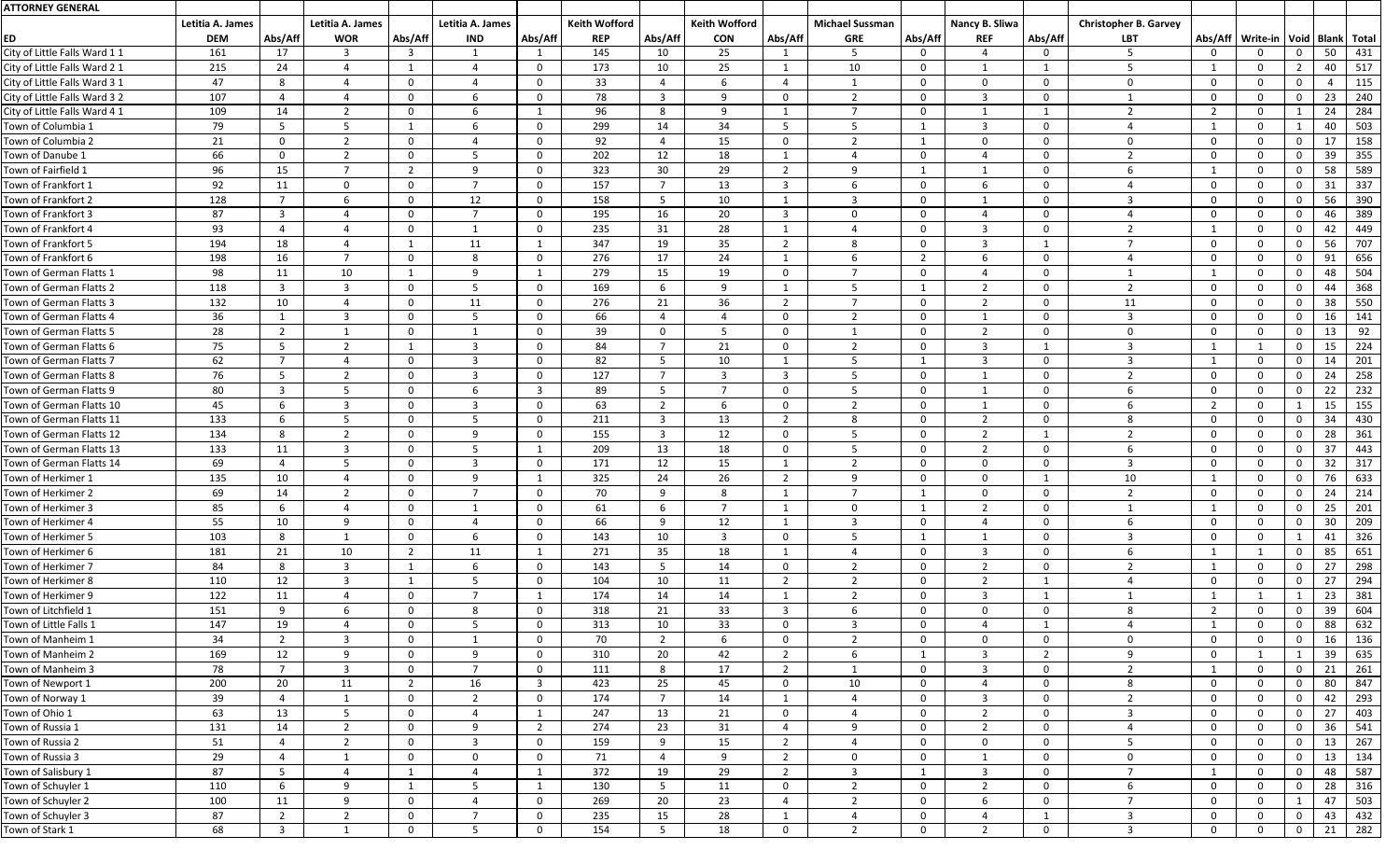| <b>ATTORNEY GENERAL</b>       |                  |                 |                          |                |                  |                |                      |                         |                      |                         |                        |                |                         |                |                              |                |                                           |                |    |     |
|-------------------------------|------------------|-----------------|--------------------------|----------------|------------------|----------------|----------------------|-------------------------|----------------------|-------------------------|------------------------|----------------|-------------------------|----------------|------------------------------|----------------|-------------------------------------------|----------------|----|-----|
|                               | Letitia A. James |                 | Letitia A. James         |                | Letitia A. James |                | <b>Keith Wofford</b> |                         | <b>Keith Wofford</b> |                         | <b>Michael Sussman</b> |                | Nancy B. Sliwa          |                | <b>Christopher B. Garvey</b> |                |                                           |                |    |     |
| ED                            | <b>DEM</b>       | Abs/Aff         | <b>WOR</b>               | Abs/Aff        | <b>IND</b>       | Abs/Aff        | <b>REP</b>           | Abs/Aff                 | <b>CON</b>           | Abs/Aff                 | <b>GRE</b>             | Abs/Aff        | <b>REF</b>              | Abs/Aff        | <b>LBT</b>                   |                | Abs/Aff   Write-in   Void   Blank   Total |                |    |     |
| City of Little Falls Ward 11  | 161              | 17              | $\mathbf{3}$             | $\mathbf{3}$   |                  |                | 145                  | 10                      | 25                   |                         | -5                     | $\Omega$       | $\overline{A}$          | 0              |                              | $\Omega$       | $\Omega$                                  | $\Omega$       | 50 | 431 |
| City of Little Falls Ward 2 1 | 215              | 24              | 4                        |                | 4                | $\Omega$       | 173                  | 10                      | 25                   | $\overline{1}$          | 10 <sup>°</sup>        | $\Omega$       | $\mathbf{1}$            |                |                              |                | $\Omega$                                  | $\overline{2}$ | 40 | 517 |
| City of Little Falls Ward 3 1 | 47               | 8               | 4                        | $\Omega$       |                  | 0              | 33                   | 4                       | 6                    | - 4                     |                        | $\Omega$       | $\overline{0}$          | $\Omega$       |                              | $\Omega$       | $\Omega$                                  | $\Omega$       |    | 115 |
| City of Little Falls Ward 3 2 | 107              |                 | $\overline{4}$           | $\mathbf{0}$   | 6                | $\mathbf{0}$   | 78                   | $\overline{\mathbf{3}}$ | 9                    | $\Omega$                | $\overline{2}$         | $\overline{0}$ | -3                      | $\Omega$       |                              | $\Omega$       | $\Omega$                                  | $\mathbf 0$    | 23 | 240 |
| City of Little Falls Ward 4 1 | 109              | 14              | $\overline{2}$           | $\mathbf 0$    | 6                |                | 96                   | -8                      | 9                    | $\overline{1}$          | $\overline{7}$         | $\mathbf{0}$   |                         |                |                              | - 2            | $\Omega$                                  |                | 24 | 284 |
| Town of Columbia 1            | 79               | 5 <sup>5</sup>  | $5\overline{)}$          | -1             | 6                | $\mathbf{0}$   | 299                  | 14                      | 34                   | $5\overline{)}$         | $5^{\circ}$            |                | $\overline{3}$          | $\mathbf{0}$   |                              |                | $\overline{0}$                            |                | 40 | 503 |
| Town of Columbia 2            | 21               | $\mathbf{0}$    | $\overline{2}$           | $\overline{0}$ | 4                | $\mathbf{0}$   | 92                   | $\overline{a}$          | 15                   | $\overline{0}$          | $\mathcal{D}$          |                | $\overline{0}$          | $\mathbf 0$    | $\Omega$                     | $\overline{0}$ | $\overline{0}$                            | $\overline{0}$ | 17 | 158 |
| Town of Danube 1              | 66               | $\mathbf{0}$    | $\overline{2}$           | $\mathbf{0}$   |                  | $\Omega$       | 202                  | 12                      | 18                   |                         |                        | $\Omega$       |                         | $\Omega$       |                              | $\Omega$       | $\Omega$                                  | 0              | 39 | 355 |
| Town of Fairfield 1           | 96               | 15              | $\overline{7}$           | $\overline{2}$ | 9                | 0              | 323                  | 30                      | 29                   | $\overline{2}$          | 9                      |                |                         | $\Omega$       |                              |                | $\Omega$                                  | $\Omega$       | 58 | 589 |
| Town of Frankfort 1           | 92               | 11              | $\mathbf 0$              | $\mathbf{0}$   | $\overline{7}$   | $\mathbf{0}$   | 157                  | - 7                     | 13                   | $\overline{\mathbf{3}}$ | 6                      | $\Omega$       | 6                       | $\Omega$       |                              | $\Omega$       | $\Omega$                                  | $\Omega$       | 31 | 337 |
| Town of Frankfort 2           | 128              | $\overline{7}$  | 6                        | $\overline{0}$ | 12               | $\mathbf{0}$   | 158                  | $5\overline{5}$         | 10                   | -1                      | $\overline{3}$         | $\overline{0}$ |                         | $\Omega$       |                              | $\Omega$       | $\Omega$                                  | $\mathbf 0$    | 56 | 390 |
| Town of Frankfort 3           | 87               | $\overline{3}$  | 4                        | $\mathbf 0$    | 7                | $\mathbf{0}$   | 195                  | 16                      | 20                   | $\overline{3}$          | $\Omega$               | $\mathbf{0}$   |                         | $\Omega$       |                              | $\Omega$       | $\Omega$                                  | $\Omega$       | 46 | 389 |
| Town of Frankfort 4           | 93               | $\overline{a}$  | 4                        | $\mathbf{0}$   |                  | $\Omega$       | 235                  | 31                      | 28                   | $\overline{1}$          | $\Lambda$              | $\Omega$       | $\mathbf{3}$            | $\Omega$       |                              |                | $\Omega$                                  | $\Omega$       | 42 | 449 |
| Town of Frankfort 5           | 194              | 18              | 4                        |                | 11               |                | 347                  | 19                      | 35                   | $\overline{2}$          | 8                      |                | 3                       |                |                              | - 0            | $\Omega$                                  | $\Omega$       | 56 | 707 |
| Town of Frankfort 6           | 198              | 16              | 7                        | $\mathbf{0}$   | 8                | $\mathbf{0}$   | 276                  | 17                      | 24                   | -1                      | 6                      | $\overline{2}$ | 6                       | $\mathbf 0$    |                              | $\Omega$       | $\mathbf{0}$                              | $\mathbf{0}$   | 91 | 656 |
| Town of German Flatts 1       | 98               | 11              | 10                       |                | 9                |                | 279                  | 15                      | 19                   | $\Omega$                | $\overline{7}$         | $\mathbf{0}$   |                         | $\Omega$       |                              |                | $\Omega$                                  | $\mathbf{0}$   | 48 | 504 |
| Town of German Flatts 2       | 118              | $\mathbf{3}$    | 3                        | $\mathbf{0}$   | -5               | $\Omega$       | 169                  | 6                       | 9                    | -1                      | -5                     |                | $\overline{2}$          | $\Omega$       | ີ                            | $\Omega$       | $\Omega$                                  | $\Omega$       | 44 | 368 |
| Town of German Flatts 3       | 132              | 10              | $\overline{4}$           | $\overline{0}$ | 11               | $\mathbf{0}$   | 276                  | 21                      | 36                   | $\overline{2}$          | $\overline{7}$         | $\overline{0}$ | 2                       | $\mathbf 0$    | 11                           | $\Omega$       | $\overline{0}$                            | $\overline{0}$ | 38 | 550 |
| Town of German Flatts 4       | 36               |                 | $\overline{3}$           | $\mathbf{0}$   | 5                | $\Omega$       | 66                   | - 4                     |                      | $\overline{0}$          | ຳ                      | $\Omega$       |                         | $\mathbf 0$    |                              | $\Omega$       | $\Omega$                                  | $\Omega$       | 16 | 141 |
| Town of German Flatts 5       | 28               | $\overline{2}$  |                          | $\Omega$       |                  | $\Omega$       | 39                   |                         | 5                    | $\Omega$                |                        |                | ົາ                      | 0              |                              | $\Omega$       | $\Omega$                                  |                | 13 | 92  |
| Town of German Flatts 6       | 75               | $5\overline{)}$ | $\overline{2}$           |                | $\overline{3}$   | 0              | 84                   | $\overline{7}$          | 21                   | $\overline{0}$          | $\overline{2}$         | $\Omega$       | 3                       |                |                              |                | -1                                        | $\mathbf 0$    | 15 | 224 |
| Town of German Flatts 7       | 62               | $\overline{ }$  | 4                        | $\mathbf{0}$   | 3                | 0              | 82                   | 5 <sup>5</sup>          | 10                   | -1                      | -5                     |                | -3                      | $\Omega$       |                              |                | $\Omega$                                  | $\mathbf 0$    | 14 | 201 |
| Town of German Flatts 8       | 76               | 5 <sup>5</sup>  | $\overline{2}$           | $\mathbf 0$    | $\overline{3}$   | $\Omega$       | 127                  | - 7                     | $\mathbf{3}$         | $\overline{3}$          | 5                      | $\overline{0}$ |                         | $\mathbf 0$    |                              | $\overline{0}$ | $\Omega$                                  | $\overline{0}$ | 24 | 258 |
| Town of German Flatts 9       | 80               | $\overline{3}$  | 5                        | $\mathbf{0}$   | 6                | $\mathbf{3}$   | 89                   | -5                      | $\mathbf{7}$         | $\overline{0}$          | -5                     | $\Omega$       |                         | $\Omega$       |                              | $\Omega$       | $\Omega$                                  | $\Omega$       | 22 | 232 |
| Town of German Flatts 10      | 45               | 6               | 3                        | $\mathbf{0}$   | 3                | $\Omega$       | 63                   | $\overline{2}$          | 6                    | $\Omega$                | 2                      | $\Omega$       |                         | $\Omega$       |                              | -2             | $\Omega$                                  |                | 15 | 155 |
| Town of German Flatts 11      | 133              | 6               | 5                        | $\mathbf 0$    | 5                | $\mathbf 0$    | 211                  | $\overline{3}$          | 13                   | $\overline{2}$          | 8                      | $\Omega$       | $\overline{2}$          | 0              |                              | $\Omega$       | $\overline{0}$                            | $\mathbf 0$    | 34 | 430 |
| Town of German Flatts 12      | 134              | 8               | $\overline{2}$           | $\Omega$       | 9                | $\Omega$       | 155                  | -3                      | 12                   | $\Omega$                |                        | $\Omega$       |                         |                |                              | $\Omega$       | $\Omega$                                  | 0              | 28 | 361 |
| Town of German Flatts 13      | 133              | 11              | 3                        | $\Omega$       | 5                |                | 209                  | 13                      | 18                   | $\Omega$                |                        |                | $\overline{2}$          | $\Omega$       |                              | $\overline{0}$ | $\Omega$                                  | $\mathbf 0$    | 37 | 443 |
| Town of German Flatts 14      | 69               |                 | 5                        | 0              | $\overline{3}$   | $\Omega$       | 171                  | 12                      | 15                   |                         | $\overline{2}$         | $\Omega$       | $\overline{0}$          | 0              | 3                            | $\Omega$       | $\Omega$                                  | $\mathbf 0$    | 32 | 317 |
| Town of Herkimer 1            | 135              | 10              | 4                        | $\mathbf{0}$   | 9                |                | 325                  | 24                      | 26                   | $\overline{2}$          | 9                      | $\overline{0}$ | $\mathbf 0$             | - 1            | 10                           |                | $\overline{0}$                            | $\Omega$       | 76 | 633 |
| Town of Herkimer 2            | 69               | 14              | $\overline{2}$           | $\mathbf 0$    |                  | 0              | 70                   | - q                     | 8                    |                         | $\overline{7}$         |                | $\overline{0}$          | $\overline{0}$ |                              | $\Omega$       | $\Omega$                                  | 0              | 24 | 214 |
| Town of Herkimer 3            | 85               | 6               | 4                        | $\mathbf 0$    | -1               | 0              | 61                   | 6                       | 7                    | -1                      | $\mathbf 0$            |                | $\overline{2}$          | $\Omega$       |                              |                | $\Omega$                                  | 0              | 25 | 201 |
| Town of Herkimer 4            | 55               | 10              | 9                        | $\mathbf{0}$   | 4                | $\mathbf{0}$   | 66                   | 9                       | 12                   | -1                      | $\overline{3}$         | $\mathbf{0}$   | 4                       | $\mathbf 0$    |                              | $\overline{0}$ | $\Omega$                                  | $\mathbf 0$    | 30 | 209 |
| Town of Herkimer 5            | 103              | 8               | - 1                      | $\mathbf 0$    | 6                | $\mathbf{0}$   | 143                  | 10                      | 3                    | $\mathbf 0$             | -5                     |                |                         | $\Omega$       | 3                            | $\Omega$       | $\Omega$                                  |                | 41 | 326 |
| Town of Herkimer 6            | 181              | 21              | 10                       | $\overline{2}$ | 11               |                | 271                  | 35                      | 18                   | - 1                     | $\Lambda$              | $\Omega$       | $\overline{\mathbf{3}}$ | $\mathbf 0$    |                              |                |                                           | $\overline{0}$ | 85 | 651 |
| Town of Herkimer 7            | 84               | 8               | $\overline{3}$           | -1             | 6                | $\mathbf{0}$   | 143                  | -5                      | 14                   | $\overline{0}$          | $\overline{2}$         | $\Omega$       | $\overline{2}$          | $\Omega$       | 2                            |                | $\Omega$                                  | $\Omega$       | 27 | 298 |
| Town of Herkimer 8            | 110              | 12              | $\overline{3}$           |                | -5               | 0              | 104                  | 10                      | 11                   | $\overline{2}$          | $\overline{2}$         | $\Omega$       | $\overline{2}$          |                |                              | $\Omega$       | $\overline{0}$                            | $\Omega$       | 27 | 294 |
| Town of Herkimer 9            | 122              | 11              | $\overline{4}$           | $\overline{0}$ | $\overline{7}$   |                | 174                  | 14                      | 14                   | -1                      | $\overline{2}$         | $\overline{0}$ | -3                      |                |                              |                |                                           | 1              | 23 | 381 |
| Town of Litchfield 1          | 151              | 9               | 6                        | $\mathbf{0}$   | -8               | 0              | 318                  | 21                      | 33                   | $\overline{\mathbf{3}}$ | 6                      | $\mathbf{0}$   | $\mathbf{0}$            | $\Omega$       |                              | $\overline{2}$ | $\Omega$                                  | $\Omega$       | 39 | 604 |
| Town of Little Falls 1        | 147              | 19              | $\overline{4}$           | $\mathbf{0}$   | 5                | $\mathbf{0}$   | 313                  | 10                      | 33                   | $\overline{0}$          | $\overline{3}$         | $\Omega$       | $\overline{4}$          |                |                              |                | $\Omega$                                  | $\Omega$       | 88 | 632 |
| Town of Manheim 1             | 34               | $\overline{2}$  | $\mathbf{3}$             | $\overline{0}$ | - 1              | $\mathbf 0$    | 70                   | $\overline{2}$          | 6                    | $\mathbf 0$             | $\overline{2}$         | $\overline{0}$ | $\overline{0}$          | $\mathbf 0$    | $\mathbf{0}$                 | $\mathbf 0$    | $\Omega$                                  | $\mathbf{0}$   | 16 | 136 |
| Town of Manheim 2             | 169              | 12              | 9                        | $\mathbf{0}$   | -9               | 0              | 310                  | 20                      | 42                   | 2                       | 6                      |                | -3                      | -2             | q                            | $\Omega$       |                                           |                | 39 | 635 |
| Town of Manheim 3             | 78               | $\overline{7}$  | $\overline{3}$           | $\mathbf{0}$   | $\overline{7}$   | $\mathbf{0}$   | 111                  | 8                       | 17                   | $\overline{2}$          |                        | $\overline{0}$ | $\overline{\mathbf{3}}$ | $\Omega$       | $\overline{2}$               |                | $\Omega$                                  | $\Omega$       | 21 | 261 |
| Town of Newport 1             | 200              | 20              | 11                       | $\overline{2}$ | 16               | $\mathbf{3}$   | 423                  | 25                      | 45                   | $\overline{0}$          | 10 <sup>°</sup>        | $\mathbf{0}$   | 4                       | $\Omega$       | 8                            | $\Omega$       | $\Omega$                                  | $\Omega$       | 80 | 847 |
| Town of Norway 1              | 39               | $\overline{4}$  | $\overline{\phantom{0}}$ | $\overline{0}$ | $\overline{2}$   | $\mathbf{0}$   | 174                  | $\overline{7}$          | 14                   | $\overline{1}$          | $\Lambda$              | $\mathbf{0}$   | $\overline{3}$          | $\Omega$       | $\mathcal{D}$                | $\Omega$       | $\Omega$                                  | $\overline{0}$ | 42 | 293 |
| Town of Ohio 1                | 63               | 13              | 5                        | $\mathbf{0}$   | 4                |                | 247                  | 13                      | 21                   | $\mathbf 0$             | $\Lambda$              | $\mathbf{0}$   | $\overline{2}$          | $\mathbf{0}$   |                              | $\Omega$       | $\Omega$                                  | $\mathbf{0}$   | 27 | 403 |
| Town of Russia 1              | 131              | 14              | $\overline{2}$           | $\mathbf{0}$   | 9                | $2^{\circ}$    | 274                  | 23                      | 31                   | $\Delta$                | $\mathbf{q}$           | $\Omega$       | $\overline{2}$          | $\mathbf{0}$   |                              | $\Omega$       | $\Omega$                                  | $\Omega$       | 36 | 541 |
| Town of Russia 2              | 51               | 4               | $\overline{2}$           | $\Omega$       | 3                | $\mathbf{0}$   | 159                  | -9                      | 15                   | $\overline{2}$          |                        | $\Omega$       | $\overline{0}$          | 0              |                              | $\Omega$       | $\Omega$                                  | $\mathbf 0$    | 13 | 267 |
| Town of Russia 3              | 29               | 4               | -1                       | $\mathbf{0}$   | $\mathbf{0}$     | $\mathbf 0$    | 71                   | $\overline{a}$          | 9                    | $\overline{2}$          | $\overline{0}$         | $\Omega$       |                         | $\mathbf 0$    | $\mathbf{0}$                 | $\mathbf{0}$   | $\overline{0}$                            | $\mathbf{0}$   | 13 | 134 |
| Town of Salisbury 1           | 87               | 5               | $\overline{4}$           |                | 4                |                | 372                  | 19                      | 29                   | $\overline{2}$          | $\overline{3}$         |                | -3                      | $\Omega$       | $\overline{7}$               |                | $\Omega$                                  | $\mathbf{0}$   | 48 | 587 |
| Town of Schuyler 1            | 110              | 6               | 9                        | -1             | 5 <sup>5</sup>   |                | 130                  | $5\overline{5}$         | 11                   | $\mathbf 0$             | $\overline{2}$         | $\mathbf{0}$   | $\overline{2}$          | $\Omega$       |                              | $\overline{0}$ | $\Omega$                                  | $\Omega$       | 28 | 316 |
| Town of Schuyler 2            | 100              | 11              | 9                        | $\overline{0}$ | $\overline{4}$   | $\overline{0}$ | 269                  | 20                      | 23                   | $\overline{a}$          | $\overline{2}$         | $\mathbf{0}$   | 6                       | $\mathbf 0$    | $\overline{7}$               | $\Omega$       | $\overline{0}$                            |                | 47 | 503 |
| Town of Schuyler 3            | 87               | $\overline{2}$  | $\overline{2}$           | $\mathbf{0}$   | 7                | $\mathbf{0}$   | 235                  | 15                      | 28                   |                         |                        | $\Omega$       | $\Delta$                |                |                              | $\Omega$       | $\Omega$                                  | $\mathbf 0$    | 43 | 432 |
| Town of Stark 1               | 68               | $\mathbf{3}$    |                          | $\mathbf{0}$   | 5                | 0              | 154                  | 5                       | 18                   | $\mathbf 0$             | $\overline{2}$         | $\mathbf{0}$   | $\overline{2}$          | $\mathbf 0$    |                              | $\Omega$       | $\Omega$                                  |                | 21 | 282 |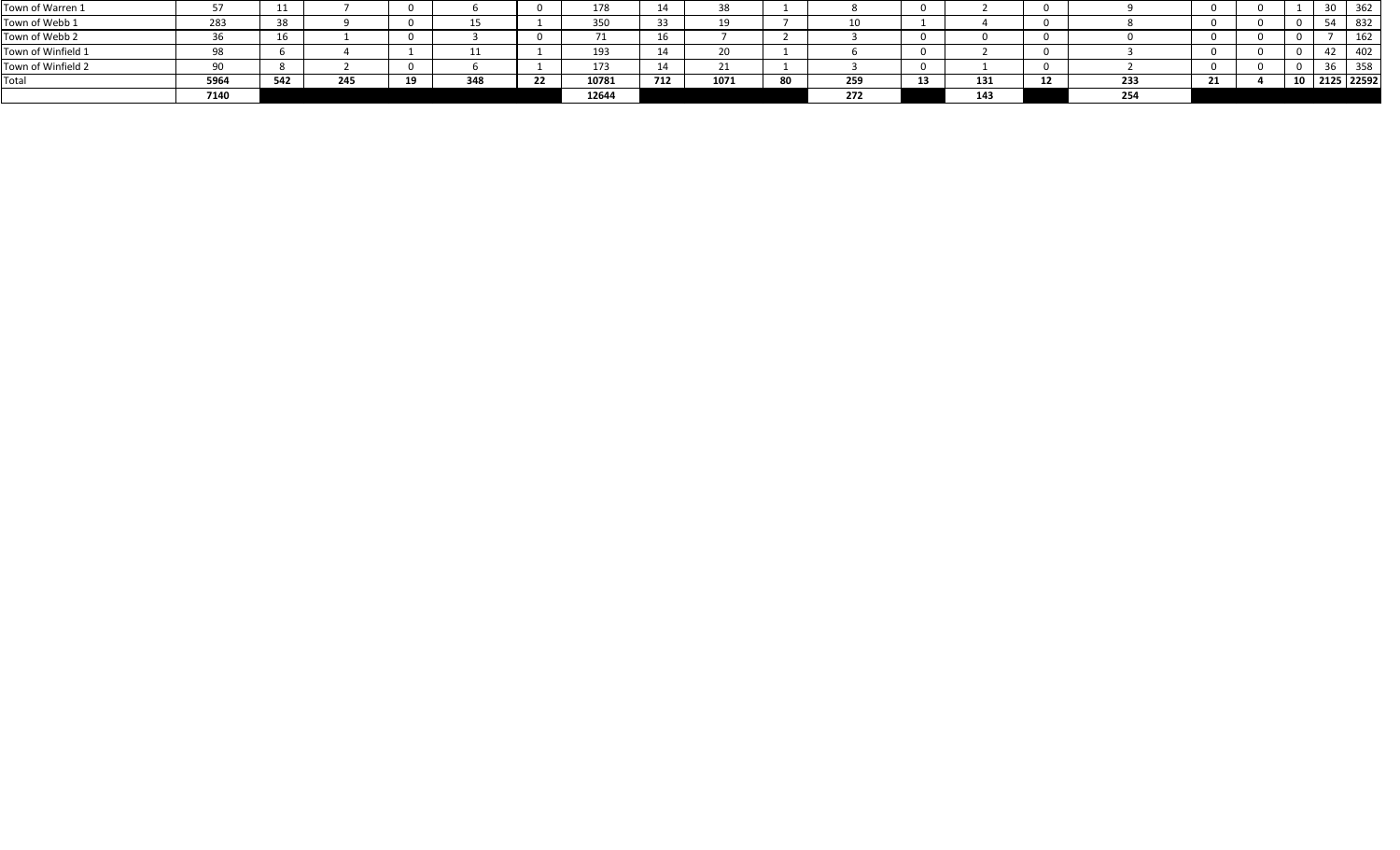|                    | 7140 |       |     |    |     | 12644              |                |      |    | 272 |          | 143 |    |            |  |               |     |
|--------------------|------|-------|-----|----|-----|--------------------|----------------|------|----|-----|----------|-----|----|------------|--|---------------|-----|
| Total              | 5964 | E A J | 245 | -- | 348 | 10781              | 712            | 1071 | 80 | 259 | 12<br>-- | 131 | 12 | <b>D</b> 1 |  | 10 2125 22592 |     |
| Town of Winfield 2 |      |       |     |    |     | 173                |                |      |    |     |          |     |    |            |  |               | 358 |
| Town of Winfield 1 |      |       |     |    |     | 193                | 1 A            |      |    |     |          |     |    |            |  |               | 402 |
| Town of Webb 2     |      |       |     |    |     |                    | 1 <sup>C</sup> |      |    |     |          |     |    |            |  |               | 162 |
| Town of Webb 1     | 283  |       |     |    |     | 350<br><u> JJV</u> |                |      |    | 10  |          |     |    |            |  |               | 832 |
| Town of Warren 1   |      |       |     |    |     | 178                | 14             |      |    |     |          |     |    |            |  | <u>JU</u>     | 362 |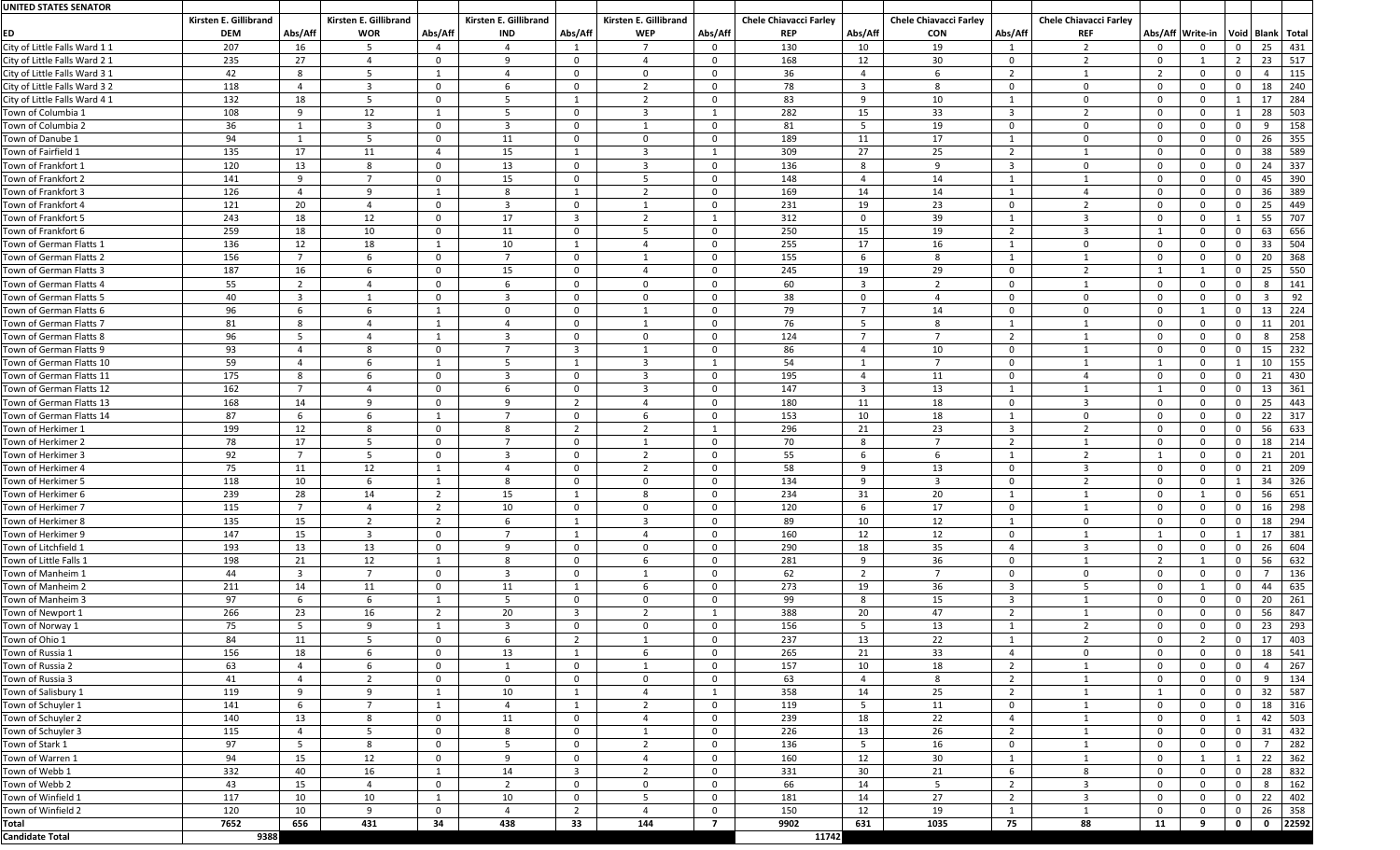| <b>UNITED STATES SENATOR</b>  |                                     |                    |                                     |                |                                     |                         |                                     |                         |                                             |                |                                             |                      |                                             |                |                                         |                 |     |
|-------------------------------|-------------------------------------|--------------------|-------------------------------------|----------------|-------------------------------------|-------------------------|-------------------------------------|-------------------------|---------------------------------------------|----------------|---------------------------------------------|----------------------|---------------------------------------------|----------------|-----------------------------------------|-----------------|-----|
| ED                            | Kirsten E. Gillibrand<br><b>DEM</b> | Abs/Aff            | Kirsten E. Gillibrand<br><b>WOR</b> | Abs/Aff        | Kirsten E. Gillibrand<br><b>IND</b> | Abs/Aff                 | Kirsten E. Gillibrand<br><b>WEP</b> | Abs/Aff                 | <b>Chele Chiavacci Farley</b><br><b>REP</b> | Abs/Aff        | <b>Chele Chiavacci Farley</b><br><b>CON</b> | Abs/Aff              | <b>Chele Chiavacci Farley</b><br><b>REF</b> |                | Abs/Aff Write-in   Void   Blank   Total |                 |     |
| City of Little Falls Ward 1 1 | 207                                 | 16                 |                                     |                | - 4                                 |                         | $\overline{7}$                      | 0                       | 130                                         | 10             | 19                                          |                      | -2                                          | $\Omega$       |                                         | 25 <sub>2</sub> | 431 |
| City of Little Falls Ward 2 1 | 235                                 | 27                 |                                     | $\mathbf{0}$   | -9                                  | $\overline{0}$          | $\mathbf{\Lambda}$                  | 0                       | 168                                         | 12             | 30                                          | $\mathbf 0$          | $\overline{2}$                              | $\mathbf{0}$   |                                         | 23              | 517 |
| City of Little Falls Ward 3 1 | 42                                  | 8                  |                                     |                | - 4                                 | $\overline{0}$          | $\Omega$                            | $\overline{0}$          | 36                                          |                |                                             | $\overline{2}$       |                                             | $\overline{2}$ |                                         |                 | 115 |
| City of Little Falls Ward 3 2 | 118                                 | $\Delta$           |                                     | $\Omega$       | -6                                  | $\overline{0}$          | 2                                   | $\overline{0}$          | 78                                          | $\overline{3}$ | 8                                           | $\mathbf 0$          | $\mathbf{0}$                                | $\overline{0}$ |                                         | 18              | 240 |
| City of Little Falls Ward 4 1 | 132                                 | 18                 |                                     | $\Omega$       | -5                                  |                         | $\overline{2}$                      | $\mathbf 0$             | 83                                          | 9              | 10                                          |                      | $\Omega$                                    | $\mathbf{0}$   |                                         | 17              | 284 |
| Town of Columbia 1            | 108                                 | 9                  | 12                                  |                | - 5                                 | $\overline{0}$          | $\overline{3}$                      |                         | 282                                         | 15             | 33                                          | -3                   | $\overline{2}$                              | $\mathbf{0}$   |                                         | 28              | 503 |
| Town of Columbia 2            | 36                                  |                    | -3                                  | $\mathbf{0}$   | $\overline{3}$                      | $\overline{0}$          |                                     | $\overline{0}$          | 81                                          |                | 19                                          | $\mathbf 0$          | $\mathbf{0}$                                | $\mathbf{0}$   |                                         | 9               | 158 |
| Town of Danube 1              | 94                                  |                    |                                     | $\mathbf{0}$   | 11                                  | $\overline{0}$          | $\Omega$                            | $\mathbf 0$             | 189                                         | 11             | 17                                          |                      | $\mathbf 0$                                 | $\mathbf{0}$   |                                         | 26              | 355 |
| Town of Fairfield 1           | 135                                 | 17                 | 11                                  | 4              | 15                                  |                         | -3                                  |                         | 309                                         | 27             | 25                                          | $\overline{2}$       |                                             | $\mathbf{0}$   |                                         | 38              | 589 |
| Town of Frankfort 1           | 120                                 | 13                 |                                     | $\Omega$       | 13                                  | $\Omega$                | -3                                  | -0                      | 136                                         | 8              | 9                                           | -3                   | $\Omega$                                    | $\mathbf{0}$   |                                         | 24              | 337 |
| Town of Frankfort 2           | 141                                 | -9                 |                                     | $\Omega$       | 15                                  | $\overline{0}$          |                                     | - 0                     | 148                                         |                | 14                                          |                      |                                             | $\mathbf{0}$   |                                         | 45              | 390 |
| Town of Frankfort 3           | 126                                 | $\mathbf{\Lambda}$ | q                                   |                | 8                                   |                         | $\overline{2}$                      | $\mathbf 0$             | 169                                         | 14             | 14                                          |                      |                                             | $\mathbf{0}$   | - 0                                     | 36              | 389 |
| Town of Frankfort 4           | 121                                 | 20                 |                                     | $\Omega$       | $\overline{3}$                      | $\overline{0}$          |                                     | $\overline{0}$          | 231                                         | 19             | 23                                          | $\mathbf 0$          | ຳ                                           | $\mathbf{0}$   |                                         | 25              | 449 |
| Town of Frankfort 5           | 243                                 | 18                 | 12                                  | $\Omega$       | 17                                  | $\overline{\mathbf{3}}$ |                                     |                         | 312                                         | $\Omega$       | 39                                          |                      | -3                                          | $\mathbf{0}$   |                                         | 55              | 707 |
| Town of Frankfort 6           | 259                                 | 18                 | 10                                  | $\Omega$       | 11                                  | $\Omega$                |                                     | -0                      | 250                                         | 15             | 19                                          | -2                   | 3                                           |                |                                         | 63              | 656 |
| Town of German Flatts 1       | 136                                 | 12                 | 18                                  |                | 10                                  |                         |                                     | - 0                     | 255                                         | 17             | 16                                          |                      | $\Omega$                                    | $\Omega$       |                                         | 33              | 504 |
| Town of German Flatts 2       | 156                                 |                    |                                     | $\Omega$       | -                                   | $\overline{0}$          |                                     | $\Omega$                | 155                                         |                | 8                                           |                      |                                             | $\mathbf{0}$   |                                         | 20              | 368 |
| Town of German Flatts 3       | 187                                 | 16                 |                                     | $\Omega$       | 15                                  | $\overline{0}$          |                                     | - റ                     | 245                                         | 19             | 29                                          | $\mathbf 0$          |                                             |                |                                         | 25 <sub>2</sub> | 550 |
| Town of German Flatts 4       | 55                                  |                    |                                     | $\Omega$       |                                     | - 0                     | റ                                   | $\Omega$                | 60                                          | 3              |                                             | $\Omega$             |                                             | $\mathbf{0}$   |                                         | 8               | 141 |
| Town of German Flatts 5       | 40                                  | -3                 |                                     | 0              | 3                                   | $\overline{0}$          | $\Omega$                            | 0                       | 38                                          | $\Omega$       |                                             | $\mathbf{0}$         | $\Omega$                                    | $\mathbf{0}$   |                                         |                 | 92  |
| Town of German Flatts 6       | 96                                  | -6                 |                                     |                | - 0                                 | $\overline{0}$          |                                     | - 0                     | 79                                          |                | 14                                          | $\mathbf 0$          | $\Omega$                                    | $\mathbf{0}$   |                                         | 13              | 224 |
| Town of German Flatts 7       | 81                                  | 8                  |                                     |                | $\Delta$                            | $\overline{0}$          |                                     | $\Omega$                | 76                                          | -5             | 8                                           |                      |                                             | $\mathbf{0}$   |                                         | 11              | 201 |
| Town of German Flatts 8       | 96                                  |                    |                                     |                | ्द                                  | $\overline{0}$          | $\Omega$                            | $\mathbf{0}$            | 124                                         |                |                                             | $\overline{2}$       |                                             | $\mathbf{0}$   |                                         | 8               | 258 |
| Town of German Flatts 9       | 93                                  |                    |                                     | $\Omega$       |                                     | - 3                     |                                     | - 0                     | 86                                          |                | 10                                          | $\mathbf 0$          |                                             | $\mathbf{0}$   |                                         | 15              | 232 |
| Town of German Flatts 10      | 59                                  |                    |                                     |                |                                     |                         | -3                                  |                         | 54                                          |                |                                             | $\mathbf{0}$         |                                             |                |                                         | 10              | 155 |
| Town of German Flatts 11      | 175                                 | 8                  |                                     | $\Omega$       | - 3                                 | $\overline{0}$          | -3                                  | $\mathbf{0}$            | 195                                         |                | 11                                          | $\mathbf 0$          |                                             | $\mathbf{0}$   |                                         | 21              | 430 |
| Town of German Flatts 12      | 162                                 | $\overline{7}$     |                                     | $\Omega$       | 6                                   | $\overline{0}$          | -3                                  | $\mathbf 0$             | 147                                         | $\overline{3}$ | 13                                          |                      |                                             |                |                                         | 13              | 361 |
| Town of German Flatts 13      | 168                                 | 14                 |                                     | $\Omega$       | ۵                                   | -2                      |                                     | $\Omega$                | 180                                         | 11             | 18                                          | $\mathbf{0}$         | 3                                           | $\mathbf{0}$   |                                         | 25              | 443 |
| Town of German Flatts 14      | 87                                  |                    |                                     |                |                                     | 0                       | h                                   |                         | 153                                         | 10             | 18                                          |                      | 0                                           | $\Omega$       |                                         | 22              | 317 |
| Town of Herkimer 1            | 199                                 | 12                 | -8                                  | $\mathbf{0}$   | -8                                  | $\overline{2}$          | $\overline{2}$                      |                         | 296                                         | 21             | 23                                          | 3                    | $\mathcal{P}$                               | $\mathbf{0}$   | - 0                                     | 56              | 633 |
| Town of Herkimer 2            | 78                                  | 17                 |                                     | 0              | - 7                                 | $\overline{0}$          |                                     | $\overline{0}$          | 70                                          | 8              |                                             | $\overline{2}$       |                                             | $\mathbf{0}$   | - 0                                     | 18              | 214 |
| Town of Herkimer 3            | 92                                  | $\overline{7}$     |                                     | $\Omega$       | - 3                                 | $\overline{0}$          | ຳ                                   | $\overline{0}$          | 55                                          | 6              |                                             |                      | $\mathcal{D}$                               |                | $\Omega$                                | 21              | 201 |
| Town of Herkimer 4            | 75                                  | 11                 | 12                                  |                | - 4                                 | $\overline{0}$          | 2                                   | $\Omega$                | 58                                          | -9             | 13                                          | $\Omega$             | -3                                          | $\overline{0}$ | $\Omega$                                | 21              | 209 |
| Town of Herkimer 5            | 118                                 | 10                 |                                     |                | - 8                                 | $\overline{0}$          | $\Omega$                            | $\Omega$                | 134                                         | 9              | 3                                           | $\mathbf 0$          | ົາ                                          | $\mathbf{0}$   |                                         | 34              | 326 |
| Town of Herkimer 6            | 239                                 | 28                 | 14                                  | $\overline{2}$ | 15                                  |                         | 8                                   | $\Omega$                | 234                                         | 31             | 20                                          |                      |                                             | $\overline{0}$ |                                         | 56              | 651 |
| Town of Herkimer 7            | 115                                 | $\overline{7}$     |                                     | $\overline{2}$ | 10                                  | $\overline{0}$          | $\Omega$                            | $\overline{0}$          | 120                                         | 6              | 17                                          | $\mathbf 0$          |                                             | $\mathbf{0}$   | $\cap$                                  | 16              | 298 |
| Town of Herkimer 8            | 135                                 | 15                 | ົາ                                  | $\overline{2}$ | 6                                   |                         | -3                                  | $\Omega$                | 89                                          | 10             | 12                                          |                      | $\overline{0}$                              | $\overline{0}$ | ി                                       | 18              | 294 |
| Town of Herkimer 9            | 147                                 | 15                 |                                     | $\Omega$       | - 7                                 |                         |                                     | $\Omega$                | 160                                         | 12             | 12                                          | $\mathbf 0$          |                                             |                |                                         | 17              | 381 |
| Town of Litchfield 1          | 193                                 | 13                 | 13                                  | $\Omega$       | <b>q</b>                            | $\overline{0}$          | $\Omega$                            | $\Omega$                | 290                                         | 18             | 35                                          |                      | -3                                          | $\mathbf{0}$   |                                         | 26              | 604 |
| Town of Little Falls 1        | 198                                 | 21                 | 12                                  |                | -8                                  | $\Omega$                | -6                                  | $\Omega$                | 281                                         | -9             | 36                                          | $\mathbf 0$          |                                             | $\overline{2}$ |                                         | 56              | 632 |
| Town of Manheim 1             | 44                                  | -3                 |                                     | $\mathbf{0}$   | -3                                  | $\overline{0}$          |                                     | $\Omega$                | 62                                          | $\overline{2}$ | $\overline{ }$                              | $\mathbf 0$          | $\Omega$                                    | $\mathbf{0}$   |                                         |                 | 136 |
| Town of Manheim 2             | 211                                 | 14                 | 11                                  | $\Omega$       | 11                                  |                         |                                     | - 0                     | 273                                         | 19             | 36                                          | -3                   |                                             | $\mathbf{0}$   |                                         | 44              | 635 |
| Town of Manheim 3             | 97                                  |                    |                                     |                |                                     | - 0                     | $\Omega$                            | $\Omega$                | 99                                          |                | 15                                          | -3                   |                                             | $\Omega$       |                                         | 20              | 261 |
| Town of Newport 1             | 266                                 | 23                 | 16                                  | $\overline{2}$ | 20                                  | -3                      | ່າ                                  |                         | 388                                         | 20             | 47                                          | - 7                  |                                             | $\mathbf{0}$   |                                         | 56              | 847 |
| Town of Norway 1              | 75                                  |                    | Q                                   |                | $\overline{3}$                      | $\overline{0}$          | $\Omega$                            | $\Omega$                | 156                                         |                | 13                                          |                      |                                             | $\overline{0}$ |                                         | 23              | 293 |
| Town of Ohio 1                | 84                                  | 11                 |                                     | $\Omega$       | -6                                  | $\overline{2}$          |                                     | $\Omega$                | 237                                         | 13             | 22                                          |                      | ി                                           | $\mathbf{0}$   | ാ                                       | 17              | 403 |
| Town of Russia 1              | 156                                 | 18                 |                                     | $\Omega$       | 13                                  |                         |                                     | $\Omega$                | 265                                         | 21             | 33                                          |                      | $\Omega$                                    | $\Omega$       |                                         | 18              | 541 |
| Town of Russia 2              | 63                                  |                    |                                     | $\Omega$       |                                     | $\overline{0}$          |                                     | $\Omega$                | 157                                         | 10             | 18                                          | $\overline{2}$       |                                             | $\mathbf{0}$   |                                         |                 | 267 |
| Town of Russia 3              | 41                                  |                    |                                     | $\Omega$       | $\Omega$                            | $\overline{0}$          | $\Omega$                            | - 0                     | 63                                          |                | 8                                           | - 2                  |                                             | $\mathbf{0}$   |                                         | q               | 134 |
| Town of Salisbury 1           | 119                                 | $\mathsf{Q}$       |                                     |                | 10                                  |                         |                                     |                         | 358                                         | 14             | 25                                          | $\overline{2}$       |                                             |                | - 0                                     | 32              | 587 |
| Town of Schuyler 1            | 141                                 | 6                  |                                     |                | $\boldsymbol{\Lambda}$              |                         | $\mathcal{D}$                       | $\mathbf 0$             | 119                                         | 5 <sup>5</sup> | 11                                          | $\mathbf 0$          |                                             | $\overline{0}$ |                                         | 18              | 316 |
| Town of Schuyler 2            | 140                                 | 13                 |                                     | $\Omega$       | 11                                  | - 0                     |                                     | $\Omega$                | 239                                         | 18             | 22                                          |                      |                                             | $\mathbf{0}$   |                                         | 42              | 503 |
| Town of Schuyler 3            | 115                                 |                    |                                     | $\Omega$       | -8                                  | $\overline{0}$          |                                     | $\Omega$                | 226                                         | 13             | 26                                          | -2                   |                                             | $\mathbf{0}$   |                                         | 31              | 432 |
| Town of Stark 1               | 97                                  | -5                 | -8                                  | $\Omega$       | - 5                                 | $\overline{0}$          | $\overline{2}$                      | $\Omega$                | 136                                         | -5             | 16                                          | $\mathbf 0$          |                                             | $\mathbf{0}$   |                                         |                 | 282 |
| Town of Warren 1              | 94                                  | 15                 | 12                                  | $\mathbf{0}$   | -9                                  | $\overline{0}$          |                                     | $\overline{0}$          | 160                                         | 12             | 30                                          |                      |                                             | $\mathbf{0}$   |                                         | 22              | 362 |
| Town of Webb 1                | 332                                 | 40                 | 16                                  |                | 14                                  | $\overline{\mathbf{3}}$ | 2                                   | $\overline{0}$          | 331                                         | 30             | 21                                          | 6                    | 8                                           | $\mathbf{0}$   | - റ                                     | 28              | 832 |
| Town of Webb 2                | 43                                  | 15                 |                                     | $\Omega$       | - 2                                 | - 0                     | $\Omega$                            | $\Omega$                | 66                                          | 14             | -5                                          | $\overline{2}$       | -3                                          | $\mathbf{0}$   |                                         | 8               | 162 |
| Town of Winfield 1            | 117                                 | 10                 | 10                                  | - 1            | 10                                  | $\overline{0}$          | -5                                  | 0                       | 181                                         | 14             | 27                                          | $\overline{2}$       | 3                                           | $\overline{0}$ |                                         | 22              | 402 |
| Town of Winfield 2            | 120                                 | 10                 | q                                   | $\mathbf{0}$   | $\boldsymbol{\varDelta}$            | - 2                     |                                     | - 0                     | 150                                         | 12             | 19                                          |                      |                                             | $\mathbf{0}$   |                                         | 26              | 358 |
| <b>Total</b>                  | 7652                                | 656                | 431 34                              |                | 438                                 | રર                      | 144                                 | $\overline{\mathbf{z}}$ | 9902                                        | 631            | 1035                                        | 75<br>$\blacksquare$ | 88                                          |                | 11 9 0 0 22592                          |                 |     |
| <b>Candidate Total</b>        | 9388                                |                    |                                     |                |                                     |                         |                                     |                         | 11742                                       |                |                                             |                      |                                             |                |                                         |                 |     |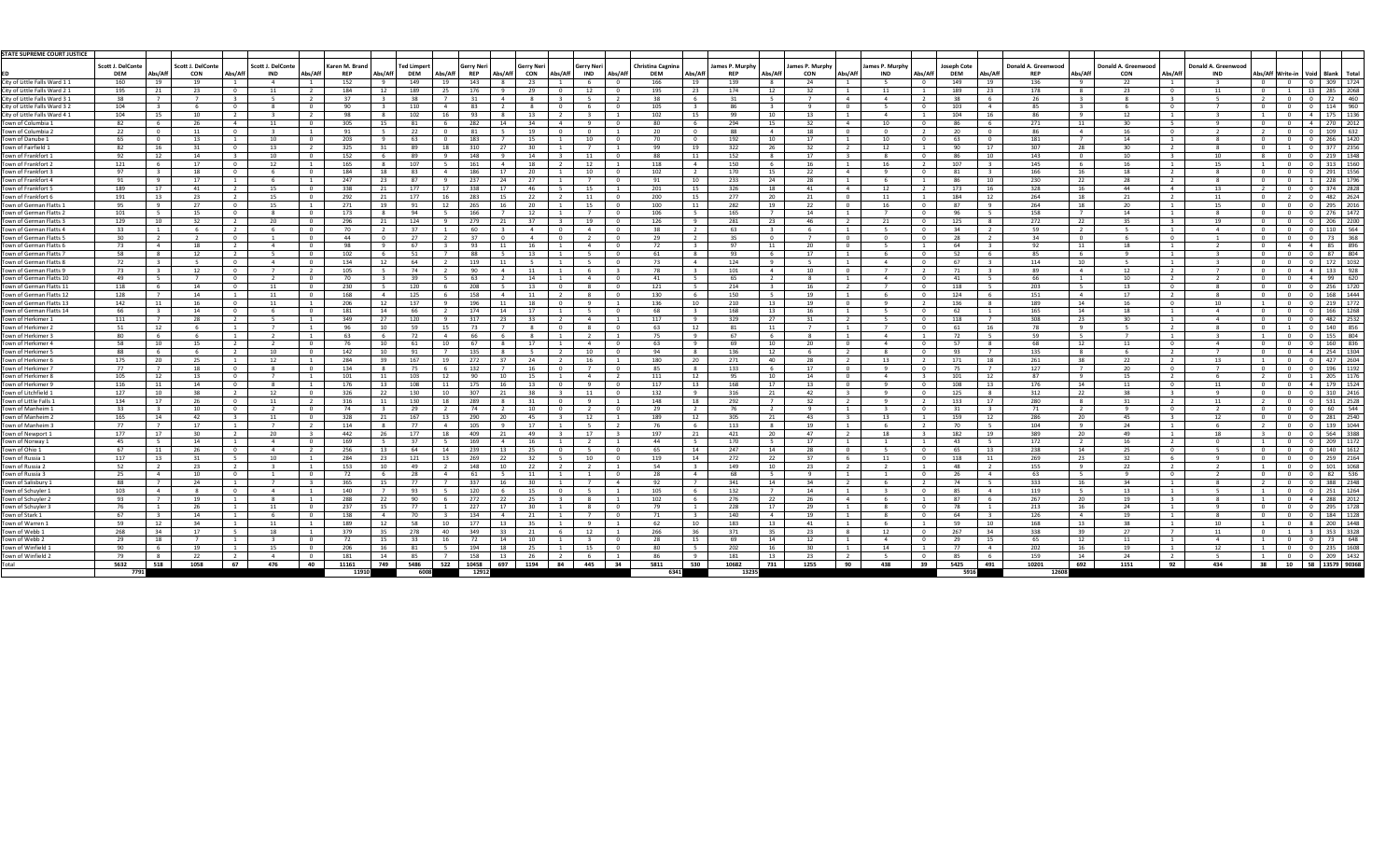| Scott J. DelConte<br>Scott J. DelConte<br>Scott J. DelConte<br>Donald A. Greenwood<br>Donald A. Greenwood<br>Karen M. Brand<br><b>Ted Limpert</b><br><b>Gerry Neri</b><br><b>Christina Cagnina</b><br>James P. Murphy<br>James P. Murphy<br>James P. Murphy<br><b>Joseph Cote</b><br><b>Donald A. Greenwood</b><br><b>Gerry Neri</b><br>Gerry Neri<br>Abs/Aff<br>Abs/Aff<br>Abs/Aff<br>Abs/Aff<br>Abs/Aff<br>Abs/Aff<br>Abs/Aff<br>Abs/Aft<br>Abs/Aff<br><b>DEM</b><br><b>REP</b><br><b>DEM</b><br>Abs/Aff<br>Abs/Aff<br>Abs/Aff<br><b>DEM</b><br>Abs/Af<br><b>CON</b><br><b>CON</b><br>Abs/Aff<br><b>IND</b><br><b>REP</b><br>CON<br><b>IND</b><br><b>DEM</b><br>Abs/Aff<br><b>IND</b><br><b>REP</b><br><b>REP</b><br><b>CON</b><br><b>IND</b><br>  Abs/Aff  Write-in   Void   Blank   Total<br>136<br>ity of Little Falls Ward 11<br>160<br>152<br>143<br>166<br>139<br>149<br>22<br>309<br>1724<br>149<br>19<br>$2\Delta$<br>19<br><b>1Ο</b><br>Q<br>285<br>2068<br>195<br>12<br>176<br>195<br>174<br>32<br>189<br>178<br>184<br>189<br>12<br>23<br>-23<br>-23<br>-29<br>-23<br>12<br>っっ<br>-38<br>-38<br>31<br>-31<br>-38<br>26<br>$\overline{4}$<br>104<br>105<br>103<br>QG.<br>City of Little Falls Ward 3 2<br>110<br>83<br>$\Omega$<br>85<br>୍ରମ<br>104<br>102<br>102<br>۵Q<br>10 I<br>104<br>ity of Little Falls Ward 4 1<br>10<br>93.<br>175<br>13.<br>-15<br>-16<br>Q<br>271<br>- 82<br>-305<br>282<br>294<br>ን7በ<br>15<br>- 86<br>$\overline{4}$<br>22<br>$\overline{0}$<br>20<br>91<br>ົາາ<br>81<br>- 20<br>- 88<br>18<br>109<br>19<br>-86<br>16<br>-631<br>266<br>203<br>192<br>-65<br>183<br>10<br>10<br>17<br>10<br>63<br>181<br>1420<br>- 1 3<br>$\Omega$<br>-63<br>15<br>- റ<br>14<br>307<br>2356<br>- 82<br>310<br>322<br>- 90<br>Town of Fairfield 1<br>325<br>-31<br>- 2 2<br>377<br>- 1 2<br>17<br>-28<br>19.<br>219<br>Town of Frankfort 1<br>ാ<br>148<br>152<br>143<br>1348<br>152<br>14<br>11<br>17<br>- 10<br>റ<br>121<br>107<br>150<br>107<br>Town of Frankfort 2<br>165<br>-161<br>145<br>1556<br>97<br>184<br>18<br>186<br>10<br>102<br>170<br>22<br>81<br>166<br>291<br>Town of Frankfort 3<br>റ -<br>-83<br>-20<br>16<br>-18<br>$\mathbf 4$<br>1 Q<br>23<br>247<br>237<br>230<br>228<br>1796<br>Town of Frankfort 4<br>91<br>17<br>- 07<br>24<br>27<br>10 I<br>233<br>24<br>28<br>-86<br>10<br>22<br><u>ດາ</u><br>-28<br>2828<br>189<br>21<br>338<br>15<br>201<br>326<br>173<br>328<br>374<br>Town of Frankfort 5<br>338<br>177<br>16<br>15<br>18<br>-41<br>- 1 2<br>- 16<br>44<br>$\overline{4}$<br>-12<br>264<br>262<br>Town of Frankfort 6<br>191<br>292<br>21<br>200<br>277<br>283<br>$\Omega$<br>184<br>482<br>177<br>22<br>15<br><b>20</b><br>12<br>18<br>-13<br>15<br>100<br>282<br>264<br>Town of German Flatts :<br>ຳາ<br>271<br>19<br>265<br>-22<br>- 87<br>- 95<br>11<br>18<br>101<br>166<br>106<br>165<br>158<br>276<br>1472<br>Town of German Flatts 2<br>$\cap$<br>173<br>12<br>14<br>- 96<br>15<br>21<br>272<br>2200<br>129<br>279<br>19<br>281<br>125<br>206<br>Town of German Flatts 3<br>1 $\cap$<br>$\cap$<br>296<br>124<br>-27<br>126<br>-23<br>$\mathcal{D}$<br>- 21<br>22<br>10<br>2 ລ<br>ົາດ<br>-35<br>Town of German Flatts 4<br>- 33<br>60<br>63<br>- 34<br>-59<br>110<br>-564<br>$\Omega$<br>30<br>37<br>35<br>28<br>Town of German Flatts 5<br>$\overline{0}$<br>$\Omega$<br>29<br><u>n</u><br>34<br>44<br>. വ<br>97<br>92<br>Town of German Flatts 6<br>- 73<br>93<br>20<br>$\cap$<br>- 64<br>18<br>11<br>18<br>52<br>- 58<br>102<br>88.<br>- 93<br>17<br>85<br>Town of German Flatts 7<br>$\cap$<br>13.<br>-61<br>12<br>124<br>72<br>134<br>119<br>67<br>10<br>$\cap$<br>61<br>כיד<br>114<br>172<br>101<br>- 73<br>105<br>90<br>10<br>71<br>-89<br>- 1 2<br>12<br>11<br>65<br>49<br>$\Omega$<br>-39<br>63<br>41<br>$10^{-1}$<br>14<br>41<br>66<br>230<br>120<br>208<br>214<br>203<br>256<br>118<br>$\Omega$<br>13<br>121<br>118<br>172<br>16<br>-14<br>-12<br>150<br>128<br>130<br>168<br>125<br>158<br>10<br>124<br>151<br><b>Town of German Flatts 12</b><br>11<br>17<br>168<br>12<br>$10^{-1}$<br>າ10<br>142<br>11<br>206<br>137<br>196<br>11<br>18<br>136<br>210<br>$\cap$<br>136<br>189<br>14<br>1772<br>- 16<br>11<br>$\blacksquare$ 1<br>13<br>19<br>$\mathcal{D}$<br>16<br>$\cap$<br>$10^{-1}$<br>$\cap$<br>Town of German Flatts 14<br>168<br>165<br>-66<br>-62<br>14<br>27<br>308<br>111<br>349<br>120<br>317<br>117<br>329<br>27<br>ີ<br>118<br>-28<br>23.<br>51<br>10<br>12<br>78<br>Town of Herkimer 2<br>12 <sup>°</sup><br>ב מ<br>73.<br>-63<br>81<br>11<br>-61<br>-16<br>-80<br>67<br>- 72<br>Town of Herkimer 3<br>-63<br>59<br>Town of Herkimer 4<br>58<br><b>10</b><br>57<br>-69<br>17<br>-63<br>1 N<br>12<br>136<br>Town of Herkimer .<br>- 88<br>10<br>135<br>്ദാ<br>167<br>272<br>271<br>261<br>Town of Herkimer 6<br>175<br>284<br>39<br>24<br>16<br>180<br><b>20</b><br>40<br>$\overline{2}$<br>171<br>22<br>-20<br>25<br>37<br>-28<br>- 18<br>-38<br>127<br>77<br>134<br>132<br>133<br>17<br>$\cap$<br>20<br>Town of Herkimer 7<br>-18<br>$\cap$<br>-75<br>105<br>101<br>103<br>95.<br>101<br>87<br>Town of Herkimer 8<br>90<br>111<br>12<br>10 I<br>-14<br>1 C<br>11<br>10<br>15.<br>-12<br>Town of Herkimer 9<br>116<br>13<br>108<br>175<br>168<br>108<br>176<br>176<br>117<br>13<br>16<br>17<br>13<br>-13<br>14<br>127<br>312<br>Town of Litchfield 1<br>22<br>316<br>-10<br>326<br>130<br>דחג<br>132.<br>-42<br>125<br>22<br>289<br>292<br>280<br>Town of Little Falls 1<br>134<br>316<br>130<br>148<br>-18<br>- 22<br>133<br>-21<br>Town of Manheim :<br>- 33.<br>່ 1 ∩<br><b>7</b><br>1 N<br>-76<br>-31<br>71<br>റ<br>ົາດ<br>74<br>165<br>21<br>167<br>290<br>12<br>305<br>159<br>286<br>20<br>$\Lambda$<br>328<br>-20<br>189<br>12<br>- 43<br>12<br>21<br>12<br>45<br>45<br>77<br>105<br>113<br>104<br>17<br>-19<br>-70<br>114<br>-8<br>-24<br>389<br>177<br>409<br>197<br>421<br>47<br>182<br><b>20</b><br>442<br>177<br>-19<br>49.<br>49<br>170<br>172<br>- 45<br>169<br>169<br>- 17<br>- 43<br>67<br>13<br>247<br>$\cap$<br>238<br>256<br>239<br>14<br>- 28<br>14<br>25<br>-64<br>- 65<br>-13<br>269<br>259<br>117<br>-284<br>23<br>269<br>10.<br>272<br>- 37<br>118<br>32 I<br>- 21<br>121<br>119<br>14<br>-22<br>- 6<br>-23<br>-11<br>52<br>10<br>148<br>149<br>155<br>-22<br>-23<br>153<br>-49<br>22<br>54<br>-23<br>-48<br>10.<br>- 25<br>10<br>- 68<br>26<br>-63<br>11<br>333<br>Town of Salisbury 1<br>-88<br>365<br>341<br>- 74<br>15<br>റാ<br>-34<br>103<br>Town of Schuyler 1<br>140<br>120<br>105<br>132<br>119<br>- q3<br>14<br>- 85<br>267<br>Town of Schuyler<br>୍ରଦ<br>288<br>22<br>1N ว<br>276<br>- 87<br>10.<br>20 I<br>213<br>295<br>Town of Schuyler 3<br>76<br>- 26<br>237<br>15<br>77<br>227<br>228<br>-29<br>- 78<br>$\cap$<br>-79<br>16<br>24<br>Town of Stark 1<br>67<br>138<br>140<br>64<br>126<br>$\cap$<br>-70<br>134<br>71<br>-19<br>10<br>59<br>183<br>-59<br>168<br>Town of Warren 1<br>189<br>12<br>-62<br>177<br>-41<br>-10<br>-13<br>Town of Webb :<br>268<br>35<br>349<br>371<br>267<br>338<br>379<br>278<br>วคค<br>-35.<br>- 8<br>-34<br>-39<br>Town of Webb 2<br>- 29<br>-69<br>15<br>- 29<br>12.<br>206<br>194<br>202<br>77<br>202<br>235<br>Town of Winfield 1<br>-90<br>19<br>16<br>30.<br>16.<br>_1 ດ<br>181<br>159<br>209<br>Town of Winfield 2<br>- 79<br>- 22<br>181<br>14<br>158<br>- 23<br>-85<br>$\cap$<br>-85<br>749<br>10458   697   1194   84   445   34<br>692<br>5486  <br>522  <br>530<br>731<br>1255<br>90<br>5425 491<br>10201<br>518<br>1058<br>40<br>11161<br>5811<br>10682<br>438<br>1151<br>434<br>5632<br>67<br>39<br>92<br>476<br>11910<br>13235<br>7791<br>6008<br>6341<br>5916 | <b>STATE SUPREME COURT JUSTICE</b> |  |  |  |  |  |       |  |  |  |  |  |  |  |       |  |  |  |
|--------------------------------------------------------------------------------------------------------------------------------------------------------------------------------------------------------------------------------------------------------------------------------------------------------------------------------------------------------------------------------------------------------------------------------------------------------------------------------------------------------------------------------------------------------------------------------------------------------------------------------------------------------------------------------------------------------------------------------------------------------------------------------------------------------------------------------------------------------------------------------------------------------------------------------------------------------------------------------------------------------------------------------------------------------------------------------------------------------------------------------------------------------------------------------------------------------------------------------------------------------------------------------------------------------------------------------------------------------------------------------------------------------------------------------------------------------------------------------------------------------------------------------------------------------------------------------------------------------------------------------------------------------------------------------------------------------------------------------------------------------------------------------------------------------------------------------------------------------------------------------------------------------------------------------------------------------------------------------------------------------------------------------------------------------------------------------------------------------------------------------------------------------------------------------------------------------------------------------------------------------------------------------------------------------------------------------------------------------------------------------------------------------------------------------------------------------------------------------------------------------------------------------------------------------------------------------------------------------------------------------------------------------------------------------------------------------------------------------------------------------------------------------------------------------------------------------------------------------------------------------------------------------------------------------------------------------------------------------------------------------------------------------------------------------------------------------------------------------------------------------------------------------------------------------------------------------------------------------------------------------------------------------------------------------------------------------------------------------------------------------------------------------------------------------------------------------------------------------------------------------------------------------------------------------------------------------------------------------------------------------------------------------------------------------------------------------------------------------------------------------------------------------------------------------------------------------------------------------------------------------------------------------------------------------------------------------------------------------------------------------------------------------------------------------------------------------------------------------------------------------------------------------------------------------------------------------------------------------------------------------------------------------------------------------------------------------------------------------------------------------------------------------------------------------------------------------------------------------------------------------------------------------------------------------------------------------------------------------------------------------------------------------------------------------------------------------------------------------------------------------------------------------------------------------------------------------------------------------------------------------------------------------------------------------------------------------------------------------------------------------------------------------------------------------------------------------------------------------------------------------------------------------------------------------------------------------------------------------------------------------------------------------------------------------------------------------------------------------------------------------------------------------------------------------------------------------------------------------------------------------------------------------------------------------------------------------------------------------------------------------------------------------------------------------------------------------------------------------------------------------------------------------------------------------------------------------------------------------------------------------------------------------------------------------------------------------------------------------------------------------------------------------------------------------------------------------------------------------------------------------------------------------------------------------------------------------------------------------------------------------------------------------------------------------------------------------------------------------------------------------------------------------------------------------------------------------------------------------------------------------------------------------------------------------------------------------------------------------------------------------------------------------------------------------------------------------------------------------------------------------------------------------------------------------------------------------------------------------------------------------------------------------------------------------------------------------------------------------------------------------------------------------------------------------------------------------------------------------------------------------------------------------------------------------------------------------------------------------------------------------------------------------------------------------------------------------------------------------------------------------------------------------------------------------------------------------------------------------------------------------------------------------------------------------------------------------------------------------------------------------------------|------------------------------------|--|--|--|--|--|-------|--|--|--|--|--|--|--|-------|--|--|--|
|                                                                                                                                                                                                                                                                                                                                                                                                                                                                                                                                                                                                                                                                                                                                                                                                                                                                                                                                                                                                                                                                                                                                                                                                                                                                                                                                                                                                                                                                                                                                                                                                                                                                                                                                                                                                                                                                                                                                                                                                                                                                                                                                                                                                                                                                                                                                                                                                                                                                                                                                                                                                                                                                                                                                                                                                                                                                                                                                                                                                                                                                                                                                                                                                                                                                                                                                                                                                                                                                                                                                                                                                                                                                                                                                                                                                                                                                                                                                                                                                                                                                                                                                                                                                                                                                                                                                                                                                                                                                                                                                                                                                                                                                                                                                                                                                                                                                                                                                                                                                                                                                                                                                                                                                                                                                                                                                                                                                                                                                                                                                                                                                                                                                                                                                                                                                                                                                                                                                                                                                                                                                                                                                                                                                                                                                                                                                                                                                                                                                                                                                                                                                                                                                                                                                                                                                                                                                                                                                                                                                                                                                                                                                                                                                                                                                                                                                                                                                                                                                                                                                                                                                                                            |                                    |  |  |  |  |  |       |  |  |  |  |  |  |  |       |  |  |  |
|                                                                                                                                                                                                                                                                                                                                                                                                                                                                                                                                                                                                                                                                                                                                                                                                                                                                                                                                                                                                                                                                                                                                                                                                                                                                                                                                                                                                                                                                                                                                                                                                                                                                                                                                                                                                                                                                                                                                                                                                                                                                                                                                                                                                                                                                                                                                                                                                                                                                                                                                                                                                                                                                                                                                                                                                                                                                                                                                                                                                                                                                                                                                                                                                                                                                                                                                                                                                                                                                                                                                                                                                                                                                                                                                                                                                                                                                                                                                                                                                                                                                                                                                                                                                                                                                                                                                                                                                                                                                                                                                                                                                                                                                                                                                                                                                                                                                                                                                                                                                                                                                                                                                                                                                                                                                                                                                                                                                                                                                                                                                                                                                                                                                                                                                                                                                                                                                                                                                                                                                                                                                                                                                                                                                                                                                                                                                                                                                                                                                                                                                                                                                                                                                                                                                                                                                                                                                                                                                                                                                                                                                                                                                                                                                                                                                                                                                                                                                                                                                                                                                                                                                                                            |                                    |  |  |  |  |  |       |  |  |  |  |  |  |  |       |  |  |  |
|                                                                                                                                                                                                                                                                                                                                                                                                                                                                                                                                                                                                                                                                                                                                                                                                                                                                                                                                                                                                                                                                                                                                                                                                                                                                                                                                                                                                                                                                                                                                                                                                                                                                                                                                                                                                                                                                                                                                                                                                                                                                                                                                                                                                                                                                                                                                                                                                                                                                                                                                                                                                                                                                                                                                                                                                                                                                                                                                                                                                                                                                                                                                                                                                                                                                                                                                                                                                                                                                                                                                                                                                                                                                                                                                                                                                                                                                                                                                                                                                                                                                                                                                                                                                                                                                                                                                                                                                                                                                                                                                                                                                                                                                                                                                                                                                                                                                                                                                                                                                                                                                                                                                                                                                                                                                                                                                                                                                                                                                                                                                                                                                                                                                                                                                                                                                                                                                                                                                                                                                                                                                                                                                                                                                                                                                                                                                                                                                                                                                                                                                                                                                                                                                                                                                                                                                                                                                                                                                                                                                                                                                                                                                                                                                                                                                                                                                                                                                                                                                                                                                                                                                                                            |                                    |  |  |  |  |  |       |  |  |  |  |  |  |  |       |  |  |  |
|                                                                                                                                                                                                                                                                                                                                                                                                                                                                                                                                                                                                                                                                                                                                                                                                                                                                                                                                                                                                                                                                                                                                                                                                                                                                                                                                                                                                                                                                                                                                                                                                                                                                                                                                                                                                                                                                                                                                                                                                                                                                                                                                                                                                                                                                                                                                                                                                                                                                                                                                                                                                                                                                                                                                                                                                                                                                                                                                                                                                                                                                                                                                                                                                                                                                                                                                                                                                                                                                                                                                                                                                                                                                                                                                                                                                                                                                                                                                                                                                                                                                                                                                                                                                                                                                                                                                                                                                                                                                                                                                                                                                                                                                                                                                                                                                                                                                                                                                                                                                                                                                                                                                                                                                                                                                                                                                                                                                                                                                                                                                                                                                                                                                                                                                                                                                                                                                                                                                                                                                                                                                                                                                                                                                                                                                                                                                                                                                                                                                                                                                                                                                                                                                                                                                                                                                                                                                                                                                                                                                                                                                                                                                                                                                                                                                                                                                                                                                                                                                                                                                                                                                                                            | City of Little Falls Ward 2 1      |  |  |  |  |  |       |  |  |  |  |  |  |  |       |  |  |  |
|                                                                                                                                                                                                                                                                                                                                                                                                                                                                                                                                                                                                                                                                                                                                                                                                                                                                                                                                                                                                                                                                                                                                                                                                                                                                                                                                                                                                                                                                                                                                                                                                                                                                                                                                                                                                                                                                                                                                                                                                                                                                                                                                                                                                                                                                                                                                                                                                                                                                                                                                                                                                                                                                                                                                                                                                                                                                                                                                                                                                                                                                                                                                                                                                                                                                                                                                                                                                                                                                                                                                                                                                                                                                                                                                                                                                                                                                                                                                                                                                                                                                                                                                                                                                                                                                                                                                                                                                                                                                                                                                                                                                                                                                                                                                                                                                                                                                                                                                                                                                                                                                                                                                                                                                                                                                                                                                                                                                                                                                                                                                                                                                                                                                                                                                                                                                                                                                                                                                                                                                                                                                                                                                                                                                                                                                                                                                                                                                                                                                                                                                                                                                                                                                                                                                                                                                                                                                                                                                                                                                                                                                                                                                                                                                                                                                                                                                                                                                                                                                                                                                                                                                                                            | City of Little Falls Ward 3 1      |  |  |  |  |  |       |  |  |  |  |  |  |  |       |  |  |  |
|                                                                                                                                                                                                                                                                                                                                                                                                                                                                                                                                                                                                                                                                                                                                                                                                                                                                                                                                                                                                                                                                                                                                                                                                                                                                                                                                                                                                                                                                                                                                                                                                                                                                                                                                                                                                                                                                                                                                                                                                                                                                                                                                                                                                                                                                                                                                                                                                                                                                                                                                                                                                                                                                                                                                                                                                                                                                                                                                                                                                                                                                                                                                                                                                                                                                                                                                                                                                                                                                                                                                                                                                                                                                                                                                                                                                                                                                                                                                                                                                                                                                                                                                                                                                                                                                                                                                                                                                                                                                                                                                                                                                                                                                                                                                                                                                                                                                                                                                                                                                                                                                                                                                                                                                                                                                                                                                                                                                                                                                                                                                                                                                                                                                                                                                                                                                                                                                                                                                                                                                                                                                                                                                                                                                                                                                                                                                                                                                                                                                                                                                                                                                                                                                                                                                                                                                                                                                                                                                                                                                                                                                                                                                                                                                                                                                                                                                                                                                                                                                                                                                                                                                                                            |                                    |  |  |  |  |  |       |  |  |  |  |  |  |  |       |  |  |  |
|                                                                                                                                                                                                                                                                                                                                                                                                                                                                                                                                                                                                                                                                                                                                                                                                                                                                                                                                                                                                                                                                                                                                                                                                                                                                                                                                                                                                                                                                                                                                                                                                                                                                                                                                                                                                                                                                                                                                                                                                                                                                                                                                                                                                                                                                                                                                                                                                                                                                                                                                                                                                                                                                                                                                                                                                                                                                                                                                                                                                                                                                                                                                                                                                                                                                                                                                                                                                                                                                                                                                                                                                                                                                                                                                                                                                                                                                                                                                                                                                                                                                                                                                                                                                                                                                                                                                                                                                                                                                                                                                                                                                                                                                                                                                                                                                                                                                                                                                                                                                                                                                                                                                                                                                                                                                                                                                                                                                                                                                                                                                                                                                                                                                                                                                                                                                                                                                                                                                                                                                                                                                                                                                                                                                                                                                                                                                                                                                                                                                                                                                                                                                                                                                                                                                                                                                                                                                                                                                                                                                                                                                                                                                                                                                                                                                                                                                                                                                                                                                                                                                                                                                                                            |                                    |  |  |  |  |  |       |  |  |  |  |  |  |  |       |  |  |  |
|                                                                                                                                                                                                                                                                                                                                                                                                                                                                                                                                                                                                                                                                                                                                                                                                                                                                                                                                                                                                                                                                                                                                                                                                                                                                                                                                                                                                                                                                                                                                                                                                                                                                                                                                                                                                                                                                                                                                                                                                                                                                                                                                                                                                                                                                                                                                                                                                                                                                                                                                                                                                                                                                                                                                                                                                                                                                                                                                                                                                                                                                                                                                                                                                                                                                                                                                                                                                                                                                                                                                                                                                                                                                                                                                                                                                                                                                                                                                                                                                                                                                                                                                                                                                                                                                                                                                                                                                                                                                                                                                                                                                                                                                                                                                                                                                                                                                                                                                                                                                                                                                                                                                                                                                                                                                                                                                                                                                                                                                                                                                                                                                                                                                                                                                                                                                                                                                                                                                                                                                                                                                                                                                                                                                                                                                                                                                                                                                                                                                                                                                                                                                                                                                                                                                                                                                                                                                                                                                                                                                                                                                                                                                                                                                                                                                                                                                                                                                                                                                                                                                                                                                                                            | Town of Columbia :                 |  |  |  |  |  |       |  |  |  |  |  |  |  |       |  |  |  |
| 38   10   58   13579   90368                                                                                                                                                                                                                                                                                                                                                                                                                                                                                                                                                                                                                                                                                                                                                                                                                                                                                                                                                                                                                                                                                                                                                                                                                                                                                                                                                                                                                                                                                                                                                                                                                                                                                                                                                                                                                                                                                                                                                                                                                                                                                                                                                                                                                                                                                                                                                                                                                                                                                                                                                                                                                                                                                                                                                                                                                                                                                                                                                                                                                                                                                                                                                                                                                                                                                                                                                                                                                                                                                                                                                                                                                                                                                                                                                                                                                                                                                                                                                                                                                                                                                                                                                                                                                                                                                                                                                                                                                                                                                                                                                                                                                                                                                                                                                                                                                                                                                                                                                                                                                                                                                                                                                                                                                                                                                                                                                                                                                                                                                                                                                                                                                                                                                                                                                                                                                                                                                                                                                                                                                                                                                                                                                                                                                                                                                                                                                                                                                                                                                                                                                                                                                                                                                                                                                                                                                                                                                                                                                                                                                                                                                                                                                                                                                                                                                                                                                                                                                                                                                                                                                                                                               | Town of Columbia 2                 |  |  |  |  |  |       |  |  |  |  |  |  |  |       |  |  |  |
|                                                                                                                                                                                                                                                                                                                                                                                                                                                                                                                                                                                                                                                                                                                                                                                                                                                                                                                                                                                                                                                                                                                                                                                                                                                                                                                                                                                                                                                                                                                                                                                                                                                                                                                                                                                                                                                                                                                                                                                                                                                                                                                                                                                                                                                                                                                                                                                                                                                                                                                                                                                                                                                                                                                                                                                                                                                                                                                                                                                                                                                                                                                                                                                                                                                                                                                                                                                                                                                                                                                                                                                                                                                                                                                                                                                                                                                                                                                                                                                                                                                                                                                                                                                                                                                                                                                                                                                                                                                                                                                                                                                                                                                                                                                                                                                                                                                                                                                                                                                                                                                                                                                                                                                                                                                                                                                                                                                                                                                                                                                                                                                                                                                                                                                                                                                                                                                                                                                                                                                                                                                                                                                                                                                                                                                                                                                                                                                                                                                                                                                                                                                                                                                                                                                                                                                                                                                                                                                                                                                                                                                                                                                                                                                                                                                                                                                                                                                                                                                                                                                                                                                                                                            | Town of Danube 1                   |  |  |  |  |  |       |  |  |  |  |  |  |  |       |  |  |  |
|                                                                                                                                                                                                                                                                                                                                                                                                                                                                                                                                                                                                                                                                                                                                                                                                                                                                                                                                                                                                                                                                                                                                                                                                                                                                                                                                                                                                                                                                                                                                                                                                                                                                                                                                                                                                                                                                                                                                                                                                                                                                                                                                                                                                                                                                                                                                                                                                                                                                                                                                                                                                                                                                                                                                                                                                                                                                                                                                                                                                                                                                                                                                                                                                                                                                                                                                                                                                                                                                                                                                                                                                                                                                                                                                                                                                                                                                                                                                                                                                                                                                                                                                                                                                                                                                                                                                                                                                                                                                                                                                                                                                                                                                                                                                                                                                                                                                                                                                                                                                                                                                                                                                                                                                                                                                                                                                                                                                                                                                                                                                                                                                                                                                                                                                                                                                                                                                                                                                                                                                                                                                                                                                                                                                                                                                                                                                                                                                                                                                                                                                                                                                                                                                                                                                                                                                                                                                                                                                                                                                                                                                                                                                                                                                                                                                                                                                                                                                                                                                                                                                                                                                                                            |                                    |  |  |  |  |  |       |  |  |  |  |  |  |  |       |  |  |  |
|                                                                                                                                                                                                                                                                                                                                                                                                                                                                                                                                                                                                                                                                                                                                                                                                                                                                                                                                                                                                                                                                                                                                                                                                                                                                                                                                                                                                                                                                                                                                                                                                                                                                                                                                                                                                                                                                                                                                                                                                                                                                                                                                                                                                                                                                                                                                                                                                                                                                                                                                                                                                                                                                                                                                                                                                                                                                                                                                                                                                                                                                                                                                                                                                                                                                                                                                                                                                                                                                                                                                                                                                                                                                                                                                                                                                                                                                                                                                                                                                                                                                                                                                                                                                                                                                                                                                                                                                                                                                                                                                                                                                                                                                                                                                                                                                                                                                                                                                                                                                                                                                                                                                                                                                                                                                                                                                                                                                                                                                                                                                                                                                                                                                                                                                                                                                                                                                                                                                                                                                                                                                                                                                                                                                                                                                                                                                                                                                                                                                                                                                                                                                                                                                                                                                                                                                                                                                                                                                                                                                                                                                                                                                                                                                                                                                                                                                                                                                                                                                                                                                                                                                                                            |                                    |  |  |  |  |  |       |  |  |  |  |  |  |  |       |  |  |  |
|                                                                                                                                                                                                                                                                                                                                                                                                                                                                                                                                                                                                                                                                                                                                                                                                                                                                                                                                                                                                                                                                                                                                                                                                                                                                                                                                                                                                                                                                                                                                                                                                                                                                                                                                                                                                                                                                                                                                                                                                                                                                                                                                                                                                                                                                                                                                                                                                                                                                                                                                                                                                                                                                                                                                                                                                                                                                                                                                                                                                                                                                                                                                                                                                                                                                                                                                                                                                                                                                                                                                                                                                                                                                                                                                                                                                                                                                                                                                                                                                                                                                                                                                                                                                                                                                                                                                                                                                                                                                                                                                                                                                                                                                                                                                                                                                                                                                                                                                                                                                                                                                                                                                                                                                                                                                                                                                                                                                                                                                                                                                                                                                                                                                                                                                                                                                                                                                                                                                                                                                                                                                                                                                                                                                                                                                                                                                                                                                                                                                                                                                                                                                                                                                                                                                                                                                                                                                                                                                                                                                                                                                                                                                                                                                                                                                                                                                                                                                                                                                                                                                                                                                                                            |                                    |  |  |  |  |  |       |  |  |  |  |  |  |  |       |  |  |  |
|                                                                                                                                                                                                                                                                                                                                                                                                                                                                                                                                                                                                                                                                                                                                                                                                                                                                                                                                                                                                                                                                                                                                                                                                                                                                                                                                                                                                                                                                                                                                                                                                                                                                                                                                                                                                                                                                                                                                                                                                                                                                                                                                                                                                                                                                                                                                                                                                                                                                                                                                                                                                                                                                                                                                                                                                                                                                                                                                                                                                                                                                                                                                                                                                                                                                                                                                                                                                                                                                                                                                                                                                                                                                                                                                                                                                                                                                                                                                                                                                                                                                                                                                                                                                                                                                                                                                                                                                                                                                                                                                                                                                                                                                                                                                                                                                                                                                                                                                                                                                                                                                                                                                                                                                                                                                                                                                                                                                                                                                                                                                                                                                                                                                                                                                                                                                                                                                                                                                                                                                                                                                                                                                                                                                                                                                                                                                                                                                                                                                                                                                                                                                                                                                                                                                                                                                                                                                                                                                                                                                                                                                                                                                                                                                                                                                                                                                                                                                                                                                                                                                                                                                                                            |                                    |  |  |  |  |  |       |  |  |  |  |  |  |  |       |  |  |  |
|                                                                                                                                                                                                                                                                                                                                                                                                                                                                                                                                                                                                                                                                                                                                                                                                                                                                                                                                                                                                                                                                                                                                                                                                                                                                                                                                                                                                                                                                                                                                                                                                                                                                                                                                                                                                                                                                                                                                                                                                                                                                                                                                                                                                                                                                                                                                                                                                                                                                                                                                                                                                                                                                                                                                                                                                                                                                                                                                                                                                                                                                                                                                                                                                                                                                                                                                                                                                                                                                                                                                                                                                                                                                                                                                                                                                                                                                                                                                                                                                                                                                                                                                                                                                                                                                                                                                                                                                                                                                                                                                                                                                                                                                                                                                                                                                                                                                                                                                                                                                                                                                                                                                                                                                                                                                                                                                                                                                                                                                                                                                                                                                                                                                                                                                                                                                                                                                                                                                                                                                                                                                                                                                                                                                                                                                                                                                                                                                                                                                                                                                                                                                                                                                                                                                                                                                                                                                                                                                                                                                                                                                                                                                                                                                                                                                                                                                                                                                                                                                                                                                                                                                                                            |                                    |  |  |  |  |  |       |  |  |  |  |  |  |  |       |  |  |  |
|                                                                                                                                                                                                                                                                                                                                                                                                                                                                                                                                                                                                                                                                                                                                                                                                                                                                                                                                                                                                                                                                                                                                                                                                                                                                                                                                                                                                                                                                                                                                                                                                                                                                                                                                                                                                                                                                                                                                                                                                                                                                                                                                                                                                                                                                                                                                                                                                                                                                                                                                                                                                                                                                                                                                                                                                                                                                                                                                                                                                                                                                                                                                                                                                                                                                                                                                                                                                                                                                                                                                                                                                                                                                                                                                                                                                                                                                                                                                                                                                                                                                                                                                                                                                                                                                                                                                                                                                                                                                                                                                                                                                                                                                                                                                                                                                                                                                                                                                                                                                                                                                                                                                                                                                                                                                                                                                                                                                                                                                                                                                                                                                                                                                                                                                                                                                                                                                                                                                                                                                                                                                                                                                                                                                                                                                                                                                                                                                                                                                                                                                                                                                                                                                                                                                                                                                                                                                                                                                                                                                                                                                                                                                                                                                                                                                                                                                                                                                                                                                                                                                                                                                                                            |                                    |  |  |  |  |  |       |  |  |  |  |  |  |  |       |  |  |  |
|                                                                                                                                                                                                                                                                                                                                                                                                                                                                                                                                                                                                                                                                                                                                                                                                                                                                                                                                                                                                                                                                                                                                                                                                                                                                                                                                                                                                                                                                                                                                                                                                                                                                                                                                                                                                                                                                                                                                                                                                                                                                                                                                                                                                                                                                                                                                                                                                                                                                                                                                                                                                                                                                                                                                                                                                                                                                                                                                                                                                                                                                                                                                                                                                                                                                                                                                                                                                                                                                                                                                                                                                                                                                                                                                                                                                                                                                                                                                                                                                                                                                                                                                                                                                                                                                                                                                                                                                                                                                                                                                                                                                                                                                                                                                                                                                                                                                                                                                                                                                                                                                                                                                                                                                                                                                                                                                                                                                                                                                                                                                                                                                                                                                                                                                                                                                                                                                                                                                                                                                                                                                                                                                                                                                                                                                                                                                                                                                                                                                                                                                                                                                                                                                                                                                                                                                                                                                                                                                                                                                                                                                                                                                                                                                                                                                                                                                                                                                                                                                                                                                                                                                                                            |                                    |  |  |  |  |  |       |  |  |  |  |  |  |  |       |  |  |  |
|                                                                                                                                                                                                                                                                                                                                                                                                                                                                                                                                                                                                                                                                                                                                                                                                                                                                                                                                                                                                                                                                                                                                                                                                                                                                                                                                                                                                                                                                                                                                                                                                                                                                                                                                                                                                                                                                                                                                                                                                                                                                                                                                                                                                                                                                                                                                                                                                                                                                                                                                                                                                                                                                                                                                                                                                                                                                                                                                                                                                                                                                                                                                                                                                                                                                                                                                                                                                                                                                                                                                                                                                                                                                                                                                                                                                                                                                                                                                                                                                                                                                                                                                                                                                                                                                                                                                                                                                                                                                                                                                                                                                                                                                                                                                                                                                                                                                                                                                                                                                                                                                                                                                                                                                                                                                                                                                                                                                                                                                                                                                                                                                                                                                                                                                                                                                                                                                                                                                                                                                                                                                                                                                                                                                                                                                                                                                                                                                                                                                                                                                                                                                                                                                                                                                                                                                                                                                                                                                                                                                                                                                                                                                                                                                                                                                                                                                                                                                                                                                                                                                                                                                                                            |                                    |  |  |  |  |  |       |  |  |  |  |  |  |  |       |  |  |  |
|                                                                                                                                                                                                                                                                                                                                                                                                                                                                                                                                                                                                                                                                                                                                                                                                                                                                                                                                                                                                                                                                                                                                                                                                                                                                                                                                                                                                                                                                                                                                                                                                                                                                                                                                                                                                                                                                                                                                                                                                                                                                                                                                                                                                                                                                                                                                                                                                                                                                                                                                                                                                                                                                                                                                                                                                                                                                                                                                                                                                                                                                                                                                                                                                                                                                                                                                                                                                                                                                                                                                                                                                                                                                                                                                                                                                                                                                                                                                                                                                                                                                                                                                                                                                                                                                                                                                                                                                                                                                                                                                                                                                                                                                                                                                                                                                                                                                                                                                                                                                                                                                                                                                                                                                                                                                                                                                                                                                                                                                                                                                                                                                                                                                                                                                                                                                                                                                                                                                                                                                                                                                                                                                                                                                                                                                                                                                                                                                                                                                                                                                                                                                                                                                                                                                                                                                                                                                                                                                                                                                                                                                                                                                                                                                                                                                                                                                                                                                                                                                                                                                                                                                                                            |                                    |  |  |  |  |  |       |  |  |  |  |  |  |  |       |  |  |  |
|                                                                                                                                                                                                                                                                                                                                                                                                                                                                                                                                                                                                                                                                                                                                                                                                                                                                                                                                                                                                                                                                                                                                                                                                                                                                                                                                                                                                                                                                                                                                                                                                                                                                                                                                                                                                                                                                                                                                                                                                                                                                                                                                                                                                                                                                                                                                                                                                                                                                                                                                                                                                                                                                                                                                                                                                                                                                                                                                                                                                                                                                                                                                                                                                                                                                                                                                                                                                                                                                                                                                                                                                                                                                                                                                                                                                                                                                                                                                                                                                                                                                                                                                                                                                                                                                                                                                                                                                                                                                                                                                                                                                                                                                                                                                                                                                                                                                                                                                                                                                                                                                                                                                                                                                                                                                                                                                                                                                                                                                                                                                                                                                                                                                                                                                                                                                                                                                                                                                                                                                                                                                                                                                                                                                                                                                                                                                                                                                                                                                                                                                                                                                                                                                                                                                                                                                                                                                                                                                                                                                                                                                                                                                                                                                                                                                                                                                                                                                                                                                                                                                                                                                                                            |                                    |  |  |  |  |  |       |  |  |  |  |  |  |  |       |  |  |  |
|                                                                                                                                                                                                                                                                                                                                                                                                                                                                                                                                                                                                                                                                                                                                                                                                                                                                                                                                                                                                                                                                                                                                                                                                                                                                                                                                                                                                                                                                                                                                                                                                                                                                                                                                                                                                                                                                                                                                                                                                                                                                                                                                                                                                                                                                                                                                                                                                                                                                                                                                                                                                                                                                                                                                                                                                                                                                                                                                                                                                                                                                                                                                                                                                                                                                                                                                                                                                                                                                                                                                                                                                                                                                                                                                                                                                                                                                                                                                                                                                                                                                                                                                                                                                                                                                                                                                                                                                                                                                                                                                                                                                                                                                                                                                                                                                                                                                                                                                                                                                                                                                                                                                                                                                                                                                                                                                                                                                                                                                                                                                                                                                                                                                                                                                                                                                                                                                                                                                                                                                                                                                                                                                                                                                                                                                                                                                                                                                                                                                                                                                                                                                                                                                                                                                                                                                                                                                                                                                                                                                                                                                                                                                                                                                                                                                                                                                                                                                                                                                                                                                                                                                                                            |                                    |  |  |  |  |  |       |  |  |  |  |  |  |  |       |  |  |  |
|                                                                                                                                                                                                                                                                                                                                                                                                                                                                                                                                                                                                                                                                                                                                                                                                                                                                                                                                                                                                                                                                                                                                                                                                                                                                                                                                                                                                                                                                                                                                                                                                                                                                                                                                                                                                                                                                                                                                                                                                                                                                                                                                                                                                                                                                                                                                                                                                                                                                                                                                                                                                                                                                                                                                                                                                                                                                                                                                                                                                                                                                                                                                                                                                                                                                                                                                                                                                                                                                                                                                                                                                                                                                                                                                                                                                                                                                                                                                                                                                                                                                                                                                                                                                                                                                                                                                                                                                                                                                                                                                                                                                                                                                                                                                                                                                                                                                                                                                                                                                                                                                                                                                                                                                                                                                                                                                                                                                                                                                                                                                                                                                                                                                                                                                                                                                                                                                                                                                                                                                                                                                                                                                                                                                                                                                                                                                                                                                                                                                                                                                                                                                                                                                                                                                                                                                                                                                                                                                                                                                                                                                                                                                                                                                                                                                                                                                                                                                                                                                                                                                                                                                                                            |                                    |  |  |  |  |  |       |  |  |  |  |  |  |  |       |  |  |  |
|                                                                                                                                                                                                                                                                                                                                                                                                                                                                                                                                                                                                                                                                                                                                                                                                                                                                                                                                                                                                                                                                                                                                                                                                                                                                                                                                                                                                                                                                                                                                                                                                                                                                                                                                                                                                                                                                                                                                                                                                                                                                                                                                                                                                                                                                                                                                                                                                                                                                                                                                                                                                                                                                                                                                                                                                                                                                                                                                                                                                                                                                                                                                                                                                                                                                                                                                                                                                                                                                                                                                                                                                                                                                                                                                                                                                                                                                                                                                                                                                                                                                                                                                                                                                                                                                                                                                                                                                                                                                                                                                                                                                                                                                                                                                                                                                                                                                                                                                                                                                                                                                                                                                                                                                                                                                                                                                                                                                                                                                                                                                                                                                                                                                                                                                                                                                                                                                                                                                                                                                                                                                                                                                                                                                                                                                                                                                                                                                                                                                                                                                                                                                                                                                                                                                                                                                                                                                                                                                                                                                                                                                                                                                                                                                                                                                                                                                                                                                                                                                                                                                                                                                                                            |                                    |  |  |  |  |  |       |  |  |  |  |  |  |  |       |  |  |  |
|                                                                                                                                                                                                                                                                                                                                                                                                                                                                                                                                                                                                                                                                                                                                                                                                                                                                                                                                                                                                                                                                                                                                                                                                                                                                                                                                                                                                                                                                                                                                                                                                                                                                                                                                                                                                                                                                                                                                                                                                                                                                                                                                                                                                                                                                                                                                                                                                                                                                                                                                                                                                                                                                                                                                                                                                                                                                                                                                                                                                                                                                                                                                                                                                                                                                                                                                                                                                                                                                                                                                                                                                                                                                                                                                                                                                                                                                                                                                                                                                                                                                                                                                                                                                                                                                                                                                                                                                                                                                                                                                                                                                                                                                                                                                                                                                                                                                                                                                                                                                                                                                                                                                                                                                                                                                                                                                                                                                                                                                                                                                                                                                                                                                                                                                                                                                                                                                                                                                                                                                                                                                                                                                                                                                                                                                                                                                                                                                                                                                                                                                                                                                                                                                                                                                                                                                                                                                                                                                                                                                                                                                                                                                                                                                                                                                                                                                                                                                                                                                                                                                                                                                                                            | Town of German Flatts 8            |  |  |  |  |  |       |  |  |  |  |  |  |  |       |  |  |  |
|                                                                                                                                                                                                                                                                                                                                                                                                                                                                                                                                                                                                                                                                                                                                                                                                                                                                                                                                                                                                                                                                                                                                                                                                                                                                                                                                                                                                                                                                                                                                                                                                                                                                                                                                                                                                                                                                                                                                                                                                                                                                                                                                                                                                                                                                                                                                                                                                                                                                                                                                                                                                                                                                                                                                                                                                                                                                                                                                                                                                                                                                                                                                                                                                                                                                                                                                                                                                                                                                                                                                                                                                                                                                                                                                                                                                                                                                                                                                                                                                                                                                                                                                                                                                                                                                                                                                                                                                                                                                                                                                                                                                                                                                                                                                                                                                                                                                                                                                                                                                                                                                                                                                                                                                                                                                                                                                                                                                                                                                                                                                                                                                                                                                                                                                                                                                                                                                                                                                                                                                                                                                                                                                                                                                                                                                                                                                                                                                                                                                                                                                                                                                                                                                                                                                                                                                                                                                                                                                                                                                                                                                                                                                                                                                                                                                                                                                                                                                                                                                                                                                                                                                                                            | Town of German Flatts 9            |  |  |  |  |  |       |  |  |  |  |  |  |  |       |  |  |  |
|                                                                                                                                                                                                                                                                                                                                                                                                                                                                                                                                                                                                                                                                                                                                                                                                                                                                                                                                                                                                                                                                                                                                                                                                                                                                                                                                                                                                                                                                                                                                                                                                                                                                                                                                                                                                                                                                                                                                                                                                                                                                                                                                                                                                                                                                                                                                                                                                                                                                                                                                                                                                                                                                                                                                                                                                                                                                                                                                                                                                                                                                                                                                                                                                                                                                                                                                                                                                                                                                                                                                                                                                                                                                                                                                                                                                                                                                                                                                                                                                                                                                                                                                                                                                                                                                                                                                                                                                                                                                                                                                                                                                                                                                                                                                                                                                                                                                                                                                                                                                                                                                                                                                                                                                                                                                                                                                                                                                                                                                                                                                                                                                                                                                                                                                                                                                                                                                                                                                                                                                                                                                                                                                                                                                                                                                                                                                                                                                                                                                                                                                                                                                                                                                                                                                                                                                                                                                                                                                                                                                                                                                                                                                                                                                                                                                                                                                                                                                                                                                                                                                                                                                                                            | Town of German Flatts 10           |  |  |  |  |  |       |  |  |  |  |  |  |  |       |  |  |  |
|                                                                                                                                                                                                                                                                                                                                                                                                                                                                                                                                                                                                                                                                                                                                                                                                                                                                                                                                                                                                                                                                                                                                                                                                                                                                                                                                                                                                                                                                                                                                                                                                                                                                                                                                                                                                                                                                                                                                                                                                                                                                                                                                                                                                                                                                                                                                                                                                                                                                                                                                                                                                                                                                                                                                                                                                                                                                                                                                                                                                                                                                                                                                                                                                                                                                                                                                                                                                                                                                                                                                                                                                                                                                                                                                                                                                                                                                                                                                                                                                                                                                                                                                                                                                                                                                                                                                                                                                                                                                                                                                                                                                                                                                                                                                                                                                                                                                                                                                                                                                                                                                                                                                                                                                                                                                                                                                                                                                                                                                                                                                                                                                                                                                                                                                                                                                                                                                                                                                                                                                                                                                                                                                                                                                                                                                                                                                                                                                                                                                                                                                                                                                                                                                                                                                                                                                                                                                                                                                                                                                                                                                                                                                                                                                                                                                                                                                                                                                                                                                                                                                                                                                                                            | Town of German Flatts 11           |  |  |  |  |  |       |  |  |  |  |  |  |  |       |  |  |  |
|                                                                                                                                                                                                                                                                                                                                                                                                                                                                                                                                                                                                                                                                                                                                                                                                                                                                                                                                                                                                                                                                                                                                                                                                                                                                                                                                                                                                                                                                                                                                                                                                                                                                                                                                                                                                                                                                                                                                                                                                                                                                                                                                                                                                                                                                                                                                                                                                                                                                                                                                                                                                                                                                                                                                                                                                                                                                                                                                                                                                                                                                                                                                                                                                                                                                                                                                                                                                                                                                                                                                                                                                                                                                                                                                                                                                                                                                                                                                                                                                                                                                                                                                                                                                                                                                                                                                                                                                                                                                                                                                                                                                                                                                                                                                                                                                                                                                                                                                                                                                                                                                                                                                                                                                                                                                                                                                                                                                                                                                                                                                                                                                                                                                                                                                                                                                                                                                                                                                                                                                                                                                                                                                                                                                                                                                                                                                                                                                                                                                                                                                                                                                                                                                                                                                                                                                                                                                                                                                                                                                                                                                                                                                                                                                                                                                                                                                                                                                                                                                                                                                                                                                                                            |                                    |  |  |  |  |  |       |  |  |  |  |  |  |  |       |  |  |  |
|                                                                                                                                                                                                                                                                                                                                                                                                                                                                                                                                                                                                                                                                                                                                                                                                                                                                                                                                                                                                                                                                                                                                                                                                                                                                                                                                                                                                                                                                                                                                                                                                                                                                                                                                                                                                                                                                                                                                                                                                                                                                                                                                                                                                                                                                                                                                                                                                                                                                                                                                                                                                                                                                                                                                                                                                                                                                                                                                                                                                                                                                                                                                                                                                                                                                                                                                                                                                                                                                                                                                                                                                                                                                                                                                                                                                                                                                                                                                                                                                                                                                                                                                                                                                                                                                                                                                                                                                                                                                                                                                                                                                                                                                                                                                                                                                                                                                                                                                                                                                                                                                                                                                                                                                                                                                                                                                                                                                                                                                                                                                                                                                                                                                                                                                                                                                                                                                                                                                                                                                                                                                                                                                                                                                                                                                                                                                                                                                                                                                                                                                                                                                                                                                                                                                                                                                                                                                                                                                                                                                                                                                                                                                                                                                                                                                                                                                                                                                                                                                                                                                                                                                                                            | own of German Flatts 13            |  |  |  |  |  |       |  |  |  |  |  |  |  |       |  |  |  |
|                                                                                                                                                                                                                                                                                                                                                                                                                                                                                                                                                                                                                                                                                                                                                                                                                                                                                                                                                                                                                                                                                                                                                                                                                                                                                                                                                                                                                                                                                                                                                                                                                                                                                                                                                                                                                                                                                                                                                                                                                                                                                                                                                                                                                                                                                                                                                                                                                                                                                                                                                                                                                                                                                                                                                                                                                                                                                                                                                                                                                                                                                                                                                                                                                                                                                                                                                                                                                                                                                                                                                                                                                                                                                                                                                                                                                                                                                                                                                                                                                                                                                                                                                                                                                                                                                                                                                                                                                                                                                                                                                                                                                                                                                                                                                                                                                                                                                                                                                                                                                                                                                                                                                                                                                                                                                                                                                                                                                                                                                                                                                                                                                                                                                                                                                                                                                                                                                                                                                                                                                                                                                                                                                                                                                                                                                                                                                                                                                                                                                                                                                                                                                                                                                                                                                                                                                                                                                                                                                                                                                                                                                                                                                                                                                                                                                                                                                                                                                                                                                                                                                                                                                                            |                                    |  |  |  |  |  |       |  |  |  |  |  |  |  |       |  |  |  |
|                                                                                                                                                                                                                                                                                                                                                                                                                                                                                                                                                                                                                                                                                                                                                                                                                                                                                                                                                                                                                                                                                                                                                                                                                                                                                                                                                                                                                                                                                                                                                                                                                                                                                                                                                                                                                                                                                                                                                                                                                                                                                                                                                                                                                                                                                                                                                                                                                                                                                                                                                                                                                                                                                                                                                                                                                                                                                                                                                                                                                                                                                                                                                                                                                                                                                                                                                                                                                                                                                                                                                                                                                                                                                                                                                                                                                                                                                                                                                                                                                                                                                                                                                                                                                                                                                                                                                                                                                                                                                                                                                                                                                                                                                                                                                                                                                                                                                                                                                                                                                                                                                                                                                                                                                                                                                                                                                                                                                                                                                                                                                                                                                                                                                                                                                                                                                                                                                                                                                                                                                                                                                                                                                                                                                                                                                                                                                                                                                                                                                                                                                                                                                                                                                                                                                                                                                                                                                                                                                                                                                                                                                                                                                                                                                                                                                                                                                                                                                                                                                                                                                                                                                                            | Town of Herkimer 1                 |  |  |  |  |  |       |  |  |  |  |  |  |  |       |  |  |  |
|                                                                                                                                                                                                                                                                                                                                                                                                                                                                                                                                                                                                                                                                                                                                                                                                                                                                                                                                                                                                                                                                                                                                                                                                                                                                                                                                                                                                                                                                                                                                                                                                                                                                                                                                                                                                                                                                                                                                                                                                                                                                                                                                                                                                                                                                                                                                                                                                                                                                                                                                                                                                                                                                                                                                                                                                                                                                                                                                                                                                                                                                                                                                                                                                                                                                                                                                                                                                                                                                                                                                                                                                                                                                                                                                                                                                                                                                                                                                                                                                                                                                                                                                                                                                                                                                                                                                                                                                                                                                                                                                                                                                                                                                                                                                                                                                                                                                                                                                                                                                                                                                                                                                                                                                                                                                                                                                                                                                                                                                                                                                                                                                                                                                                                                                                                                                                                                                                                                                                                                                                                                                                                                                                                                                                                                                                                                                                                                                                                                                                                                                                                                                                                                                                                                                                                                                                                                                                                                                                                                                                                                                                                                                                                                                                                                                                                                                                                                                                                                                                                                                                                                                                                            |                                    |  |  |  |  |  |       |  |  |  |  |  |  |  |       |  |  |  |
|                                                                                                                                                                                                                                                                                                                                                                                                                                                                                                                                                                                                                                                                                                                                                                                                                                                                                                                                                                                                                                                                                                                                                                                                                                                                                                                                                                                                                                                                                                                                                                                                                                                                                                                                                                                                                                                                                                                                                                                                                                                                                                                                                                                                                                                                                                                                                                                                                                                                                                                                                                                                                                                                                                                                                                                                                                                                                                                                                                                                                                                                                                                                                                                                                                                                                                                                                                                                                                                                                                                                                                                                                                                                                                                                                                                                                                                                                                                                                                                                                                                                                                                                                                                                                                                                                                                                                                                                                                                                                                                                                                                                                                                                                                                                                                                                                                                                                                                                                                                                                                                                                                                                                                                                                                                                                                                                                                                                                                                                                                                                                                                                                                                                                                                                                                                                                                                                                                                                                                                                                                                                                                                                                                                                                                                                                                                                                                                                                                                                                                                                                                                                                                                                                                                                                                                                                                                                                                                                                                                                                                                                                                                                                                                                                                                                                                                                                                                                                                                                                                                                                                                                                                            |                                    |  |  |  |  |  |       |  |  |  |  |  |  |  |       |  |  |  |
|                                                                                                                                                                                                                                                                                                                                                                                                                                                                                                                                                                                                                                                                                                                                                                                                                                                                                                                                                                                                                                                                                                                                                                                                                                                                                                                                                                                                                                                                                                                                                                                                                                                                                                                                                                                                                                                                                                                                                                                                                                                                                                                                                                                                                                                                                                                                                                                                                                                                                                                                                                                                                                                                                                                                                                                                                                                                                                                                                                                                                                                                                                                                                                                                                                                                                                                                                                                                                                                                                                                                                                                                                                                                                                                                                                                                                                                                                                                                                                                                                                                                                                                                                                                                                                                                                                                                                                                                                                                                                                                                                                                                                                                                                                                                                                                                                                                                                                                                                                                                                                                                                                                                                                                                                                                                                                                                                                                                                                                                                                                                                                                                                                                                                                                                                                                                                                                                                                                                                                                                                                                                                                                                                                                                                                                                                                                                                                                                                                                                                                                                                                                                                                                                                                                                                                                                                                                                                                                                                                                                                                                                                                                                                                                                                                                                                                                                                                                                                                                                                                                                                                                                                                            |                                    |  |  |  |  |  |       |  |  |  |  |  |  |  |       |  |  |  |
|                                                                                                                                                                                                                                                                                                                                                                                                                                                                                                                                                                                                                                                                                                                                                                                                                                                                                                                                                                                                                                                                                                                                                                                                                                                                                                                                                                                                                                                                                                                                                                                                                                                                                                                                                                                                                                                                                                                                                                                                                                                                                                                                                                                                                                                                                                                                                                                                                                                                                                                                                                                                                                                                                                                                                                                                                                                                                                                                                                                                                                                                                                                                                                                                                                                                                                                                                                                                                                                                                                                                                                                                                                                                                                                                                                                                                                                                                                                                                                                                                                                                                                                                                                                                                                                                                                                                                                                                                                                                                                                                                                                                                                                                                                                                                                                                                                                                                                                                                                                                                                                                                                                                                                                                                                                                                                                                                                                                                                                                                                                                                                                                                                                                                                                                                                                                                                                                                                                                                                                                                                                                                                                                                                                                                                                                                                                                                                                                                                                                                                                                                                                                                                                                                                                                                                                                                                                                                                                                                                                                                                                                                                                                                                                                                                                                                                                                                                                                                                                                                                                                                                                                                                            |                                    |  |  |  |  |  |       |  |  |  |  |  |  |  |       |  |  |  |
|                                                                                                                                                                                                                                                                                                                                                                                                                                                                                                                                                                                                                                                                                                                                                                                                                                                                                                                                                                                                                                                                                                                                                                                                                                                                                                                                                                                                                                                                                                                                                                                                                                                                                                                                                                                                                                                                                                                                                                                                                                                                                                                                                                                                                                                                                                                                                                                                                                                                                                                                                                                                                                                                                                                                                                                                                                                                                                                                                                                                                                                                                                                                                                                                                                                                                                                                                                                                                                                                                                                                                                                                                                                                                                                                                                                                                                                                                                                                                                                                                                                                                                                                                                                                                                                                                                                                                                                                                                                                                                                                                                                                                                                                                                                                                                                                                                                                                                                                                                                                                                                                                                                                                                                                                                                                                                                                                                                                                                                                                                                                                                                                                                                                                                                                                                                                                                                                                                                                                                                                                                                                                                                                                                                                                                                                                                                                                                                                                                                                                                                                                                                                                                                                                                                                                                                                                                                                                                                                                                                                                                                                                                                                                                                                                                                                                                                                                                                                                                                                                                                                                                                                                                            |                                    |  |  |  |  |  |       |  |  |  |  |  |  |  |       |  |  |  |
|                                                                                                                                                                                                                                                                                                                                                                                                                                                                                                                                                                                                                                                                                                                                                                                                                                                                                                                                                                                                                                                                                                                                                                                                                                                                                                                                                                                                                                                                                                                                                                                                                                                                                                                                                                                                                                                                                                                                                                                                                                                                                                                                                                                                                                                                                                                                                                                                                                                                                                                                                                                                                                                                                                                                                                                                                                                                                                                                                                                                                                                                                                                                                                                                                                                                                                                                                                                                                                                                                                                                                                                                                                                                                                                                                                                                                                                                                                                                                                                                                                                                                                                                                                                                                                                                                                                                                                                                                                                                                                                                                                                                                                                                                                                                                                                                                                                                                                                                                                                                                                                                                                                                                                                                                                                                                                                                                                                                                                                                                                                                                                                                                                                                                                                                                                                                                                                                                                                                                                                                                                                                                                                                                                                                                                                                                                                                                                                                                                                                                                                                                                                                                                                                                                                                                                                                                                                                                                                                                                                                                                                                                                                                                                                                                                                                                                                                                                                                                                                                                                                                                                                                                                            |                                    |  |  |  |  |  |       |  |  |  |  |  |  |  |       |  |  |  |
|                                                                                                                                                                                                                                                                                                                                                                                                                                                                                                                                                                                                                                                                                                                                                                                                                                                                                                                                                                                                                                                                                                                                                                                                                                                                                                                                                                                                                                                                                                                                                                                                                                                                                                                                                                                                                                                                                                                                                                                                                                                                                                                                                                                                                                                                                                                                                                                                                                                                                                                                                                                                                                                                                                                                                                                                                                                                                                                                                                                                                                                                                                                                                                                                                                                                                                                                                                                                                                                                                                                                                                                                                                                                                                                                                                                                                                                                                                                                                                                                                                                                                                                                                                                                                                                                                                                                                                                                                                                                                                                                                                                                                                                                                                                                                                                                                                                                                                                                                                                                                                                                                                                                                                                                                                                                                                                                                                                                                                                                                                                                                                                                                                                                                                                                                                                                                                                                                                                                                                                                                                                                                                                                                                                                                                                                                                                                                                                                                                                                                                                                                                                                                                                                                                                                                                                                                                                                                                                                                                                                                                                                                                                                                                                                                                                                                                                                                                                                                                                                                                                                                                                                                                            |                                    |  |  |  |  |  |       |  |  |  |  |  |  |  |       |  |  |  |
|                                                                                                                                                                                                                                                                                                                                                                                                                                                                                                                                                                                                                                                                                                                                                                                                                                                                                                                                                                                                                                                                                                                                                                                                                                                                                                                                                                                                                                                                                                                                                                                                                                                                                                                                                                                                                                                                                                                                                                                                                                                                                                                                                                                                                                                                                                                                                                                                                                                                                                                                                                                                                                                                                                                                                                                                                                                                                                                                                                                                                                                                                                                                                                                                                                                                                                                                                                                                                                                                                                                                                                                                                                                                                                                                                                                                                                                                                                                                                                                                                                                                                                                                                                                                                                                                                                                                                                                                                                                                                                                                                                                                                                                                                                                                                                                                                                                                                                                                                                                                                                                                                                                                                                                                                                                                                                                                                                                                                                                                                                                                                                                                                                                                                                                                                                                                                                                                                                                                                                                                                                                                                                                                                                                                                                                                                                                                                                                                                                                                                                                                                                                                                                                                                                                                                                                                                                                                                                                                                                                                                                                                                                                                                                                                                                                                                                                                                                                                                                                                                                                                                                                                                                            |                                    |  |  |  |  |  |       |  |  |  |  |  |  |  |       |  |  |  |
|                                                                                                                                                                                                                                                                                                                                                                                                                                                                                                                                                                                                                                                                                                                                                                                                                                                                                                                                                                                                                                                                                                                                                                                                                                                                                                                                                                                                                                                                                                                                                                                                                                                                                                                                                                                                                                                                                                                                                                                                                                                                                                                                                                                                                                                                                                                                                                                                                                                                                                                                                                                                                                                                                                                                                                                                                                                                                                                                                                                                                                                                                                                                                                                                                                                                                                                                                                                                                                                                                                                                                                                                                                                                                                                                                                                                                                                                                                                                                                                                                                                                                                                                                                                                                                                                                                                                                                                                                                                                                                                                                                                                                                                                                                                                                                                                                                                                                                                                                                                                                                                                                                                                                                                                                                                                                                                                                                                                                                                                                                                                                                                                                                                                                                                                                                                                                                                                                                                                                                                                                                                                                                                                                                                                                                                                                                                                                                                                                                                                                                                                                                                                                                                                                                                                                                                                                                                                                                                                                                                                                                                                                                                                                                                                                                                                                                                                                                                                                                                                                                                                                                                                                                            |                                    |  |  |  |  |  |       |  |  |  |  |  |  |  |       |  |  |  |
|                                                                                                                                                                                                                                                                                                                                                                                                                                                                                                                                                                                                                                                                                                                                                                                                                                                                                                                                                                                                                                                                                                                                                                                                                                                                                                                                                                                                                                                                                                                                                                                                                                                                                                                                                                                                                                                                                                                                                                                                                                                                                                                                                                                                                                                                                                                                                                                                                                                                                                                                                                                                                                                                                                                                                                                                                                                                                                                                                                                                                                                                                                                                                                                                                                                                                                                                                                                                                                                                                                                                                                                                                                                                                                                                                                                                                                                                                                                                                                                                                                                                                                                                                                                                                                                                                                                                                                                                                                                                                                                                                                                                                                                                                                                                                                                                                                                                                                                                                                                                                                                                                                                                                                                                                                                                                                                                                                                                                                                                                                                                                                                                                                                                                                                                                                                                                                                                                                                                                                                                                                                                                                                                                                                                                                                                                                                                                                                                                                                                                                                                                                                                                                                                                                                                                                                                                                                                                                                                                                                                                                                                                                                                                                                                                                                                                                                                                                                                                                                                                                                                                                                                                                            |                                    |  |  |  |  |  |       |  |  |  |  |  |  |  |       |  |  |  |
|                                                                                                                                                                                                                                                                                                                                                                                                                                                                                                                                                                                                                                                                                                                                                                                                                                                                                                                                                                                                                                                                                                                                                                                                                                                                                                                                                                                                                                                                                                                                                                                                                                                                                                                                                                                                                                                                                                                                                                                                                                                                                                                                                                                                                                                                                                                                                                                                                                                                                                                                                                                                                                                                                                                                                                                                                                                                                                                                                                                                                                                                                                                                                                                                                                                                                                                                                                                                                                                                                                                                                                                                                                                                                                                                                                                                                                                                                                                                                                                                                                                                                                                                                                                                                                                                                                                                                                                                                                                                                                                                                                                                                                                                                                                                                                                                                                                                                                                                                                                                                                                                                                                                                                                                                                                                                                                                                                                                                                                                                                                                                                                                                                                                                                                                                                                                                                                                                                                                                                                                                                                                                                                                                                                                                                                                                                                                                                                                                                                                                                                                                                                                                                                                                                                                                                                                                                                                                                                                                                                                                                                                                                                                                                                                                                                                                                                                                                                                                                                                                                                                                                                                                                            | Town of Manheim 2                  |  |  |  |  |  |       |  |  |  |  |  |  |  |       |  |  |  |
|                                                                                                                                                                                                                                                                                                                                                                                                                                                                                                                                                                                                                                                                                                                                                                                                                                                                                                                                                                                                                                                                                                                                                                                                                                                                                                                                                                                                                                                                                                                                                                                                                                                                                                                                                                                                                                                                                                                                                                                                                                                                                                                                                                                                                                                                                                                                                                                                                                                                                                                                                                                                                                                                                                                                                                                                                                                                                                                                                                                                                                                                                                                                                                                                                                                                                                                                                                                                                                                                                                                                                                                                                                                                                                                                                                                                                                                                                                                                                                                                                                                                                                                                                                                                                                                                                                                                                                                                                                                                                                                                                                                                                                                                                                                                                                                                                                                                                                                                                                                                                                                                                                                                                                                                                                                                                                                                                                                                                                                                                                                                                                                                                                                                                                                                                                                                                                                                                                                                                                                                                                                                                                                                                                                                                                                                                                                                                                                                                                                                                                                                                                                                                                                                                                                                                                                                                                                                                                                                                                                                                                                                                                                                                                                                                                                                                                                                                                                                                                                                                                                                                                                                                                            | Town of Manheim 3                  |  |  |  |  |  |       |  |  |  |  |  |  |  |       |  |  |  |
|                                                                                                                                                                                                                                                                                                                                                                                                                                                                                                                                                                                                                                                                                                                                                                                                                                                                                                                                                                                                                                                                                                                                                                                                                                                                                                                                                                                                                                                                                                                                                                                                                                                                                                                                                                                                                                                                                                                                                                                                                                                                                                                                                                                                                                                                                                                                                                                                                                                                                                                                                                                                                                                                                                                                                                                                                                                                                                                                                                                                                                                                                                                                                                                                                                                                                                                                                                                                                                                                                                                                                                                                                                                                                                                                                                                                                                                                                                                                                                                                                                                                                                                                                                                                                                                                                                                                                                                                                                                                                                                                                                                                                                                                                                                                                                                                                                                                                                                                                                                                                                                                                                                                                                                                                                                                                                                                                                                                                                                                                                                                                                                                                                                                                                                                                                                                                                                                                                                                                                                                                                                                                                                                                                                                                                                                                                                                                                                                                                                                                                                                                                                                                                                                                                                                                                                                                                                                                                                                                                                                                                                                                                                                                                                                                                                                                                                                                                                                                                                                                                                                                                                                                                            | Town of Newport 1                  |  |  |  |  |  |       |  |  |  |  |  |  |  |       |  |  |  |
|                                                                                                                                                                                                                                                                                                                                                                                                                                                                                                                                                                                                                                                                                                                                                                                                                                                                                                                                                                                                                                                                                                                                                                                                                                                                                                                                                                                                                                                                                                                                                                                                                                                                                                                                                                                                                                                                                                                                                                                                                                                                                                                                                                                                                                                                                                                                                                                                                                                                                                                                                                                                                                                                                                                                                                                                                                                                                                                                                                                                                                                                                                                                                                                                                                                                                                                                                                                                                                                                                                                                                                                                                                                                                                                                                                                                                                                                                                                                                                                                                                                                                                                                                                                                                                                                                                                                                                                                                                                                                                                                                                                                                                                                                                                                                                                                                                                                                                                                                                                                                                                                                                                                                                                                                                                                                                                                                                                                                                                                                                                                                                                                                                                                                                                                                                                                                                                                                                                                                                                                                                                                                                                                                                                                                                                                                                                                                                                                                                                                                                                                                                                                                                                                                                                                                                                                                                                                                                                                                                                                                                                                                                                                                                                                                                                                                                                                                                                                                                                                                                                                                                                                                                            | Town of Norway :                   |  |  |  |  |  |       |  |  |  |  |  |  |  |       |  |  |  |
|                                                                                                                                                                                                                                                                                                                                                                                                                                                                                                                                                                                                                                                                                                                                                                                                                                                                                                                                                                                                                                                                                                                                                                                                                                                                                                                                                                                                                                                                                                                                                                                                                                                                                                                                                                                                                                                                                                                                                                                                                                                                                                                                                                                                                                                                                                                                                                                                                                                                                                                                                                                                                                                                                                                                                                                                                                                                                                                                                                                                                                                                                                                                                                                                                                                                                                                                                                                                                                                                                                                                                                                                                                                                                                                                                                                                                                                                                                                                                                                                                                                                                                                                                                                                                                                                                                                                                                                                                                                                                                                                                                                                                                                                                                                                                                                                                                                                                                                                                                                                                                                                                                                                                                                                                                                                                                                                                                                                                                                                                                                                                                                                                                                                                                                                                                                                                                                                                                                                                                                                                                                                                                                                                                                                                                                                                                                                                                                                                                                                                                                                                                                                                                                                                                                                                                                                                                                                                                                                                                                                                                                                                                                                                                                                                                                                                                                                                                                                                                                                                                                                                                                                                                            | Town of Ohio 1                     |  |  |  |  |  |       |  |  |  |  |  |  |  |       |  |  |  |
|                                                                                                                                                                                                                                                                                                                                                                                                                                                                                                                                                                                                                                                                                                                                                                                                                                                                                                                                                                                                                                                                                                                                                                                                                                                                                                                                                                                                                                                                                                                                                                                                                                                                                                                                                                                                                                                                                                                                                                                                                                                                                                                                                                                                                                                                                                                                                                                                                                                                                                                                                                                                                                                                                                                                                                                                                                                                                                                                                                                                                                                                                                                                                                                                                                                                                                                                                                                                                                                                                                                                                                                                                                                                                                                                                                                                                                                                                                                                                                                                                                                                                                                                                                                                                                                                                                                                                                                                                                                                                                                                                                                                                                                                                                                                                                                                                                                                                                                                                                                                                                                                                                                                                                                                                                                                                                                                                                                                                                                                                                                                                                                                                                                                                                                                                                                                                                                                                                                                                                                                                                                                                                                                                                                                                                                                                                                                                                                                                                                                                                                                                                                                                                                                                                                                                                                                                                                                                                                                                                                                                                                                                                                                                                                                                                                                                                                                                                                                                                                                                                                                                                                                                                            | Town of Russia 1                   |  |  |  |  |  |       |  |  |  |  |  |  |  |       |  |  |  |
|                                                                                                                                                                                                                                                                                                                                                                                                                                                                                                                                                                                                                                                                                                                                                                                                                                                                                                                                                                                                                                                                                                                                                                                                                                                                                                                                                                                                                                                                                                                                                                                                                                                                                                                                                                                                                                                                                                                                                                                                                                                                                                                                                                                                                                                                                                                                                                                                                                                                                                                                                                                                                                                                                                                                                                                                                                                                                                                                                                                                                                                                                                                                                                                                                                                                                                                                                                                                                                                                                                                                                                                                                                                                                                                                                                                                                                                                                                                                                                                                                                                                                                                                                                                                                                                                                                                                                                                                                                                                                                                                                                                                                                                                                                                                                                                                                                                                                                                                                                                                                                                                                                                                                                                                                                                                                                                                                                                                                                                                                                                                                                                                                                                                                                                                                                                                                                                                                                                                                                                                                                                                                                                                                                                                                                                                                                                                                                                                                                                                                                                                                                                                                                                                                                                                                                                                                                                                                                                                                                                                                                                                                                                                                                                                                                                                                                                                                                                                                                                                                                                                                                                                                                            | Town of Russia 2                   |  |  |  |  |  |       |  |  |  |  |  |  |  |       |  |  |  |
|                                                                                                                                                                                                                                                                                                                                                                                                                                                                                                                                                                                                                                                                                                                                                                                                                                                                                                                                                                                                                                                                                                                                                                                                                                                                                                                                                                                                                                                                                                                                                                                                                                                                                                                                                                                                                                                                                                                                                                                                                                                                                                                                                                                                                                                                                                                                                                                                                                                                                                                                                                                                                                                                                                                                                                                                                                                                                                                                                                                                                                                                                                                                                                                                                                                                                                                                                                                                                                                                                                                                                                                                                                                                                                                                                                                                                                                                                                                                                                                                                                                                                                                                                                                                                                                                                                                                                                                                                                                                                                                                                                                                                                                                                                                                                                                                                                                                                                                                                                                                                                                                                                                                                                                                                                                                                                                                                                                                                                                                                                                                                                                                                                                                                                                                                                                                                                                                                                                                                                                                                                                                                                                                                                                                                                                                                                                                                                                                                                                                                                                                                                                                                                                                                                                                                                                                                                                                                                                                                                                                                                                                                                                                                                                                                                                                                                                                                                                                                                                                                                                                                                                                                                            | Town of Russia 3                   |  |  |  |  |  |       |  |  |  |  |  |  |  |       |  |  |  |
|                                                                                                                                                                                                                                                                                                                                                                                                                                                                                                                                                                                                                                                                                                                                                                                                                                                                                                                                                                                                                                                                                                                                                                                                                                                                                                                                                                                                                                                                                                                                                                                                                                                                                                                                                                                                                                                                                                                                                                                                                                                                                                                                                                                                                                                                                                                                                                                                                                                                                                                                                                                                                                                                                                                                                                                                                                                                                                                                                                                                                                                                                                                                                                                                                                                                                                                                                                                                                                                                                                                                                                                                                                                                                                                                                                                                                                                                                                                                                                                                                                                                                                                                                                                                                                                                                                                                                                                                                                                                                                                                                                                                                                                                                                                                                                                                                                                                                                                                                                                                                                                                                                                                                                                                                                                                                                                                                                                                                                                                                                                                                                                                                                                                                                                                                                                                                                                                                                                                                                                                                                                                                                                                                                                                                                                                                                                                                                                                                                                                                                                                                                                                                                                                                                                                                                                                                                                                                                                                                                                                                                                                                                                                                                                                                                                                                                                                                                                                                                                                                                                                                                                                                                            |                                    |  |  |  |  |  |       |  |  |  |  |  |  |  |       |  |  |  |
|                                                                                                                                                                                                                                                                                                                                                                                                                                                                                                                                                                                                                                                                                                                                                                                                                                                                                                                                                                                                                                                                                                                                                                                                                                                                                                                                                                                                                                                                                                                                                                                                                                                                                                                                                                                                                                                                                                                                                                                                                                                                                                                                                                                                                                                                                                                                                                                                                                                                                                                                                                                                                                                                                                                                                                                                                                                                                                                                                                                                                                                                                                                                                                                                                                                                                                                                                                                                                                                                                                                                                                                                                                                                                                                                                                                                                                                                                                                                                                                                                                                                                                                                                                                                                                                                                                                                                                                                                                                                                                                                                                                                                                                                                                                                                                                                                                                                                                                                                                                                                                                                                                                                                                                                                                                                                                                                                                                                                                                                                                                                                                                                                                                                                                                                                                                                                                                                                                                                                                                                                                                                                                                                                                                                                                                                                                                                                                                                                                                                                                                                                                                                                                                                                                                                                                                                                                                                                                                                                                                                                                                                                                                                                                                                                                                                                                                                                                                                                                                                                                                                                                                                                                            |                                    |  |  |  |  |  |       |  |  |  |  |  |  |  |       |  |  |  |
|                                                                                                                                                                                                                                                                                                                                                                                                                                                                                                                                                                                                                                                                                                                                                                                                                                                                                                                                                                                                                                                                                                                                                                                                                                                                                                                                                                                                                                                                                                                                                                                                                                                                                                                                                                                                                                                                                                                                                                                                                                                                                                                                                                                                                                                                                                                                                                                                                                                                                                                                                                                                                                                                                                                                                                                                                                                                                                                                                                                                                                                                                                                                                                                                                                                                                                                                                                                                                                                                                                                                                                                                                                                                                                                                                                                                                                                                                                                                                                                                                                                                                                                                                                                                                                                                                                                                                                                                                                                                                                                                                                                                                                                                                                                                                                                                                                                                                                                                                                                                                                                                                                                                                                                                                                                                                                                                                                                                                                                                                                                                                                                                                                                                                                                                                                                                                                                                                                                                                                                                                                                                                                                                                                                                                                                                                                                                                                                                                                                                                                                                                                                                                                                                                                                                                                                                                                                                                                                                                                                                                                                                                                                                                                                                                                                                                                                                                                                                                                                                                                                                                                                                                                            |                                    |  |  |  |  |  |       |  |  |  |  |  |  |  |       |  |  |  |
|                                                                                                                                                                                                                                                                                                                                                                                                                                                                                                                                                                                                                                                                                                                                                                                                                                                                                                                                                                                                                                                                                                                                                                                                                                                                                                                                                                                                                                                                                                                                                                                                                                                                                                                                                                                                                                                                                                                                                                                                                                                                                                                                                                                                                                                                                                                                                                                                                                                                                                                                                                                                                                                                                                                                                                                                                                                                                                                                                                                                                                                                                                                                                                                                                                                                                                                                                                                                                                                                                                                                                                                                                                                                                                                                                                                                                                                                                                                                                                                                                                                                                                                                                                                                                                                                                                                                                                                                                                                                                                                                                                                                                                                                                                                                                                                                                                                                                                                                                                                                                                                                                                                                                                                                                                                                                                                                                                                                                                                                                                                                                                                                                                                                                                                                                                                                                                                                                                                                                                                                                                                                                                                                                                                                                                                                                                                                                                                                                                                                                                                                                                                                                                                                                                                                                                                                                                                                                                                                                                                                                                                                                                                                                                                                                                                                                                                                                                                                                                                                                                                                                                                                                                            |                                    |  |  |  |  |  |       |  |  |  |  |  |  |  |       |  |  |  |
|                                                                                                                                                                                                                                                                                                                                                                                                                                                                                                                                                                                                                                                                                                                                                                                                                                                                                                                                                                                                                                                                                                                                                                                                                                                                                                                                                                                                                                                                                                                                                                                                                                                                                                                                                                                                                                                                                                                                                                                                                                                                                                                                                                                                                                                                                                                                                                                                                                                                                                                                                                                                                                                                                                                                                                                                                                                                                                                                                                                                                                                                                                                                                                                                                                                                                                                                                                                                                                                                                                                                                                                                                                                                                                                                                                                                                                                                                                                                                                                                                                                                                                                                                                                                                                                                                                                                                                                                                                                                                                                                                                                                                                                                                                                                                                                                                                                                                                                                                                                                                                                                                                                                                                                                                                                                                                                                                                                                                                                                                                                                                                                                                                                                                                                                                                                                                                                                                                                                                                                                                                                                                                                                                                                                                                                                                                                                                                                                                                                                                                                                                                                                                                                                                                                                                                                                                                                                                                                                                                                                                                                                                                                                                                                                                                                                                                                                                                                                                                                                                                                                                                                                                                            |                                    |  |  |  |  |  |       |  |  |  |  |  |  |  |       |  |  |  |
|                                                                                                                                                                                                                                                                                                                                                                                                                                                                                                                                                                                                                                                                                                                                                                                                                                                                                                                                                                                                                                                                                                                                                                                                                                                                                                                                                                                                                                                                                                                                                                                                                                                                                                                                                                                                                                                                                                                                                                                                                                                                                                                                                                                                                                                                                                                                                                                                                                                                                                                                                                                                                                                                                                                                                                                                                                                                                                                                                                                                                                                                                                                                                                                                                                                                                                                                                                                                                                                                                                                                                                                                                                                                                                                                                                                                                                                                                                                                                                                                                                                                                                                                                                                                                                                                                                                                                                                                                                                                                                                                                                                                                                                                                                                                                                                                                                                                                                                                                                                                                                                                                                                                                                                                                                                                                                                                                                                                                                                                                                                                                                                                                                                                                                                                                                                                                                                                                                                                                                                                                                                                                                                                                                                                                                                                                                                                                                                                                                                                                                                                                                                                                                                                                                                                                                                                                                                                                                                                                                                                                                                                                                                                                                                                                                                                                                                                                                                                                                                                                                                                                                                                                                            |                                    |  |  |  |  |  |       |  |  |  |  |  |  |  |       |  |  |  |
|                                                                                                                                                                                                                                                                                                                                                                                                                                                                                                                                                                                                                                                                                                                                                                                                                                                                                                                                                                                                                                                                                                                                                                                                                                                                                                                                                                                                                                                                                                                                                                                                                                                                                                                                                                                                                                                                                                                                                                                                                                                                                                                                                                                                                                                                                                                                                                                                                                                                                                                                                                                                                                                                                                                                                                                                                                                                                                                                                                                                                                                                                                                                                                                                                                                                                                                                                                                                                                                                                                                                                                                                                                                                                                                                                                                                                                                                                                                                                                                                                                                                                                                                                                                                                                                                                                                                                                                                                                                                                                                                                                                                                                                                                                                                                                                                                                                                                                                                                                                                                                                                                                                                                                                                                                                                                                                                                                                                                                                                                                                                                                                                                                                                                                                                                                                                                                                                                                                                                                                                                                                                                                                                                                                                                                                                                                                                                                                                                                                                                                                                                                                                                                                                                                                                                                                                                                                                                                                                                                                                                                                                                                                                                                                                                                                                                                                                                                                                                                                                                                                                                                                                                                            |                                    |  |  |  |  |  |       |  |  |  |  |  |  |  |       |  |  |  |
|                                                                                                                                                                                                                                                                                                                                                                                                                                                                                                                                                                                                                                                                                                                                                                                                                                                                                                                                                                                                                                                                                                                                                                                                                                                                                                                                                                                                                                                                                                                                                                                                                                                                                                                                                                                                                                                                                                                                                                                                                                                                                                                                                                                                                                                                                                                                                                                                                                                                                                                                                                                                                                                                                                                                                                                                                                                                                                                                                                                                                                                                                                                                                                                                                                                                                                                                                                                                                                                                                                                                                                                                                                                                                                                                                                                                                                                                                                                                                                                                                                                                                                                                                                                                                                                                                                                                                                                                                                                                                                                                                                                                                                                                                                                                                                                                                                                                                                                                                                                                                                                                                                                                                                                                                                                                                                                                                                                                                                                                                                                                                                                                                                                                                                                                                                                                                                                                                                                                                                                                                                                                                                                                                                                                                                                                                                                                                                                                                                                                                                                                                                                                                                                                                                                                                                                                                                                                                                                                                                                                                                                                                                                                                                                                                                                                                                                                                                                                                                                                                                                                                                                                                                            |                                    |  |  |  |  |  |       |  |  |  |  |  |  |  |       |  |  |  |
|                                                                                                                                                                                                                                                                                                                                                                                                                                                                                                                                                                                                                                                                                                                                                                                                                                                                                                                                                                                                                                                                                                                                                                                                                                                                                                                                                                                                                                                                                                                                                                                                                                                                                                                                                                                                                                                                                                                                                                                                                                                                                                                                                                                                                                                                                                                                                                                                                                                                                                                                                                                                                                                                                                                                                                                                                                                                                                                                                                                                                                                                                                                                                                                                                                                                                                                                                                                                                                                                                                                                                                                                                                                                                                                                                                                                                                                                                                                                                                                                                                                                                                                                                                                                                                                                                                                                                                                                                                                                                                                                                                                                                                                                                                                                                                                                                                                                                                                                                                                                                                                                                                                                                                                                                                                                                                                                                                                                                                                                                                                                                                                                                                                                                                                                                                                                                                                                                                                                                                                                                                                                                                                                                                                                                                                                                                                                                                                                                                                                                                                                                                                                                                                                                                                                                                                                                                                                                                                                                                                                                                                                                                                                                                                                                                                                                                                                                                                                                                                                                                                                                                                                                                            |                                    |  |  |  |  |  |       |  |  |  |  |  |  |  |       |  |  |  |
|                                                                                                                                                                                                                                                                                                                                                                                                                                                                                                                                                                                                                                                                                                                                                                                                                                                                                                                                                                                                                                                                                                                                                                                                                                                                                                                                                                                                                                                                                                                                                                                                                                                                                                                                                                                                                                                                                                                                                                                                                                                                                                                                                                                                                                                                                                                                                                                                                                                                                                                                                                                                                                                                                                                                                                                                                                                                                                                                                                                                                                                                                                                                                                                                                                                                                                                                                                                                                                                                                                                                                                                                                                                                                                                                                                                                                                                                                                                                                                                                                                                                                                                                                                                                                                                                                                                                                                                                                                                                                                                                                                                                                                                                                                                                                                                                                                                                                                                                                                                                                                                                                                                                                                                                                                                                                                                                                                                                                                                                                                                                                                                                                                                                                                                                                                                                                                                                                                                                                                                                                                                                                                                                                                                                                                                                                                                                                                                                                                                                                                                                                                                                                                                                                                                                                                                                                                                                                                                                                                                                                                                                                                                                                                                                                                                                                                                                                                                                                                                                                                                                                                                                                                            | Total                              |  |  |  |  |  |       |  |  |  |  |  |  |  |       |  |  |  |
|                                                                                                                                                                                                                                                                                                                                                                                                                                                                                                                                                                                                                                                                                                                                                                                                                                                                                                                                                                                                                                                                                                                                                                                                                                                                                                                                                                                                                                                                                                                                                                                                                                                                                                                                                                                                                                                                                                                                                                                                                                                                                                                                                                                                                                                                                                                                                                                                                                                                                                                                                                                                                                                                                                                                                                                                                                                                                                                                                                                                                                                                                                                                                                                                                                                                                                                                                                                                                                                                                                                                                                                                                                                                                                                                                                                                                                                                                                                                                                                                                                                                                                                                                                                                                                                                                                                                                                                                                                                                                                                                                                                                                                                                                                                                                                                                                                                                                                                                                                                                                                                                                                                                                                                                                                                                                                                                                                                                                                                                                                                                                                                                                                                                                                                                                                                                                                                                                                                                                                                                                                                                                                                                                                                                                                                                                                                                                                                                                                                                                                                                                                                                                                                                                                                                                                                                                                                                                                                                                                                                                                                                                                                                                                                                                                                                                                                                                                                                                                                                                                                                                                                                                                            |                                    |  |  |  |  |  | 12912 |  |  |  |  |  |  |  | 12608 |  |  |  |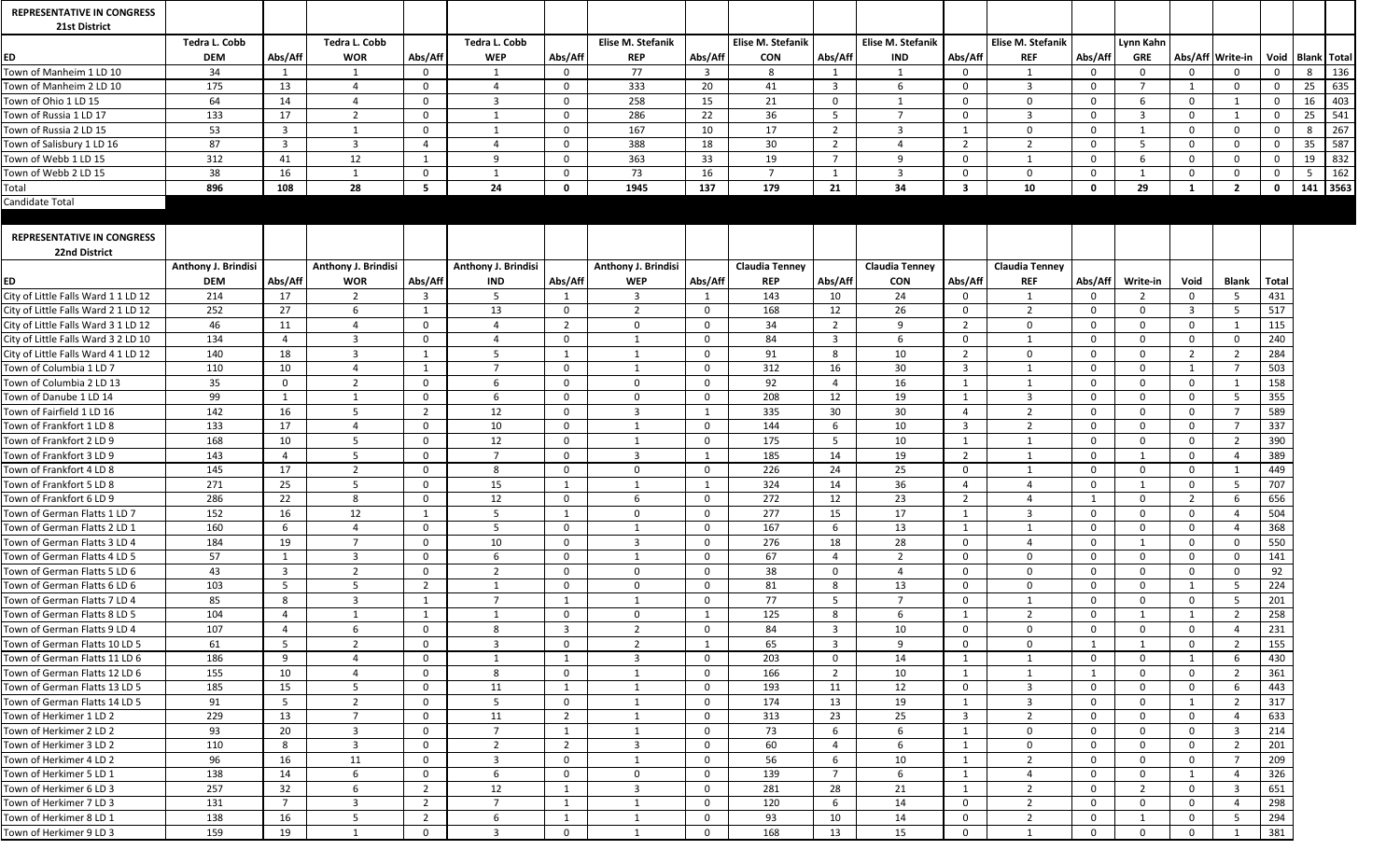| <b>REPRESENTATIVE IN CONGRESS</b>                         |                      |                         |                      |                |                      |                |                            |                |                       |                |                       |                         |                          |                |                |              |                  |              |                      |            |
|-----------------------------------------------------------|----------------------|-------------------------|----------------------|----------------|----------------------|----------------|----------------------------|----------------|-----------------------|----------------|-----------------------|-------------------------|--------------------------|----------------|----------------|--------------|------------------|--------------|----------------------|------------|
| 21st District                                             |                      |                         |                      |                |                      |                |                            |                |                       |                |                       |                         |                          |                |                |              |                  |              |                      |            |
|                                                           | <b>Tedra L. Cobb</b> |                         | <b>Tedra L. Cobb</b> |                | <b>Tedra L. Cobb</b> |                | Elise M. Stefanik          |                | Elise M. Stefanik     |                | Elise M. Stefanik     |                         | <b>Elise M. Stefanik</b> |                | Lynn Kahn      |              |                  |              |                      |            |
| ED                                                        | <b>DEM</b>           | Abs/Aff                 | <b>WOR</b>           | Abs/Aff        | <b>WEP</b>           | Abs/Aff        | <b>REP</b>                 | Abs/Aff        | <b>CON</b>            | Abs/Aff        | <b>IND</b>            | Abs/Aff                 | <b>REF</b>               | Abs/Aff        | <b>GRE</b>     |              | Abs/Aff Write-in |              | Void   Blank   Total |            |
| Town of Manheim 1 LD 10                                   | 34                   |                         |                      | $\mathbf{0}$   |                      |                | 77                         | $\overline{3}$ | 8                     |                |                       | $\overline{0}$          |                          | $\mathbf{0}$   | $\Omega$       |              | $\Omega$         |              |                      | 136        |
| Town of Manheim 2 LD 10                                   | 175                  | 13                      |                      | $\overline{0}$ |                      | $\Omega$       | 333                        | 20             | 41                    | $\mathbf{3}$   | -6                    | $\overline{0}$          | $\overline{3}$           | $\overline{0}$ | $\overline{7}$ |              | $\bf{0}$         | $\Omega$     | 25                   | 635        |
| Town of Ohio 1 LD 15                                      | 64                   | 14                      |                      | $\overline{0}$ | $\overline{3}$       | $\overline{0}$ | 258                        | 15             | 21                    | $\mathbf 0$    |                       | $\mathbf{0}$            | $\mathbf{0}$             | $\mathbf{0}$   |                | $\Omega$     |                  | $\mathbf 0$  | 16                   | 403        |
| Town of Russia 1 LD 17                                    | 133                  | 17                      |                      | $\mathbf{0}$   |                      | $\Omega$       | 286                        | 22             | 36                    | 5.             |                       | $\Omega$                | 3                        | $\Omega$       | 3              | $\Omega$     |                  | $\mathbf{0}$ | 25                   | 541        |
| Town of Russia 2 LD 15                                    | 53                   | $\overline{3}$          |                      | $\mathbf{0}$   |                      | $\Omega$       | 167                        | 10             | 17                    | $2^{\circ}$    | -3                    |                         | $\overline{0}$           | $\Omega$       |                | $\Omega$     | $\Omega$         | $\Omega$     | 8                    | 267        |
| Town of Salisbury 1 LD 16                                 | 87                   | $\overline{\mathbf{3}}$ |                      | 4              |                      | $\Omega$       | 388                        | 18             | 30 <sup>°</sup>       | $\overline{2}$ |                       | $\overline{2}$          |                          | $\Omega$       |                | $\Omega$     | $\mathbf 0$      |              | 35                   | 587        |
| Town of Webb 1 LD 15                                      | 312                  | 41                      | 12                   | -1             | q                    | $\Omega$       | 363                        | 33             | 19                    | $\overline{7}$ | -9                    | $\mathbf{0}$            |                          | $\Omega$       |                | $\Omega$     | $\mathbf 0$      | $\Omega$     | 19                   | 832        |
| Town of Webb 2 LD 15                                      | 38                   | 16                      |                      | $\overline{0}$ |                      |                | 73                         | 16             | $\overline{7}$        |                | $\mathbf{R}$          | $\mathbf{0}$            | $\Omega$                 | $\Omega$       |                | $\Omega$     | $\mathbf{0}$     |              |                      | 162        |
| Total                                                     | 896                  | 108                     | 28                   | 5              | 24                   | $\mathbf{0}$   | 1945                       | 137            | 179                   | 21             | 34                    | $\overline{\mathbf{3}}$ | 10                       | $\mathbf 0$    | 29             | $\mathbf 1$  | $\overline{2}$   | 0            |                      | $141$ 3563 |
| Candidate Total                                           |                      |                         |                      |                |                      |                |                            |                |                       |                |                       |                         |                          |                |                |              |                  |              |                      |            |
|                                                           |                      |                         |                      |                |                      |                |                            |                |                       |                |                       |                         |                          |                |                |              |                  |              |                      |            |
| <b>REPRESENTATIVE IN CONGRESS</b><br><b>22nd District</b> |                      |                         |                      |                |                      |                |                            |                |                       |                |                       |                         |                          |                |                |              |                  |              |                      |            |
|                                                           | Anthony J. Brindisi  |                         | Anthony J. Brindisi  |                | Anthony J. Brindisi  |                | <b>Anthony J. Brindisi</b> |                | <b>Claudia Tenney</b> |                | <b>Claudia Tenney</b> |                         | <b>Claudia Tenney</b>    |                |                |              |                  |              |                      |            |
| ED                                                        | <b>DEM</b>           | Abs/Aff                 | <b>WOR</b>           | Abs/Aff        | <b>IND</b>           | Abs/Aff        | <b>WEP</b>                 | Abs/Aff        | <b>REP</b>            | Abs/Aff        | <b>CON</b>            | Abs/Aff                 | <b>REF</b>               | Abs/Aff        | Write-in       | Void         | <b>Blank</b>     | <b>Total</b> |                      |            |
| City of Little Falls Ward 1 1 LD 12                       | 214                  | 17                      | 2                    | 3              | 5                    |                | 3                          |                | 143                   | 10             | 24                    | $\overline{0}$          | 1                        | $\Omega$       | $\mathcal{P}$  | $\Omega$     | -5               | 431          |                      |            |
| City of Little Falls Ward 2 1 LD 12                       | 252                  | 27                      | 6                    | -1             | 13                   | $\Omega$       | 2                          | $\Omega$       | 168                   | 12             | 26                    | $\Omega$                | 2                        | $\Omega$       | $\Omega$       |              | -5               | 517          |                      |            |
| City of Little Falls Ward 3 1 LD 12                       | 46                   | 11                      |                      | $\Omega$       |                      | 2              | 0                          | $\Omega$       | 34                    | $2^{\circ}$    | - q                   | $\overline{2}$          | $\Omega$                 | $\Omega$       | $\Omega$       | $\Omega$     |                  | 115          |                      |            |
| City of Little Falls Ward 3 2 LD 10                       | 134                  | -4                      | $\overline{3}$       | $\overline{0}$ |                      | $\mathbf{0}$   |                            | $\Omega$       | 84                    | $\overline{3}$ | 6                     | $\overline{0}$          | -1                       | $\overline{0}$ | $\Omega$       | $\Omega$     | $\bf{0}$         | 240          |                      |            |
| City of Little Falls Ward 4 1 LD 12                       | 140                  | 18                      | 3                    | -1             |                      |                |                            | $\Omega$       | 91                    | 8              | 10                    | $\overline{2}$          | $\mathbf{0}$             | $\mathbf{0}$   | $\Omega$       |              |                  | 284          |                      |            |
| Town of Columbia 1 LD 7                                   | 110                  | 10                      |                      | -1             |                      | $\overline{0}$ |                            | $\overline{0}$ | 312                   | 16             | 30                    | $\overline{\mathbf{3}}$ |                          | $\mathbf{0}$   | $\overline{0}$ |              |                  | 503          |                      |            |
| Town of Columbia 2 LD 13                                  | 35                   | $\overline{0}$          | ຳ                    | $\mathbf{0}$   |                      | $\Omega$       | $\Omega$                   | $\Omega$       | 92                    | $\overline{4}$ | 16                    |                         |                          | $\overline{0}$ | $\Omega$       | $\Omega$     |                  | 158          |                      |            |
| Town of Danube 1 LD 14                                    | 99                   |                         |                      | $\mathbf{0}$   |                      | $\Omega$       | <sup>n</sup>               | $\Omega$       | 208                   | 12             | 19                    |                         | 3                        | $\Omega$       | $\Omega$       | $\Omega$     |                  | 355          |                      |            |
| Town of Fairfield 1 LD 16                                 | 142                  | 16                      |                      | $\overline{2}$ | 12                   | $\Omega$       |                            |                | 335                   | 30             | 30                    | $\Delta$                | $\mathcal{D}$            | $\Omega$       | $\Omega$       |              |                  | 589          |                      |            |
| Town of Frankfort 1 LD 8                                  | 133                  | 17                      |                      | $\overline{0}$ | 10                   | $\Omega$       |                            | $\Omega$       | 144                   | 6              | 10 <sup>°</sup>       | $\overline{\mathbf{3}}$ | 2                        | $\overline{0}$ | $\Omega$       | $\Omega$     |                  | 337          |                      |            |
| Town of Frankfort 2 LD 9                                  | 168                  | 10                      | 5                    | $\overline{0}$ | 12                   | $\overline{0}$ |                            | $\mathbf{0}$   | 175                   | 5 <sup>5</sup> | 10                    |                         |                          | $\mathbf{0}$   | $\overline{0}$ | $\mathbf{0}$ | $\overline{2}$   | 390          |                      |            |
| Town of Frankfort 3 LD 9                                  | 143                  | $\overline{4}$          | $5\phantom{.0}$      | $\overline{0}$ | $\overline{7}$       | $\overline{0}$ | $\mathbf{3}$               | $\mathbf{1}$   | 185                   | 14             | 19                    | $\overline{2}$          | $\mathbf{1}$             | $\overline{0}$ | $\mathbf{1}$   | $\mathbf{0}$ |                  | 389          |                      |            |
| Town of Frankfort 4 LD 8                                  | 145                  | 17                      | 2                    | $\overline{0}$ | 8                    | $\overline{0}$ | $\overline{0}$             | $\overline{0}$ | 226                   | 24             | 25                    | $\overline{0}$          | 1                        | $\Omega$       | $\mathbf 0$    | $\Omega$     |                  | 449          |                      |            |
| Town of Frankfort 5 LD 8                                  | 271                  | 25                      | $5\overline{)}$      | $\overline{0}$ | 15                   |                |                            | $\overline{1}$ | 324                   | 14             | 36                    | $\overline{4}$          |                          | $\overline{0}$ |                | $\Omega$     | -5               | 707          |                      |            |
| Town of Frankfort 6 LD 9                                  | 286                  | 22                      | 8                    | $\mathbf{0}$   | 12                   | $\mathbf{0}$   | 6                          | $\Omega$       | 272                   | 12             | 23                    | $\overline{2}$          |                          |                | $\mathbf{0}$   |              | -6               | 656          |                      |            |
| Town of German Flatts 1 LD 7                              | 152                  | 16                      | 12                   | $\mathbf{1}$   | 5                    |                | $\Omega$                   | $\mathbf{0}$   | 277                   | 15             | 17                    |                         | $\overline{3}$           | $\overline{0}$ | $\mathbf 0$    | $\Omega$     |                  | 504          |                      |            |
| Town of German Flatts 2 LD 1                              | 160                  | -6                      |                      | $\overline{0}$ | 5                    | $\overline{0}$ |                            | $\mathbf{0}$   | 167                   | 6              | 13                    |                         |                          | $\mathbf{0}$   | $\Omega$       | $\Omega$     |                  | 368          |                      |            |
| Town of German Flatts 3 LD 4                              | 184                  | 19                      | $\overline{7}$       | $\mathbf{0}$   | 10                   | $\overline{0}$ | 3                          | $\Omega$       | 276                   | 18             | 28                    | $\overline{0}$          | 4                        | $\Omega$       |                | $\Omega$     | $\mathbf 0$      | 550          |                      |            |
| Town of German Flatts 4 LD 5                              | 57                   |                         | $\overline{3}$       | $\overline{0}$ | 6                    | $\overline{0}$ |                            | $\Omega$       | 67                    | 4              | $\overline{2}$        | $\overline{0}$          | $\mathbf{0}$             | $\overline{0}$ | $\overline{0}$ | $\Omega$     | $\mathbf 0$      | 141          |                      |            |
| Town of German Flatts 5 LD 6                              | 43                   | $\overline{\mathbf{3}}$ | $\overline{2}$       | $\mathbf{0}$   | $\overline{2}$       | $\Omega$       | $\Omega$                   | $\Omega$       | 38                    | $\mathbf{0}$   | $\Delta$              | $\Omega$                | $\Omega$                 | $\overline{0}$ | $\Omega$       | $\Omega$     | $\mathbf{0}$     | 92           |                      |            |
| Town of German Flatts 6 LD 6                              | 103                  | - 5                     | .5                   | $\overline{2}$ |                      | $\mathbf{0}$   | $\Omega$                   | $\Omega$       | 81                    | 8              | 13                    | $\Omega$                | $\Omega$                 | $\Omega$       | $\Omega$       |              | -5               | 224          |                      |            |
| Town of German Flatts 7 LD 4                              | 85                   | 8                       | $\overline{3}$       | $\mathbf{1}$   | $\overline{7}$       |                |                            | $\overline{0}$ | 77                    | 5 <sup>5</sup> | $\overline{7}$        | $\overline{0}$          | -1                       | $\mathbf{0}$   | $\overline{0}$ | $\Omega$     | 5                | 201          |                      |            |
| Town of German Flatts 8 LD 5                              | 104                  | $\overline{4}$          |                      | $\mathbf{1}$   | 1                    | $\overline{0}$ | $\overline{0}$             | 1              | 125                   | 8              | 6                     |                         | $\overline{2}$           | $\overline{0}$ |                |              | $\overline{2}$   | 258          |                      |            |
| Town of German Flatts 9 LD 4                              | 107                  | $\overline{4}$          | 6                    | $\overline{0}$ | 8                    | $\mathbf{3}$   | $\mathcal{D}$              | $\mathbf{0}$   | 84                    | $\overline{3}$ | 10                    | $\overline{0}$          | $\mathbf{0}$             | $\mathbf 0$    | $\mathbf{0}$   | $\Omega$     |                  | 231          |                      |            |
| Town of German Flatts 10 LD 5                             | 61                   | $5\overline{5}$         | $\overline{2}$       | $\overline{0}$ | $\overline{3}$       | $\overline{0}$ | $\overline{2}$             | -1             | 65                    | $\overline{3}$ | 9                     | $\overline{0}$          | $\mathbf{0}$             | $\mathbf{1}$   |                | $\mathbf{0}$ | $\overline{2}$   | 155          |                      |            |
| Town of German Flatts 11 LD 6                             | 186                  | 9                       |                      | $\overline{0}$ |                      |                | 3                          | $\mathbf{0}$   | 203                   | $\mathbf{0}$   | 14                    |                         |                          | $\mathbf{0}$   | $\mathbf{0}$   |              | -6               | 430          |                      |            |
| Town of German Flatts 12 LD 6                             | 155                  | 10                      |                      | $\mathbf{0}$   | 8                    | $\mathbf{0}$   |                            | $\Omega$       | 166                   | $2^{\circ}$    | 10                    |                         |                          |                | $\Omega$       | $\Omega$     | 2                | 361          |                      |            |
| Town of German Flatts 13 LD 5                             | 185                  | 15                      | $5\overline{)}$      | $\overline{0}$ | 11                   |                |                            | $\overline{0}$ | 193                   | 11             | 12                    | $\bf{0}$                | $\overline{3}$           | $\Omega$       | $\mathbf 0$    | $\Omega$     | -6               | 443          |                      |            |
| Town of German Flatts 14 LD 5                             | 91                   | $5\phantom{.0}$         | $\overline{2}$       | $\overline{0}$ | 5                    | $\overline{0}$ |                            | $\overline{0}$ | 174                   | 13             | 19                    |                         | $\overline{3}$           | $\mathbf{0}$   | $\mathbf{0}$   |              | $\overline{2}$   | 317          |                      |            |
| Town of Herkimer 1 LD 2                                   | 229                  | 13                      | $\overline{7}$       | $\overline{0}$ | 11                   | $\overline{2}$ |                            | $\overline{0}$ | 313                   | 23             | 25                    | $\overline{\mathbf{3}}$ | $\overline{2}$           | $\Omega$       | $\overline{0}$ | $\Omega$     |                  | 633          |                      |            |
| Town of Herkimer 2 LD 2                                   | 93                   | 20                      | $\overline{3}$       | $\overline{0}$ | $\overline{7}$       |                |                            | $\overline{0}$ | 73                    | 6              | 6                     |                         | $\mathbf{0}$             | $\overline{0}$ | $\overline{0}$ | $\Omega$     | $\overline{3}$   | 214          |                      |            |
| Town of Herkimer 3 LD 2                                   | 110                  | 8                       | $\overline{3}$       | $\mathbf{0}$   | $\overline{2}$       | $2^{\circ}$    | 3                          | $\overline{0}$ | 60                    | $\overline{a}$ | -6                    |                         | $\mathbf{0}$             | $\mathbf 0$    | $\mathbf{0}$   | $\Omega$     | $\overline{2}$   | 201          |                      |            |
| Town of Herkimer 4 LD 2                                   | 96                   | 16                      | 11                   | $\overline{0}$ | $\overline{3}$       | $\overline{0}$ |                            | $\overline{0}$ | 56                    | 6              | 10                    |                         | $\overline{2}$           | $\overline{0}$ | $\overline{0}$ | $\Omega$     |                  | 209          |                      |            |
| Town of Herkimer 5 LD 1                                   | 138                  | 14                      | 6                    | $\overline{0}$ | 6                    | $\overline{0}$ | $\Omega$                   | $\overline{0}$ | 139                   | $\overline{7}$ | -6                    |                         |                          | $\mathbf 0$    | $\mathbf{0}$   |              |                  | 326          |                      |            |
| Town of Herkimer 6 LD 3                                   | 257                  | 32                      | 6                    | $\overline{2}$ | 12                   |                | 3                          | $\overline{0}$ | 281                   | 28             | 21                    |                         | $\overline{2}$           | $\overline{0}$ | 2              | $\mathbf{0}$ | $\overline{3}$   | 651          |                      |            |
| Town of Herkimer 7 LD 3                                   | 131                  | $\overline{7}$          | 3                    | $\overline{2}$ | $\overline{7}$       |                |                            | $\overline{0}$ | 120                   | 6              | 14                    | $\mathbf{0}$            | -2                       | $\Omega$       | $\Omega$       | $\Omega$     |                  | 298          |                      |            |
| Town of Herkimer 8 LD 1                                   | 138                  | 16                      | -5                   | $\overline{2}$ | 6                    |                |                            | $\Omega$       | 93                    | 10             | 14                    | $\Omega$                | $\overline{2}$           | $\Omega$       |                | $\Omega$     | -5               | 294          |                      |            |
| Town of Herkimer 9 LD 3                                   | 159                  | 19                      |                      | $\overline{0}$ | -3                   | $\Omega$       |                            |                | 168                   | 13             | 15                    | $\overline{0}$          |                          | $\Omega$       | $\Omega$       | $\Omega$     |                  | 381          |                      |            |
|                                                           |                      |                         |                      |                |                      |                |                            |                |                       |                |                       |                         |                          |                |                |              |                  |              |                      |            |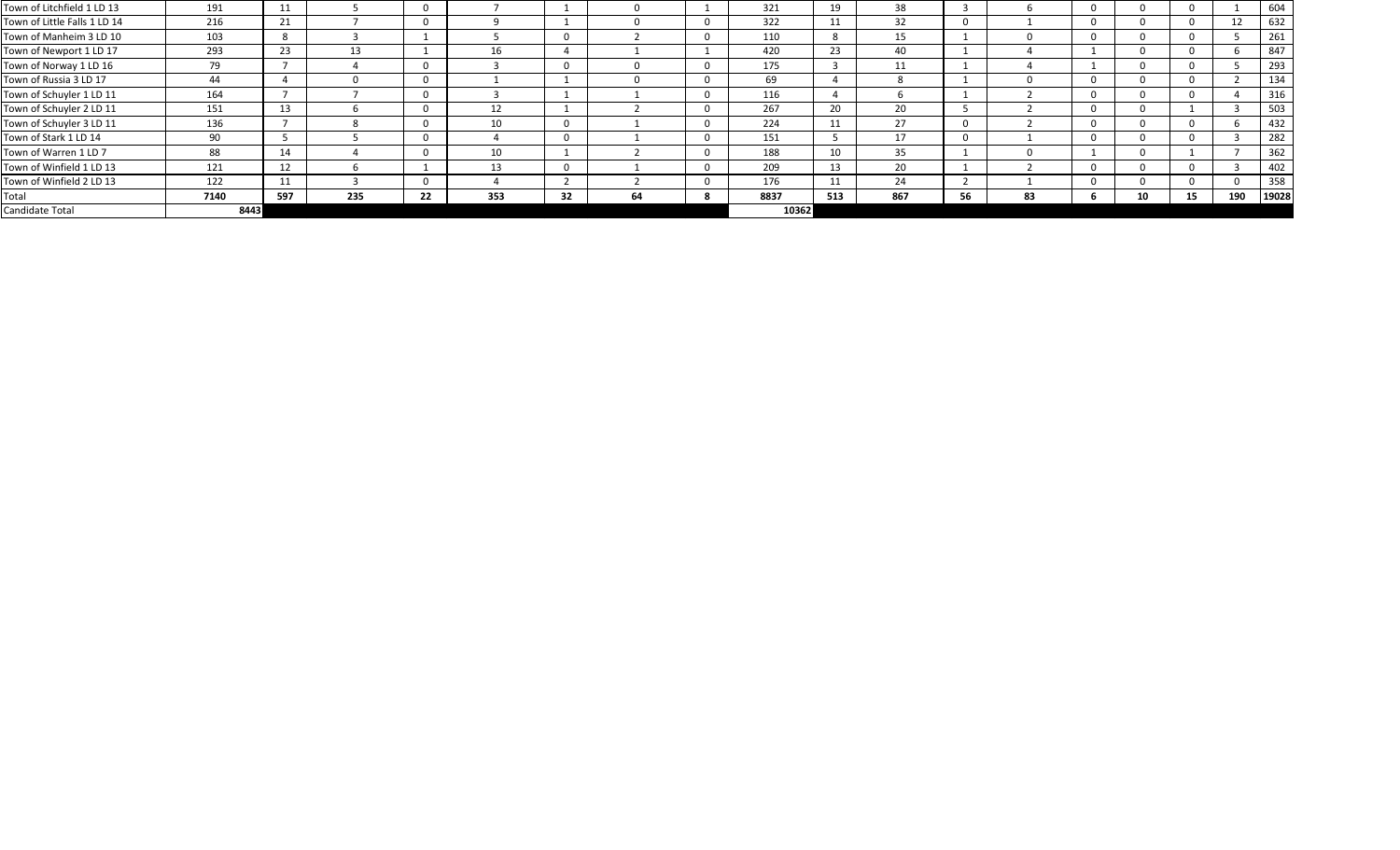| Town of Litchfield 1 LD 13   | 191  | 11  |     |    |     |    |    | 321   | 19  | 38  |    |    |      |    |     | 604   |
|------------------------------|------|-----|-----|----|-----|----|----|-------|-----|-----|----|----|------|----|-----|-------|
| Town of Little Falls 1 LD 14 | 216  | 21  |     |    |     |    |    | 322   | 11  | 32  |    |    |      |    | 12  | 632   |
| Town of Manheim 3 LD 10      | 103  | 8   |     |    |     |    |    | 110   | -8  | 15  |    |    |      |    |     | 261   |
| Town of Newport 1 LD 17      | 293  | 23  | 13  |    | Τp  |    |    | 420   | 23  | 40  |    |    |      |    |     | 847   |
| Town of Norway 1 LD 16       | 79   |     |     |    |     |    |    | 175   |     | 11  |    |    |      |    |     | 293   |
| Town of Russia 3 LD 17       | 44   |     |     |    |     |    |    | 69    |     |     |    |    |      |    |     | 134   |
| Town of Schuyler 1 LD 11     | 164  |     |     |    |     |    |    | 116   |     |     |    |    |      |    |     | 316   |
| Town of Schuyler 2 LD 11     | 151  | 13  |     |    | 12  |    |    | 267   | 20  | 20  |    |    |      |    |     | 503   |
| Town of Schuyler 3 LD 11     | 136  |     |     |    | 10  |    |    | 224   | 11  | 27  |    |    | - 11 |    |     | 432   |
| Town of Stark 1 LD 14        | 90   |     |     |    |     |    |    | 151   |     | 17  |    |    |      |    |     | 282   |
| Town of Warren 1 LD 7        | 88   | 14  |     |    | 10  |    |    | 188   | 10  | 35  |    |    |      |    |     | 362   |
| Town of Winfield 1 LD 13     | 121  | 12  |     |    | 13  |    |    | 209   | 13  | 20  |    |    |      |    |     | 402   |
| Town of Winfield 2 LD 13     | 122  | 11  |     |    |     |    |    | 176   | 11  | 24  |    |    |      |    |     | 358   |
| Total                        | 7140 | 597 | 235 | 22 | 353 | 32 | 64 | 8837  | 513 | 867 | 56 | 83 |      | 15 | 190 | 19028 |
| Candidate Total              | 8443 |     |     |    |     |    |    | 10362 |     |     |    |    |      |    |     |       |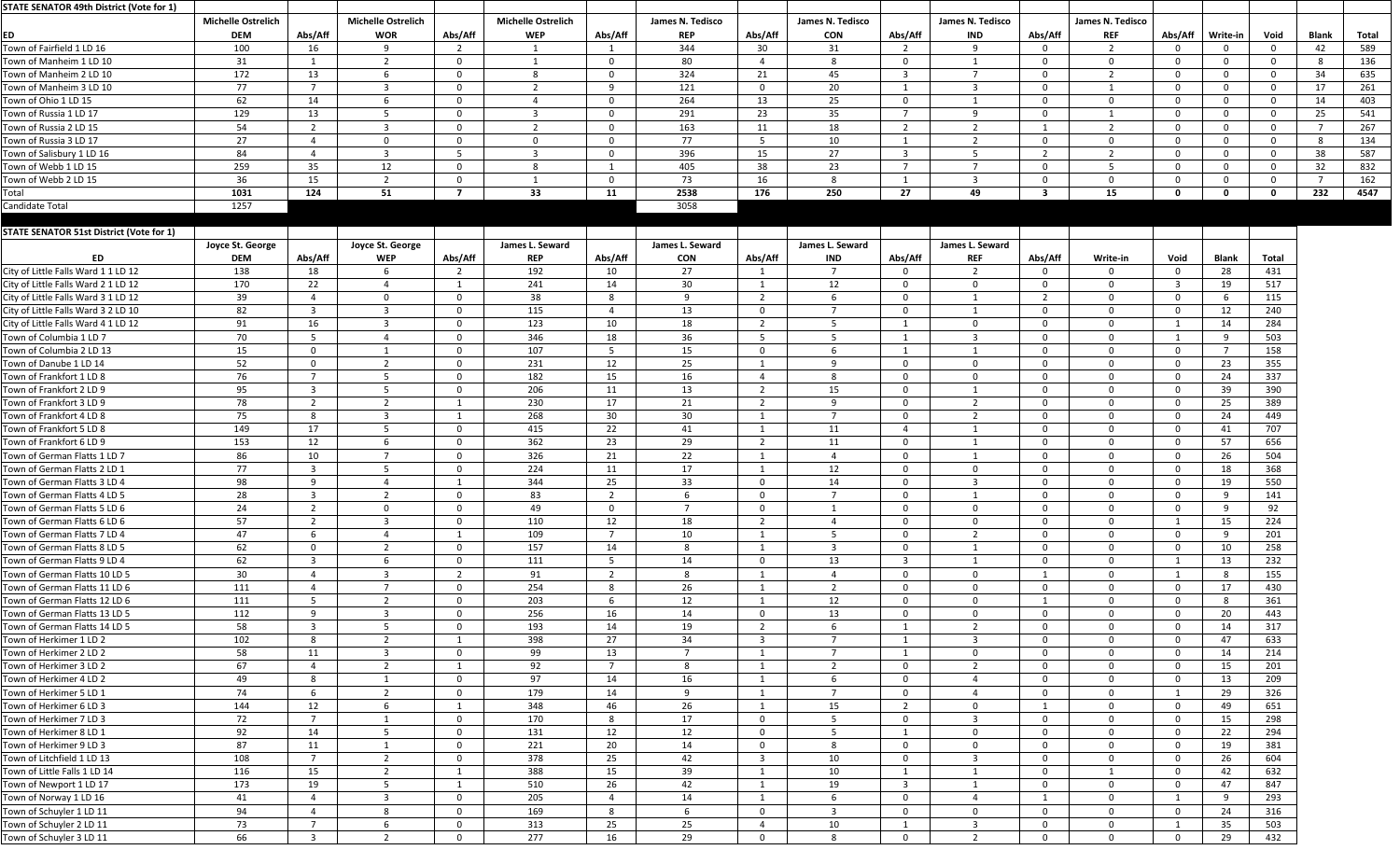| STATE SENATOR 49th District (Vote for 1)        |                                         |                |                                         |                |                                         |                 |                                |                |                                |                         |                                |                |                                |                |              |                |              |       |
|-------------------------------------------------|-----------------------------------------|----------------|-----------------------------------------|----------------|-----------------------------------------|-----------------|--------------------------------|----------------|--------------------------------|-------------------------|--------------------------------|----------------|--------------------------------|----------------|--------------|----------------|--------------|-------|
| ED                                              | <b>Michelle Ostrelich</b><br><b>DEM</b> | Abs/Aff        | <b>Michelle Ostrelich</b><br><b>WOR</b> | Abs/Aff        | <b>Michelle Ostrelich</b><br><b>WEP</b> | Abs/Aff         | James N. Tedisco<br><b>REP</b> | Abs/Aff        | James N. Tedisco<br><b>CON</b> | Abs/Aff                 | James N. Tedisco<br><b>IND</b> | Abs/Aff        | James N. Tedisco<br><b>REF</b> | Abs/Aff        | Write-in     | Void           | <b>Blank</b> | Total |
| Town of Fairfield 1 LD 16                       | 100                                     | 16             | -9                                      | - 2            |                                         |                 | 344                            | 30             | 31                             | $\overline{2}$          | 9                              | $\Omega$       |                                | $\overline{0}$ |              | $\Omega$       | 42           | 589   |
| Town of Manheim 1 LD 10                         | 31                                      |                | $\overline{2}$                          | $\Omega$       | $\overline{1}$                          | $\cap$          | 80                             |                | 8                              | $\overline{0}$          | 1                              | $\overline{0}$ | $\Omega$                       | $\Omega$       |              | $\Omega$       |              | 136   |
| Town of Manheim 2 LD 10                         | 172                                     | 13             | -6                                      | - 0            | -8                                      | - 0             | 324                            | 21             | 45                             | -3                      | $\overline{7}$                 | $\overline{0}$ | $\overline{2}$                 | $\Omega$       |              | $\Omega$       | 34           | 635   |
| Town of Manheim 3 LD 10                         | 77                                      | $\overline{7}$ | -3                                      | - 0            |                                         | ۹               | 121                            | $\Omega$       | 20                             |                         | 3                              | $\Omega$       |                                | $\Omega$       |              | $\Omega$       | 17           | 261   |
| Town of Ohio 1 LD 15                            | 62                                      | 14             | 6                                       | $\Omega$       |                                         | $\Omega$        | 264                            | 13             | 25                             | $\overline{0}$          | -1                             | $\mathbf{0}$   | $\Omega$                       | $\Omega$       |              | $\Omega$       | 14           | 403   |
| Town of Russia 1 LD 17                          | 129                                     | 13             | $5\overline{)}$                         | - 0            | -3                                      | - 0             | 291                            | 23             | 35                             | - 7                     | 9                              | $\mathbf{0}$   |                                | $\overline{0}$ |              | $\Omega$       | 25           | 541   |
| Town of Russia 2 LD 15                          | 54                                      | $\overline{2}$ | 3                                       | $\Omega$       | $\overline{2}$                          | $\cap$          | 163                            | 11             | 18                             | $\overline{2}$          | $\overline{2}$                 |                | ຳ                              | $\Omega$       |              | $\Omega$       |              | 267   |
| Town of Russia 3 LD 17                          | 27                                      |                | $\mathbf 0$                             | - റ            | - 0                                     | $\Omega$        | 77                             |                | 10                             |                         | $\overline{2}$                 | $\Omega$       | $\Omega$                       | $\Omega$       |              | $\Omega$       |              | 134   |
| Town of Salisbury 1 LD 16                       | 84                                      |                | $\overline{3}$                          | - 5            | ्द                                      | $\Omega$        | 396                            | 15             | 27                             | -3                      | 5                              | $\overline{2}$ | $\overline{2}$                 | $\overline{0}$ |              | $\Omega$       | 38           | 587   |
| Town of Webb 1 LD 15                            | 259                                     | 35             | 12                                      | $\Omega$       | 8                                       |                 | 405                            | 38             | 23                             | - 7                     | $\overline{7}$                 | $\mathbf 0$    | 5 <sub>1</sub>                 | $\Omega$       |              | $\Omega$       | 32           | 832   |
| Town of Webb 2 LD 15                            | 36                                      | 15             | $\overline{2}$                          | $\overline{0}$ | $\mathbf{1}$                            | $\Omega$        | 73                             | 16             | - 8                            |                         | $\overline{3}$                 | $\Omega$       | $\Omega$                       | $\mathbf 0$    |              | $\overline{0}$ |              | 162   |
| Total                                           | 1031                                    | 124            | 51                                      | $\overline{z}$ | 33                                      | 11              | 2538                           | 176            | 250                            | 27                      | 49                             | -3             | 15                             | $\Omega$       |              | $\mathbf{0}$   | 232          | 4547  |
| Candidate Total                                 | 1257                                    |                |                                         |                |                                         |                 | 3058                           |                |                                |                         |                                |                |                                |                |              |                |              |       |
|                                                 |                                         |                |                                         |                |                                         |                 |                                |                |                                |                         |                                |                |                                |                |              |                |              |       |
| <b>STATE SENATOR 51st District (Vote for 1)</b> |                                         |                |                                         |                |                                         |                 |                                |                |                                |                         |                                |                |                                |                |              |                |              |       |
|                                                 | Joyce St. George                        |                | Joyce St. George                        |                | James L. Seward                         |                 | James L. Seward                |                | James L. Seward                |                         | James L. Seward                |                |                                |                |              |                |              |       |
| <b>ED</b>                                       | <b>DEM</b>                              | Abs/Aff        | <b>WEP</b>                              | Abs/Aff        | <b>REP</b>                              | Abs/Aff         | <b>CON</b>                     | Abs/Aff        | <b>IND</b>                     | Abs/Aff                 | <b>REF</b>                     | Abs/Aff        | Write-in                       | Void           | <b>Blank</b> | Total          |              |       |
| City of Little Falls Ward 1 1 LD 12             | 138                                     | 18             | 6                                       | $\overline{2}$ | 192                                     | 10              | 27                             |                | $\overline{7}$                 | $\mathbf{0}$            | 2                              | $\overline{0}$ | $\Omega$                       | $\overline{0}$ | 28           | 431            |              |       |
| City of Little Falls Ward 2 1 LD 12             | 170                                     | 22             |                                         |                | 241                                     | 14              | 30                             |                | 12                             | $\overline{0}$          | $\overline{0}$                 | $\overline{0}$ | - 0                            | - 3            | 19           | 517            |              |       |
| City of Little Falls Ward 3 1 LD 12             | 39                                      | $\Lambda$      | $\overline{0}$                          | $\overline{0}$ | 38                                      | -8              | 9                              | ຳ              |                                | $\overline{0}$          | $\overline{\mathbf{1}}$        | $\mathcal{D}$  | - 0                            | $\Omega$       |              | 115            |              |       |
| City of Little Falls Ward 3 2 LD 10             | 82                                      | - 3            | $\overline{3}$                          | -0             | 115                                     |                 | 13                             |                |                                | $\Omega$                |                                | $\Omega$       | - 0                            | $\Omega$       | 12           | 240            |              |       |
| City of Little Falls Ward 4 1 LD 12             | 91                                      | 16             | $\overline{3}$                          | - 0            | 123                                     | 10              | 18                             |                |                                |                         | $\overline{0}$                 | $\Omega$       | - 0                            |                | 14           | 284            |              |       |
| Town of Columbia 1 LD 7                         | 70                                      |                | $\boldsymbol{\Lambda}$                  | $\Omega$       | 346                                     | 18              | 36                             |                | 5                              |                         | $\overline{3}$                 | $\mathbf 0$    | $\Omega$                       |                |              | 503            |              |       |
| Town of Columbia 2 LD 13                        | 15                                      | $\Omega$       |                                         | $\Omega$       | 107                                     | -5              | 15                             | $\cap$         |                                |                         | $\mathbf{1}$                   | $\overline{0}$ | - 0                            | $\Omega$       |              | 158            |              |       |
| Town of Danube 1 LD 14                          | 52                                      | $\Omega$       | $\overline{2}$                          | $\Omega$       | 231                                     | 12              | 25                             |                | $\mathsf{q}$                   | $\overline{0}$          | $\overline{0}$                 | $\mathbf 0$    | - 0                            | $\Omega$       | 23           | 355            |              |       |
| Town of Frankfort 1 LD 8                        | 76                                      | $\overline{7}$ | -5                                      | - 0            | 182                                     | 15              | 16                             |                |                                | 0                       | $\mathbf 0$                    | $\Omega$       | $\Omega$                       | $\overline{0}$ | 24           | 337            |              |       |
| Town of Frankfort 2 LD 9                        | 95                                      | $\overline{3}$ | -5                                      | - 0            | 206                                     | 11              | 13                             | - 2            | 15                             | $\mathbf{0}$            | -1                             | $\overline{0}$ | - 0                            | $\overline{0}$ | 39           | 390            |              |       |
| Town of Frankfort 3 LD 9                        | 78                                      | $\overline{2}$ | $\overline{2}$                          |                | 230                                     | 17              | 21                             | $\overline{2}$ | $\mathbf{q}$                   | $\overline{0}$          | 2                              | $\overline{0}$ | $\Omega$                       | $\mathbf 0$    | 25           | 389            |              |       |
| Town of Frankfort 4 LD 8                        | 75                                      | 8              | $\overline{\mathbf{3}}$                 | $\mathbf{1}$   | 268                                     | 30 <sup>°</sup> | 30 <sup>°</sup>                | $\mathbf{1}$   | $7\overline{ }$                | $\overline{0}$          | $\overline{2}$                 | $\overline{0}$ | $\overline{0}$                 | $\overline{0}$ | 24           | 449            |              |       |
| Town of Frankfort 5 LD 8                        | 149                                     | 17             | -5.                                     | $\Omega$       | 415                                     | 22              | 41                             |                | 11                             |                         |                                | $\Omega$       | - 0                            | $\Omega$       | 41           | 707            |              |       |
| Town of Frankfort 6 LD 9                        | 153                                     | 12             | 6                                       |                | 362                                     | 23              | 29                             |                | 11                             | $\Omega$                |                                | $\Omega$       | $\Omega$                       | $\overline{0}$ | 57           | 656            |              |       |
| Town of German Flatts 1 LD 7                    | 86                                      | 10             | $\overline{7}$                          | - 0            | 326                                     | 21              | 22                             |                |                                | $\Omega$                |                                | $\Omega$       | - 0                            | $\Omega$       | 26           | 504            |              |       |
| Town of German Flatts 2 LD 1                    | 77                                      | $\overline{3}$ | $5\overline{)}$                         | $\overline{0}$ | 224                                     | 11              | 17                             |                | 12                             | $\Omega$                | $\mathbf 0$                    | $\mathbf 0$    | $\Omega$                       | $\Omega$       | 18           | 368            |              |       |
| Town of German Flatts 3 LD 4                    | 98                                      | <b>Q</b>       | $\overline{4}$                          |                | 344                                     | 25              | 33                             | $\Omega$       | 14                             | $\overline{0}$          | $\overline{3}$                 | $\mathbf 0$    | - 0                            | $\Omega$       | 19           | 550            |              |       |
| Town of German Flatts 4 LD 5                    | 28                                      | -3             | 2                                       | - 0            | 83                                      | 2               | 6                              | $\cap$         | - 7                            | $\Omega$                | -1                             | $\Omega$       | - 0                            | $\Omega$       | Q            | 141            |              |       |
| Town of German Flatts 5 LD 6                    | 24                                      | $\overline{2}$ | $\mathbf 0$                             | - 0            | 49                                      | $\Omega$        | <u> 7</u>                      | $\Omega$       |                                | $\mathbf{0}$            | $\mathbf 0$                    | $\Omega$       | $\Omega$                       | $\Omega$       | ۰Q           | 92             |              |       |
| Town of German Flatts 6 LD 6                    | 57                                      | $\overline{2}$ | $\overline{3}$                          | - 0            | 110                                     | 12              | 18                             | ົາ             |                                | $\Omega$                | $\overline{0}$                 | $\overline{0}$ | - 0                            |                | 15           | 224            |              |       |
| Town of German Flatts 7 LD 4                    | 47                                      | -6             | $\boldsymbol{\Lambda}$                  |                | 109                                     | $\overline{z}$  | 10                             |                | -5                             | $\overline{0}$          | $\overline{2}$                 | $\mathbf 0$    | റ                              | $\Omega$       | <b>Q</b>     | 201            |              |       |
| Town of German Flatts 8 LD 5                    | 62                                      | $\Omega$       | $\overline{2}$                          | $\Omega$       | 157                                     | 14              | 8                              |                | $\overline{3}$                 | $\overline{0}$          | $\overline{\mathbf{1}}$        | $\overline{0}$ | - 0                            | $\Omega$       | 10           | 258            |              |       |
| Town of German Flatts 9 LD 4                    | 62                                      | - 3            | -6                                      | - 0            | 111                                     | -5              | 14                             | $\cap$         | 13                             | -3                      |                                | $\Omega$       | - 0                            |                | 13           | 232            |              |       |
| Town of German Flatts 10 LD 5                   | 30                                      |                | $\overline{3}$                          | - 2            | 91                                      | $\overline{2}$  | 8                              |                |                                | $\mathbf{0}$            | $\mathbf 0$                    |                | $\Omega$                       |                |              | 155            |              |       |
| Town of German Flatts 11 LD 6                   | 111                                     |                | $\overline{ }$                          | $\Omega$       | 254                                     | 8               | 26                             |                | $\overline{2}$                 | $\Omega$                | $\overline{0}$                 | $\mathbf 0$    | - 0                            | $\Omega$       | 17           | 430            |              |       |
| Town of German Flatts 12 LD 6                   | 111                                     | - 5            | $\overline{2}$                          | - 0            | 203                                     |                 | 12                             |                | 12                             | $\Omega$                | $\mathbf 0$                    |                | റ                              | $\Omega$       |              | 361            |              |       |
| Town of German Flatts 13 LD 5                   | 112                                     | -9             | $\overline{3}$                          | $\Omega$       | 256                                     | 16              | 14                             | $\Omega$       | 13                             | $\overline{0}$          | $\overline{0}$                 | $\overline{0}$ | - 0                            | $\Omega$       | 20           | 443            |              |       |
| Town of German Flatts 14 LD 5                   | 58                                      | - 3            | -5                                      | - റ            | 193                                     | 14              | 19                             |                |                                |                         | $\overline{2}$                 | $\Omega$       | - 0                            | - 0            | 14           | 317            |              |       |
| Town of Herkimer 1 LD 2                         | 102                                     | -8             | $\overline{2}$                          |                | 398                                     | 27              | 34                             | $\overline{3}$ |                                |                         | $\overline{3}$                 | $\overline{0}$ | $\Omega$                       | $\overline{0}$ | 47           | 633            |              |       |
| Town of Herkimer 2 LD 2                         | 58                                      | 11             | -3                                      | $\Omega$       | 99                                      | 13              | $\overline{ }$                 |                | $\overline{ }$                 |                         | $\overline{0}$                 | $\mathbf 0$    | - 0                            | $\Omega$       | 14           | 214            |              |       |
| Town of Herkimer 3 LD 2                         | 67                                      | 4              | $\overline{2}$                          |                | 92                                      | $\overline{z}$  | 8                              |                | $\overline{2}$                 | $\Omega$                | $\overline{2}$                 | $\mathbf 0$    | $\Omega$                       | $\Omega$       | 15           | 201            |              |       |
| Town of Herkimer 4 LD 2                         | 49                                      | -8             |                                         | - 0            | 97                                      | 14              | 16                             |                | -6                             | $\mathbf{0}$            | $\overline{a}$                 | $\overline{0}$ | - 0                            | $\Omega$       | 13           | 209            |              |       |
| Town of Herkimer 5 LD 1                         | 74                                      |                | $\overline{2}$                          |                | 179                                     | 14              | q                              |                |                                | $\Omega$                |                                | $\Omega$       |                                |                | 29           | 326            |              |       |
| Town of Herkimer 6 LD 3                         | 144                                     | 12             | -6                                      |                | 348                                     | 46              | 26                             |                | 15                             | $\overline{2}$          | $\mathbf{0}$                   |                | $\Omega$                       | $\overline{0}$ | 49           | 651            |              |       |
| Town of Herkimer 7 LD 3                         | 72                                      | $\overline{7}$ |                                         | - 0            | 170                                     | -8              | 17                             | $\Omega$       | -5                             | $\overline{0}$          | $\overline{3}$                 | $\mathbf 0$    | - 0                            | $\Omega$       | 15           | 298            |              |       |
| Town of Herkimer 8 LD 1                         | 92                                      | 14             | 5                                       | - 0            | 131                                     | 12              | 12                             | $\cap$         | -5                             |                         | $\overline{0}$                 | $\mathbf 0$    | $\Omega$                       | $\Omega$       | 22           | 294            |              |       |
| Town of Herkimer 9 LD 3                         | 87                                      | 11             |                                         | - 0            | 221                                     | 20              | 14                             | $\cap$         | -8                             | $\Omega$                | $\overline{0}$                 | $\overline{0}$ | - 0                            | $\Omega$       | 19           | 381            |              |       |
| Town of Litchfield 1 LD 13                      | 108                                     | $\overline{7}$ | $\overline{2}$                          | - 0            | 378                                     | 25              | 42                             |                | 10                             | $\Omega$                | 3                              | $\Omega$       | - 0                            | $\overline{0}$ | 26           | 604            |              |       |
| Town of Little Falls 1 LD 14                    | 116                                     | 15             | $\overline{2}$                          |                | 388                                     | 15              | 39                             |                | 10                             |                         | -1                             | $\mathbf 0$    |                                | $\overline{0}$ | 42           | 632            |              |       |
| Town of Newport 1 LD 17                         | 173                                     | 19             | $5\overline{)}$                         |                | 510                                     | 26              | 42                             |                | 19                             | $\overline{\mathbf{3}}$ |                                | $\mathbf 0$    | - 0                            | $\overline{0}$ | 47           | 847            |              |       |
| Town of Norway 1 LD 16                          | 41                                      | $\Lambda$      | 3                                       | $\overline{0}$ | 205                                     |                 | 14                             |                | -6                             | $\overline{0}$          | $\overline{4}$                 |                | - 0                            |                | __           | 293            |              |       |
| Town of Schuyler 1 LD 11                        | 94                                      |                | 8                                       |                | 169                                     |                 |                                |                | $\overline{3}$                 | $\Omega$                | $\overline{0}$                 | $\Omega$       |                                | - 0            | 24           | 316            |              |       |
| Town of Schuyler 2 LD 11                        | 73                                      | $\overline{z}$ |                                         |                | 313                                     | 25              | 25                             |                | 10                             |                         | ີ                              | $\cap$         |                                |                | 35           | 503            |              |       |
| Town of Schuyler 3 LD 11                        | 66                                      |                |                                         | $\Omega$       | 277                                     | 16              | 29                             |                |                                | $\Omega$                |                                | $\Omega$       |                                |                | 29           | 432            |              |       |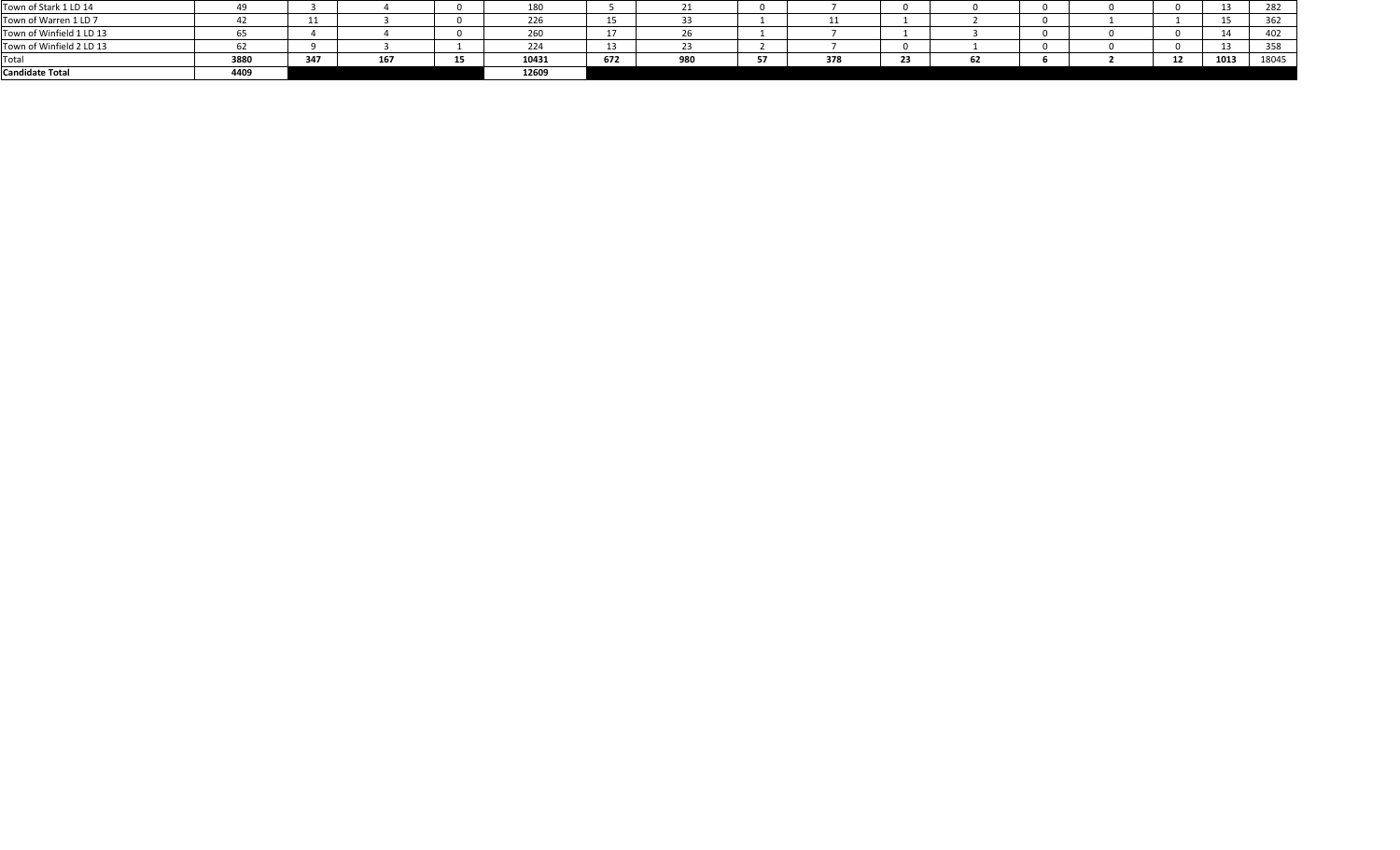| <b>Candidate Total</b>   | 4409 |     |     |    | 12609                 |     |     |     |                      |    |  |                     |      |       |
|--------------------------|------|-----|-----|----|-----------------------|-----|-----|-----|----------------------|----|--|---------------------|------|-------|
| Total                    | 3880 | 347 | 167 | 15 | 10431                 | 672 | 980 | 378 | <b>Section</b><br>23 | ОZ |  | $\ddot{\sim}$<br>ᅩᄼ | 1013 | 18045 |
| Town of Winfield 2 LD 13 |      |     |     |    | $\mathcal{L}$<br>بے ے | --  |     |     |                      |    |  |                     |      | 358   |
| Town of Winfield 1 LD 13 |      |     |     |    | 260                   |     |     |     |                      |    |  |                     |      | 402   |
| Town of Warren 1 LD 7    |      |     |     |    | 226                   | ᅩ   |     |     |                      |    |  |                     |      | 362   |
| Town of Stark 1 LD 14    |      |     |     |    | 180                   |     |     |     |                      |    |  |                     | --   | 282   |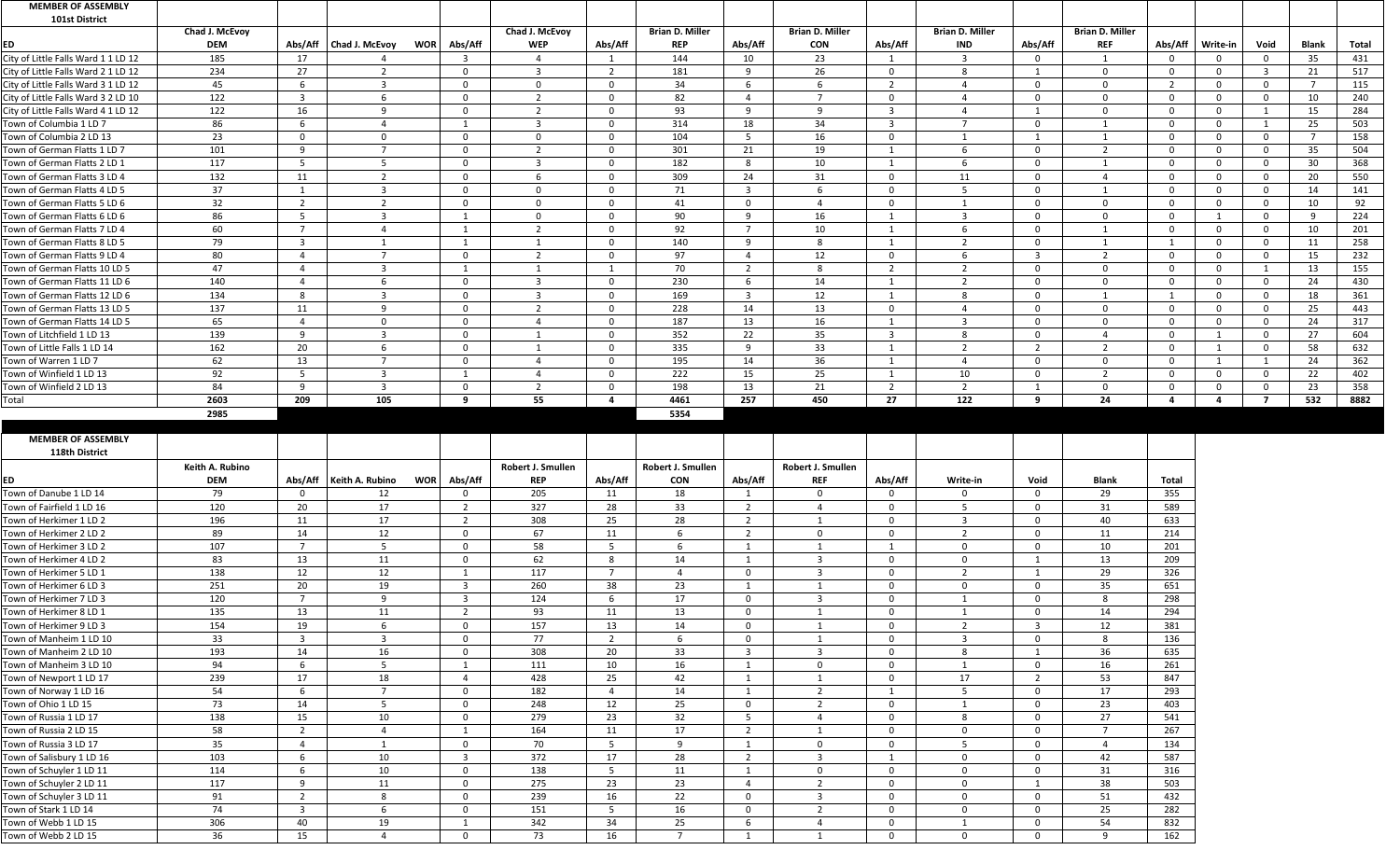| <b>MEMBER OF ASSEMBLY</b>                                                                                                                                       |                 |                      |                                         |                |                   |              |                        |                       |                         |                         |                        |                |                          |                |          |                |                 |       |
|-----------------------------------------------------------------------------------------------------------------------------------------------------------------|-----------------|----------------------|-----------------------------------------|----------------|-------------------|--------------|------------------------|-----------------------|-------------------------|-------------------------|------------------------|----------------|--------------------------|----------------|----------|----------------|-----------------|-------|
| <b>101st District</b>                                                                                                                                           |                 |                      |                                         |                |                   |              |                        |                       |                         |                         |                        |                |                          |                |          |                |                 |       |
|                                                                                                                                                                 | Chad J. McEvoy  |                      |                                         |                | Chad J. McEvoy    |              | <b>Brian D. Miller</b> |                       | <b>Brian D. Miller</b>  |                         | <b>Brian D. Miller</b> |                | <b>Brian D. Miller</b>   |                |          |                |                 |       |
| ED                                                                                                                                                              | <b>DEM</b>      |                      | Abs/Aff   Chad J. McEvoy<br><b>WOR</b>  | Abs/Aff        | <b>WEP</b>        | Abs/Aff      | <b>REP</b>             | Abs/Aff               | <b>CON</b>              | Abs/Aff                 | <b>IND</b>             | Abs/Aff        | <b>REF</b>               | Abs/Aff        | Write-in | Void           | <b>Blank</b>    | Total |
| City of Little Falls Ward 1 1 LD 12                                                                                                                             | 185             | 17                   |                                         |                |                   |              | 144                    | 10                    | 23                      |                         |                        |                |                          | 0              |          | $\Omega$       | 35              | 431   |
| City of Little Falls Ward 2 1 LD 12                                                                                                                             | 234             | 27                   | $\mathcal{D}$                           |                | $\mathbf{R}$      |              | 181                    | 9                     | 26                      | $\Omega$                | -8                     |                |                          | $\cap$         | $\Omega$ | ्२             | 21              | 517   |
| City of Little Falls Ward 3 1 LD 12                                                                                                                             | 45              | - 6                  | 3                                       |                | $\Omega$          | <sup>n</sup> | 34                     | 6                     | 6                       | $\overline{2}$          |                        |                | $\cap$                   | $\overline{2}$ | ∩        | $\Omega$       |                 | 115   |
| City of Little Falls Ward 3 2 LD 10                                                                                                                             | 122             | -3                   | -6                                      |                |                   | $\Omega$     | 82                     | $\overline{4}$        |                         | $\mathbf{0}$            |                        |                | $\Omega$                 | $\overline{0}$ | 0        | $\Omega$       | 10              | 240   |
| City of Little Falls Ward 4 1 LD 12                                                                                                                             | 122             | 16                   | q                                       | $\cap$         | ຳ                 | $\Omega$     | 93                     | 9                     | $\mathsf{q}$            | $\overline{3}$          | 4                      |                | $\Omega$                 | $\overline{0}$ | $\Omega$ |                | 15              | 284   |
| Town of Columbia 1 LD 7                                                                                                                                         | 86              | - 6                  | 4                                       |                | $\mathbf{r}$      | $\Omega$     | 314                    | 18                    | 34                      | -3                      | 7                      |                |                          | $\overline{0}$ | $\Omega$ |                | 25              | 503   |
| Town of Columbia 2 LD 13                                                                                                                                        | 23              | $\Omega$             | $\overline{0}$                          |                | . വ               | <sup>n</sup> | 104                    | -5                    | 16                      | $\overline{0}$          |                        |                |                          | $\overline{0}$ | $\Omega$ | $\overline{0}$ |                 | 158   |
| Town of German Flatts 1 LD 7                                                                                                                                    | 101             | -9                   | -7                                      |                |                   | $\Omega$     | 301                    | 21                    | 19                      |                         |                        | $\Omega$       | $\overline{\phantom{a}}$ | $\overline{0}$ | $\Omega$ | $\Omega$       | 35              | 504   |
| Town of German Flatts 2 LD 1                                                                                                                                    | 117             | $\overline{5}$       | 5                                       |                | ્ર                | $\Omega$     | 182                    | 8                     | 10 <sup>°</sup>         |                         | 6                      |                |                          | $\mathbf 0$    | - 0      | $\Omega$       | 30 <sup>°</sup> | 368   |
| Town of German Flatts 3 LD 4                                                                                                                                    | 132             | 11                   | $\overline{2}$                          |                |                   | $\Omega$     | 309                    | 24                    | 31                      | $\Omega$                | 11                     | $\cap$         |                          | $\Omega$       | $\Omega$ | $\overline{0}$ | 20              | 550   |
| Town of German Flatts 4 LD 5                                                                                                                                    | 37              |                      | 3                                       |                | $\Omega$          | $\Omega$     | 71                     | 3                     | 6                       | $\mathbf{0}$            |                        | - 0            |                          | $\overline{0}$ | $\Omega$ | $\Omega$       | 14              | 141   |
| Town of German Flatts 5 LD 6                                                                                                                                    | 32              | $\overline{2}$       | $\overline{2}$                          |                | $\Omega$          | $\Omega$     | 41                     | $\mathbf 0$           | $\overline{4}$          | $\Omega$                |                        |                | $\Omega$                 | $\overline{0}$ | $\Omega$ | $\Omega$       | 10              | 92    |
| Town of German Flatts 6 LD 6                                                                                                                                    | 86              | - 5                  | $\overline{3}$                          |                | $\Omega$          | $\Omega$     | 90                     | 9                     | 16                      | - 1                     | 3                      | $\Omega$       | $\Omega$                 | $\Omega$       |          | $\mathbf 0$    | <b>q</b>        | 224   |
| Town of German Flatts 7 LD 4                                                                                                                                    | 60              | $\overline{7}$       |                                         |                | ຳ                 | $\Omega$     | 92                     | $\overline{7}$        | 10 <sup>°</sup>         |                         |                        | $\cap$         |                          | $\overline{0}$ | $\Omega$ | $\Omega$       | 10              | 201   |
| Town of German Flatts 8 LD 5                                                                                                                                    | 79              | $\overline{3}$       |                                         |                |                   | $\Omega$     | 140                    | 9                     | 8                       |                         | ຳ                      |                |                          |                | $\Omega$ | $\Omega$       |                 | 258   |
|                                                                                                                                                                 |                 | $\Lambda$            | $\overline{\phantom{a}}$                | $\cap$         |                   | $\Omega$     |                        |                       |                         |                         |                        |                | $\mathcal{D}$            |                |          | $\Omega$       | 11              |       |
| Town of German Flatts 9 LD 4                                                                                                                                    | 80              |                      |                                         |                | 2                 |              | 97                     | $\overline{4}$        | 12                      | $\mathbf 0$             | 6<br>ຳ                 | $\overline{3}$ |                          | $\overline{0}$ | $\Omega$ |                | 15              | 232   |
| Town of German Flatts 10 LD 5                                                                                                                                   | 47              | $\Delta$             | $\overline{3}$                          |                |                   |              | 70                     | $\overline{2}$        | 8                       | $\overline{2}$          | ി                      |                | $\Omega$                 | - 0            | $\Omega$ |                | 13              | 155   |
| Town of German Flatts 11 LD 6                                                                                                                                   | 140             | $\Lambda$            | 6                                       |                |                   | $\Omega$     | 230                    | 6                     | 14                      |                         |                        |                | $\cap$                   | $\overline{0}$ | 0        | $\overline{0}$ | 24              | 430   |
| Town of German Flatts 12 LD 6                                                                                                                                   | 134             | 8                    | -3                                      |                | $\mathbf{r}$      | $\Omega$     | 169                    | $\overline{3}$        | 12                      |                         | 8                      |                |                          | $\overline{1}$ | $\Omega$ | $\Omega$       | 18              | 361   |
| Town of German Flatts 13 LD 5                                                                                                                                   | 137             | 11                   | 9                                       |                | ຳ                 | $\Omega$     | 228                    | 14                    | 13                      | $\overline{0}$          |                        |                | $\Omega$                 | $\overline{0}$ | $\Omega$ | $\Omega$       | 25              | 443   |
| Town of German Flatts 14 LD 5                                                                                                                                   | 65              | $\Lambda$            | $\Omega$                                |                |                   | $\cap$       | 187                    | 13                    | 16                      |                         |                        |                | $\cap$                   | $\Omega$       | $\Omega$ | $\Omega$       | 24              | 317   |
| Town of Litchfield 1 LD 13                                                                                                                                      | 139             | -9                   | 3                                       |                |                   | <sup>n</sup> | 352                    | 22                    | 35                      | $\overline{\mathbf{3}}$ | 8                      |                |                          | $\overline{0}$ |          | $\Omega$       | 27              | 604   |
| Town of Little Falls 1 LD 14                                                                                                                                    | 162             | 20                   | 6                                       |                |                   | $\Omega$     | 335                    | 9                     | 33                      |                         | ຳ                      | $\overline{2}$ | $\mathcal{D}$            | 0              |          | $\Omega$       | 58              | 632   |
| Town of Warren 1 LD 7                                                                                                                                           | 62              | 13                   | $\overline{7}$                          |                |                   | $\Omega$     | 195                    | 14                    | 36                      | - 1                     | $\Delta$               |                | $\cap$                   | $\Omega$       |          |                | 24              | 362   |
| Town of Winfield 1 LD 13                                                                                                                                        | 92              | -5                   | $\overline{3}$                          |                |                   | $\Omega$     | 222                    | 15                    | 25                      |                         | 10                     | - 0            | 2                        | $\mathbf 0$    | -0       | $\overline{0}$ | 22              | 402   |
| Town of Winfield 2 LD 13                                                                                                                                        | 84              | $\overline{9}$       | -3                                      |                |                   | $\Omega$     | 198                    | 13                    | 21                      | $\overline{2}$          | ຳ                      |                | - 0                      | - 0            |          |                | 23              | 358   |
| Total                                                                                                                                                           | 2603            | 209                  | 105                                     | <b>Q</b>       | 55                |              | 4461                   | 257                   | 450                     | 27                      | 122                    | -9             | 24                       | $\overline{a}$ | 4        | - 7            | 532             | 8882  |
|                                                                                                                                                                 | 2985            |                      |                                         |                |                   |              | 5354                   |                       |                         |                         |                        |                |                          |                |          |                |                 |       |
|                                                                                                                                                                 |                 |                      |                                         |                |                   |              |                        |                       |                         |                         |                        |                |                          |                |          |                |                 |       |
|                                                                                                                                                                 |                 |                      |                                         |                |                   |              |                        |                       |                         |                         |                        |                |                          |                |          |                |                 |       |
| <b>MEMBER OF ASSEMBLY</b>                                                                                                                                       |                 |                      |                                         |                |                   |              |                        |                       |                         |                         |                        |                |                          |                |          |                |                 |       |
| 118th District                                                                                                                                                  |                 |                      |                                         |                |                   |              |                        |                       |                         |                         |                        |                |                          |                |          |                |                 |       |
|                                                                                                                                                                 | Keith A. Rubino |                      |                                         |                | Robert J. Smullen |              | Robert J. Smullen      |                       | Robert J. Smullen       |                         |                        |                |                          |                |          |                |                 |       |
| ED                                                                                                                                                              | <b>DEM</b>      |                      | Abs/Aff   Keith A. Rubino<br><b>WOR</b> | Abs/Aff        | <b>REP</b>        | Abs/Aff      | <b>CON</b>             | Abs/Aff               | <b>REF</b>              | Abs/Aff                 | Write-in               | Void           | <b>Blank</b>             | <b>Total</b>   |          |                |                 |       |
| Town of Danube 1 LD 14                                                                                                                                          | 79              | - റ                  | 12                                      |                | 205               | 11           | 18                     |                       | $\Omega$                | $\Omega$                |                        |                | 29                       |                |          |                |                 |       |
|                                                                                                                                                                 |                 |                      | 17                                      | $\overline{2}$ |                   |              |                        | $\overline{2}$        | $\overline{a}$          | $\mathbf{0}$            | -5                     | $\Omega$       |                          | 355            |          |                |                 |       |
| Town of Fairfield 1 LD 16                                                                                                                                       | 120             | 20                   |                                         |                | 327               | 28           | 33                     |                       |                         | $\mathbf{0}$            | 3                      |                | 31                       | 589            |          |                |                 |       |
| Town of Herkimer 1 LD 2                                                                                                                                         | 196             | 11                   | 17                                      | $\overline{2}$ | 308               | 25           | 28                     | $\overline{2}$        | $\Omega$                | $\Omega$                |                        |                | 40                       | 633            |          |                |                 |       |
| Town of Herkimer 2 LD 2                                                                                                                                         | 89              | 14<br>$\overline{7}$ | 12                                      |                | 67                | 11           |                        | $\overline{2}$<br>- 1 |                         |                         | -2<br>$\Omega$         |                | 11                       | 214            |          |                |                 |       |
|                                                                                                                                                                 | 107             |                      | -5                                      |                | 58                |              |                        | - 1                   | $\mathbf{R}$            |                         |                        |                | 10                       | 201            |          |                |                 |       |
| Town of Herkimer 3 LD 2<br>Town of Herkimer 4 LD 2                                                                                                              | 83              | 13                   | 11                                      |                | 62                | 8<br>- 7     | 14                     |                       | 3                       | $\mathbf 0$             | $\Omega$<br>ຳ          |                | 13                       | 209            |          |                |                 |       |
|                                                                                                                                                                 | 138             | 12                   | 12                                      |                | 117               |              |                        | $\overline{0}$        |                         | $\Omega$                |                        |                | 29                       | 326            |          |                |                 |       |
| Town of Herkimer 5 LD 1<br>Town of Herkimer 6 LD 3                                                                                                              | 251             | 20                   | 19                                      | -3             | 260               | 38           | 23                     | -1                    |                         | $\Omega$                | $\Omega$               |                | 35                       | 651            |          |                |                 |       |
| Town of Herkimer 7 LD 3                                                                                                                                         | 120             | $\overline{7}$       | 9                                       | - 3            | 124               |              | 17                     | $\overline{0}$        | 3                       | $\mathbf{0}$            |                        |                | -8                       | 298            |          |                |                 |       |
|                                                                                                                                                                 | 135             | 13                   | 11                                      | $\overline{2}$ | 93                | 11           | 13                     | $\mathbf{0}$          |                         | $\Omega$                |                        |                | 14                       | 294            |          |                |                 |       |
| Town of Herkimer 8 LD 1<br>Town of Herkimer 9 LD 3                                                                                                              | 154             | 19                   | 6                                       | $\Omega$       | 157               | 13           | 14                     | $\overline{0}$        |                         | $\Omega$                | $\mathcal{D}$          | $\overline{3}$ | 12                       | 381            |          |                |                 |       |
| Town of Manheim 1 LD 10                                                                                                                                         | 33              | $\mathbf{B}$         | -3                                      |                | 77                |              |                        | $\Omega$              |                         | $\Omega$                | 3                      |                | -8                       | 136            |          |                |                 |       |
| Town of Manheim 2 LD 10                                                                                                                                         | 193             | 14                   | 16                                      | - 0            | 308               | 20           | 33                     | $\overline{3}$        | $\overline{3}$          | $\Omega$                | 8                      |                | 36                       | 635            |          |                |                 |       |
| Town of Manheim 3 LD 10                                                                                                                                         | 94              | -6                   | $5\overline{)}$                         |                | 111               | 10           | 16                     |                       | $\overline{0}$          | $\mathbf{0}$            |                        | $\Omega$       | 16                       | 261            |          |                |                 |       |
| Town of Newport 1 LD 17                                                                                                                                         | 239             | 17                   | 18                                      |                | 428               | 25           | 42                     | - 1                   |                         | $\Omega$                | 17                     |                | 53                       | 847            |          |                |                 |       |
| Town of Norway 1 LD 16                                                                                                                                          | 54              | 6                    | $\overline{7}$                          | $\overline{0}$ | 182               |              | 14                     | $\overline{1}$        | $\overline{2}$          |                         | -5                     | $\overline{0}$ | 17                       | 293            |          |                |                 |       |
| Town of Ohio 1 LD 15                                                                                                                                            | 73              | 14                   | $5\overline{)}$                         | $\Omega$       | 248               | 12           | 25                     | $\mathbf{0}$          | $\overline{2}$          | $\overline{0}$          |                        | $\Omega$       | 23                       | 403            |          |                |                 |       |
|                                                                                                                                                                 | 138             | 15                   | 10                                      |                | 279               | 23           | 32                     | -5                    | $\overline{a}$          | $\Omega$                | -8                     |                | 27                       | 541            |          |                |                 |       |
|                                                                                                                                                                 | 58              | $\overline{2}$       | $\overline{4}$                          |                | 164               | 11           | 17                     | $\overline{2}$        |                         | $\mathbf{0}$            | $\Omega$               | - 0            | $\overline{7}$           | 267            |          |                |                 |       |
|                                                                                                                                                                 | 35              | $\Delta$             |                                         |                | 70                |              | q                      | - 1                   | $\Omega$                | $\Omega$                | .5                     |                | 4                        | 134            |          |                |                 |       |
|                                                                                                                                                                 | 103             | -6                   | 10                                      | -3             | 372               | 17           | 28                     | $\overline{2}$        | 3                       |                         | $\Omega$               | $\cap$         | 42                       | 587            |          |                |                 |       |
|                                                                                                                                                                 | 114             | - 6                  | 10                                      |                | 138               |              | 11                     | -1                    | $\Omega$                | $\Omega$                | $\Omega$               |                | 31                       | 316            |          |                |                 |       |
| Town of Russia 1 LD 17<br>Town of Russia 2 LD 15<br>Town of Russia 3 LD 17<br>Town of Salisbury 1 LD 16<br>Town of Schuyler 1 LD 11<br>Town of Schuyler 2 LD 11 | 117             | $\mathsf{q}$         | 11                                      | - 0            | 275               | 23           | 23                     | 4                     | $\overline{2}$          | $\mathbf{0}$            | $\Omega$               |                | 38                       | 503            |          |                |                 |       |
| Town of Schuyler 3 LD 11                                                                                                                                        | 91              | ຳ                    | 8                                       |                | 239               | 16           | 22                     | $\mathbf 0$           | $\overline{\mathbf{3}}$ | $\mathbf 0$             | $\overline{0}$         |                | 51                       | 432            |          |                |                 |       |
| Town of Stark 1 LD 14                                                                                                                                           | 74              | -3                   | -6                                      |                | 151               |              | 16                     | $\Omega$              | $\overline{2}$          | $\Omega$                | $\Omega$               |                | 25                       | 282            |          |                |                 |       |
| Town of Webb 1 LD 15                                                                                                                                            | 306             | 40                   | 19                                      |                | 342               | 34           | 25                     | -6                    | 4                       | $\Omega$                |                        |                | 54                       | 832            |          |                |                 |       |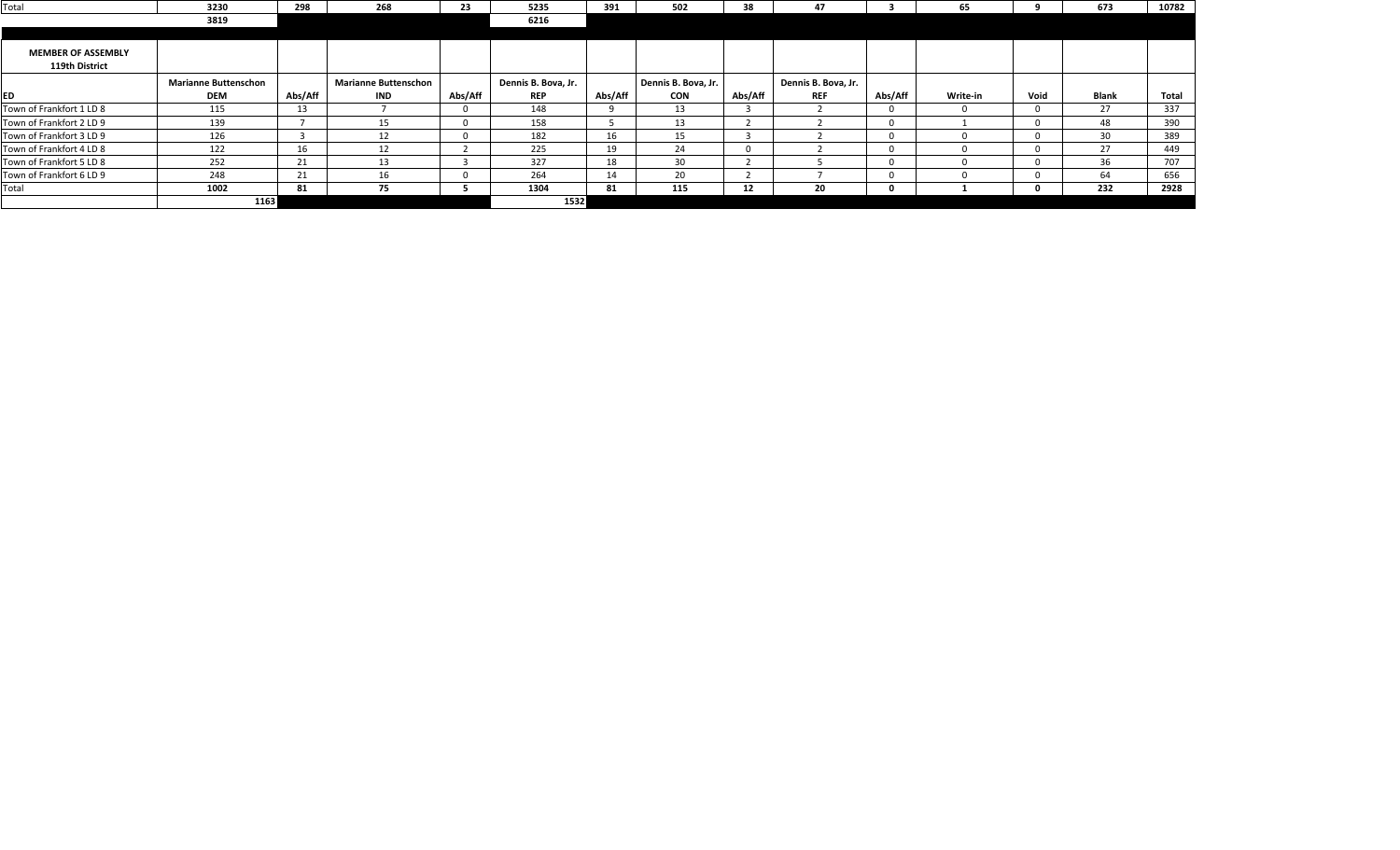| Total                     | 3230                        | 298     | 268                         | 23      | 5235                | 391     | 502                 | 38      | 47                  |         | 65       |      | 673          | 10782        |
|---------------------------|-----------------------------|---------|-----------------------------|---------|---------------------|---------|---------------------|---------|---------------------|---------|----------|------|--------------|--------------|
|                           | 3819                        |         |                             |         | 6216                |         |                     |         |                     |         |          |      |              |              |
|                           |                             |         |                             |         |                     |         |                     |         |                     |         |          |      |              |              |
| <b>MEMBER OF ASSEMBLY</b> |                             |         |                             |         |                     |         |                     |         |                     |         |          |      |              |              |
| 119th District            |                             |         |                             |         |                     |         |                     |         |                     |         |          |      |              |              |
|                           | <b>Marianne Buttenschon</b> |         | <b>Marianne Buttenschon</b> |         | Dennis B. Bova, Jr. |         | Dennis B. Bova, Jr. |         | Dennis B. Bova, Jr. |         |          |      |              |              |
| <b>ED</b>                 | <b>DEM</b>                  | Abs/Aff | <b>IND</b>                  | Abs/Aff | <b>REP</b>          | Abs/Aff | <b>CON</b>          | Abs/Aff | <b>REF</b>          | Abs/Aff | Write-in | Void | <b>Blank</b> | <b>Total</b> |
| Town of Frankfort 1 LD 8  | 115                         | 13      |                             |         | 148                 |         | 13                  |         |                     |         |          |      | 27           | 337          |
| Town of Frankfort 2 LD 9  | 139                         |         | 15                          |         | 158                 |         | 13                  |         |                     |         |          |      | 48           | 390          |
| Town of Frankfort 3 LD 9  | 126                         |         | 12                          |         | 182                 | 16      | 15                  |         |                     |         |          |      | 30           | 389          |
| Town of Frankfort 4 LD 8  | 122                         | 16      |                             |         | 225                 | 19      | 24                  |         |                     |         |          |      |              | 449          |
| Town of Frankfort 5 LD 8  | 252                         | 21      | 13                          |         | 327                 | 18      | 30 <sup>°</sup>     |         |                     |         |          |      | 36           | 707          |
| Town of Frankfort 6 LD 9  | 248                         | 21      |                             |         | 264                 | 14      | 20                  |         |                     |         |          |      |              | 656          |
| Total                     | 1002                        | 81      | 75                          |         | 1304                | 81      | 115                 | 12      | 20                  |         |          |      | 232          | 2928         |
|                           | 1163                        |         |                             |         | 1532                |         |                     |         |                     |         |          |      |              |              |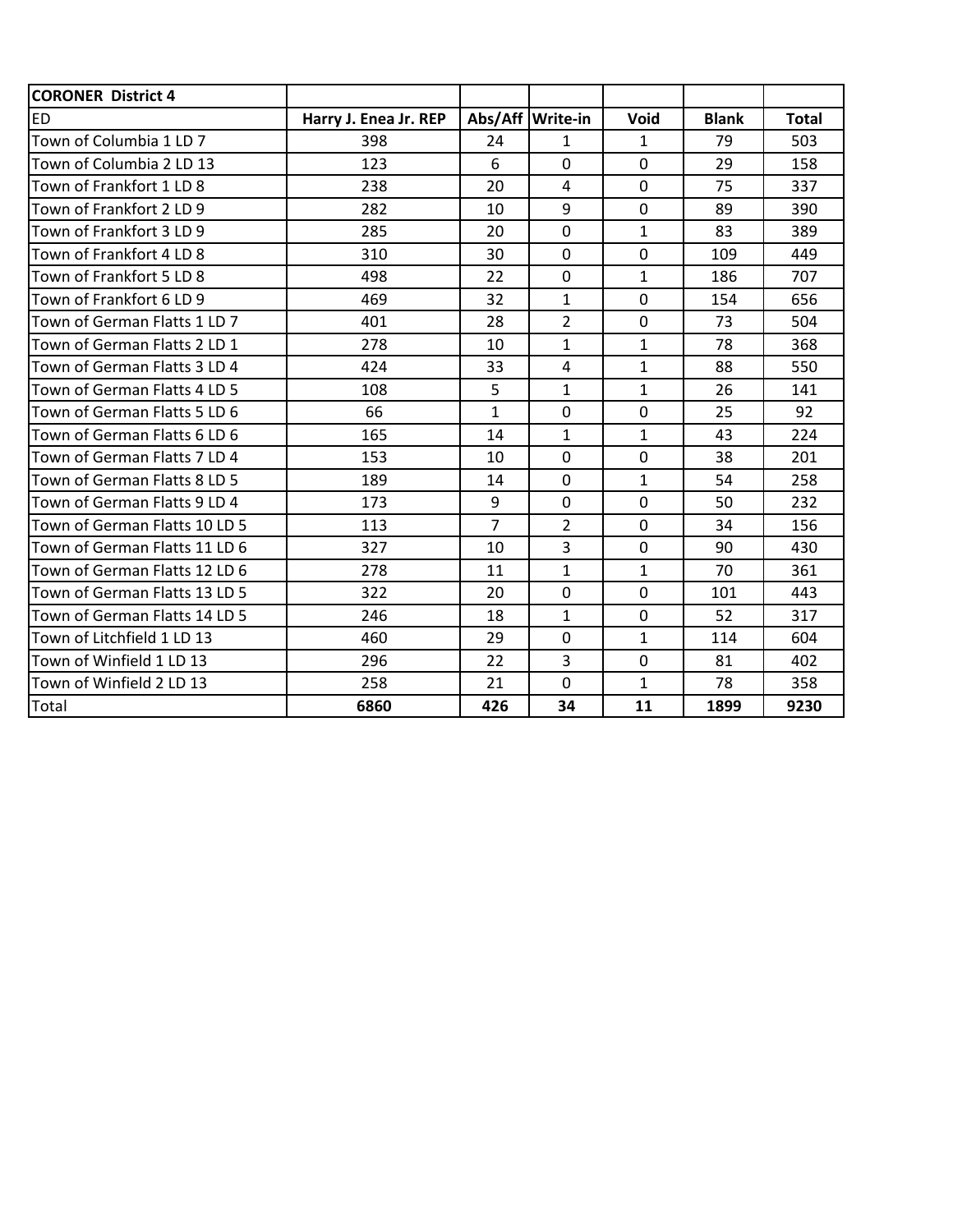| <b>CORONER District 4</b>     |                       |                |                    |                |              |              |
|-------------------------------|-----------------------|----------------|--------------------|----------------|--------------|--------------|
| <b>ED</b>                     | Harry J. Enea Jr. REP |                | Abs/Aff   Write-in | Void           | <b>Blank</b> | <b>Total</b> |
| Town of Columbia 1 LD 7       | 398                   | 24             | $\mathbf{1}$       | $\mathbf{1}$   | 79           | 503          |
| Town of Columbia 2 LD 13      | 123                   | 6              | $\overline{0}$     | $\overline{0}$ | 29           | 158          |
| Town of Frankfort 1 LD 8      | 238                   | 20             | 4                  | $\mathbf 0$    | 75           | 337          |
| Town of Frankfort 2 LD 9      | 282                   | 10             | 9                  | $\overline{0}$ | 89           | 390          |
| Town of Frankfort 3 LD 9      | 285                   | 20             | $\overline{0}$     | $\mathbf{1}$   | 83           | 389          |
| Town of Frankfort 4 LD 8      | 310                   | 30             | $\mathbf 0$        | $\mathbf 0$    | 109          | 449          |
| Town of Frankfort 5 LD 8      | 498                   | 22             | $\Omega$           | $\mathbf{1}$   | 186          | 707          |
| Town of Frankfort 6 LD 9      | 469                   | 32             | $\mathbf{1}$       | $\mathbf 0$    | 154          | 656          |
| Town of German Flatts 1 LD 7  | 401                   | 28             | $\overline{2}$     | $\mathbf 0$    | 73           | 504          |
| Town of German Flatts 2 LD 1  | 278                   | 10             | $\mathbf{1}$       | $\mathbf{1}$   | 78           | 368          |
| Town of German Flatts 3 LD 4  | 424                   | 33             | 4                  | $\mathbf{1}$   | 88           | 550          |
| Town of German Flatts 4 LD 5  | 108                   | 5              | $\mathbf{1}$       | $\mathbf{1}$   | 26           | 141          |
| Town of German Flatts 5 LD 6  | 66                    | $\mathbf{1}$   | $\overline{0}$     | $\overline{0}$ | 25           | 92           |
| Town of German Flatts 6 LD 6  | 165                   | 14             | $\mathbf{1}$       | $\mathbf{1}$   | 43           | 224          |
| Town of German Flatts 7 LD 4  | 153                   | 10             | $\overline{0}$     | $\mathbf 0$    | 38           | 201          |
| Town of German Flatts 8 LD 5  | 189                   | 14             | $\overline{0}$     | $\mathbf{1}$   | 54           | 258          |
| Town of German Flatts 9 LD 4  | 173                   | 9              | $\overline{0}$     | $\overline{0}$ | 50           | 232          |
| Town of German Flatts 10 LD 5 | 113                   | $\overline{7}$ | $\overline{2}$     | $\mathbf 0$    | 34           | 156          |
| Town of German Flatts 11 LD 6 | 327                   | 10             | $\overline{3}$     | $\mathbf 0$    | 90           | 430          |
| Town of German Flatts 12 LD 6 | 278                   | 11             | $\mathbf{1}$       | $\mathbf{1}$   | 70           | 361          |
| Town of German Flatts 13 LD 5 | 322                   | 20             | $\Omega$           | $\overline{0}$ | 101          | 443          |
| Town of German Flatts 14 LD 5 | 246                   | 18             | $\mathbf{1}$       | $\Omega$       | 52           | 317          |
| Town of Litchfield 1 LD 13    | 460                   | 29             | $\overline{0}$     | $\mathbf{1}$   | 114          | 604          |
| Town of Winfield 1 LD 13      | 296                   | 22             | $\overline{3}$     | $\overline{0}$ | 81           | 402          |
| Town of Winfield 2 LD 13      | 258                   | 21             | $\overline{0}$     | $\mathbf{1}$   | 78           | 358          |
| Total                         | 6860                  | 426            | 34                 | 11             | 1899         | 9230         |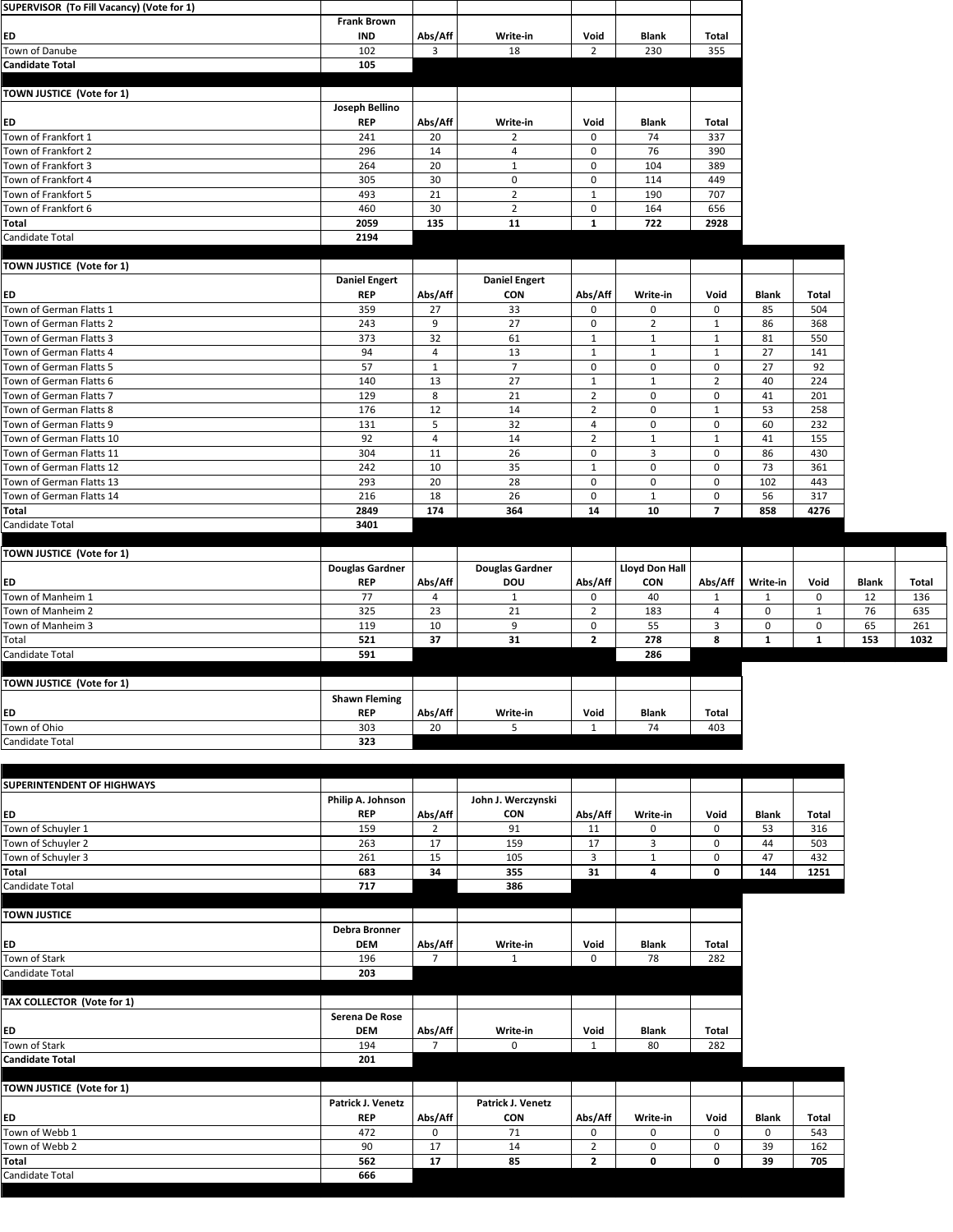| SUPERVISOR (To Fill Vacancy) (Vote for 1)          |                        |                |                        |                               |                             |                               |              |              |              |       |
|----------------------------------------------------|------------------------|----------------|------------------------|-------------------------------|-----------------------------|-------------------------------|--------------|--------------|--------------|-------|
|                                                    | <b>Frank Brown</b>     |                |                        |                               |                             |                               |              |              |              |       |
| <b>ED</b>                                          | <b>IND</b>             | Abs/Aff        | Write-in               | Void                          | <b>Blank</b>                | <b>Total</b>                  |              |              |              |       |
| Town of Danube                                     | 102                    | $\mathbf{3}$   | 18                     | $\overline{2}$                | 230                         | 355                           |              |              |              |       |
| <b>Candidate Total</b>                             | 105                    |                |                        |                               |                             |                               |              |              |              |       |
|                                                    |                        |                |                        |                               |                             |                               |              |              |              |       |
| <b>TOWN JUSTICE (Vote for 1)</b>                   |                        |                |                        |                               |                             |                               |              |              |              |       |
|                                                    | <b>Joseph Bellino</b>  |                |                        |                               |                             |                               |              |              |              |       |
| <b>ED</b>                                          | <b>REP</b>             | Abs/Aff        | Write-in               | Void                          | <b>Blank</b>                | <b>Total</b>                  |              |              |              |       |
| Town of Frankfort 1                                | 241                    | 20             | $\overline{2}$         | $\mathbf 0$                   | 74                          | 337                           |              |              |              |       |
| Town of Frankfort 2                                | 296                    | 14             | 4                      | 0                             | 76                          | 390                           |              |              |              |       |
| Town of Frankfort 3                                | 264                    | 20             | 1                      | 0                             | 104                         | 389                           |              |              |              |       |
| Town of Frankfort 4                                | 305                    | 30             | $\mathbf 0$            | $\mathbf 0$                   | 114                         | 449                           |              |              |              |       |
| Town of Frankfort 5                                | 493                    | 21             | $\overline{2}$         | 1                             | 190                         | 707                           |              |              |              |       |
| Town of Frankfort 6                                | 460                    | 30             | $\overline{2}$         | $\mathbf 0$                   | 164                         | 656                           |              |              |              |       |
| <b>Total</b>                                       | 2059                   | 135            | 11                     | $\mathbf{1}$                  | 722                         | 2928                          |              |              |              |       |
| <b>Candidate Total</b>                             | 2194                   |                |                        |                               |                             |                               |              |              |              |       |
|                                                    |                        |                |                        |                               |                             |                               |              |              |              |       |
| TOWN JUSTICE (Vote for 1)                          |                        |                |                        |                               |                             |                               |              |              |              |       |
|                                                    | <b>Daniel Engert</b>   |                | <b>Daniel Engert</b>   |                               |                             |                               |              |              |              |       |
| <b>ED</b><br>Town of German Flatts 1               | <b>REP</b>             | Abs/Aff        | <b>CON</b>             | Abs/Aff                       | Write-in                    | Void                          | <b>Blank</b> | <b>Total</b> |              |       |
|                                                    | 359                    | 27             | 33                     | 0                             | 0                           | $\mathbf 0$                   | 85           | 504          |              |       |
| Town of German Flatts 2                            | 243                    | 9              | 27                     | 0                             | $\overline{2}$              | $\mathbf 1$                   | 86           | 368          |              |       |
| Town of German Flatts 3<br>Town of German Flatts 4 | 373<br>94              | 32             | 61                     | 1                             | $\mathbf{1}$                | $\mathbf{1}$                  | 81<br>27     | 550          |              |       |
| Town of German Flatts 5                            | 57                     | $\overline{4}$ | 13<br>$\overline{7}$   | $\mathbf{1}$                  | $\mathbf{1}$                | $\mathbf{1}$                  | 27           | 141<br>92    |              |       |
| Town of German Flatts 6                            | 140                    | 1<br>13        | 27                     | 0                             | $\mathbf 0$<br>$\mathbf{1}$ | $\mathbf 0$<br>$\overline{2}$ | 40           | 224          |              |       |
| Town of German Flatts 7                            | 129                    | 8              | 21                     | $\mathbf 1$<br>$\overline{2}$ | $\mathbf 0$                 | 0                             | 41           | 201          |              |       |
| Town of German Flatts 8                            | 176                    | 12             | 14                     | $\overline{2}$                | $\mathbf 0$                 | $\mathbf{1}$                  | 53           | 258          |              |       |
| Town of German Flatts 9                            | 131                    | 5              | 32                     | 4                             | 0                           | 0                             | 60           | 232          |              |       |
| Town of German Flatts 10                           | 92                     | $\overline{4}$ | 14                     | $\overline{2}$                | $\mathbf{1}$                | $\mathbf{1}$                  | 41           | 155          |              |       |
| Town of German Flatts 11                           | 304                    | 11             | 26                     | $\mathbf 0$                   | $\mathbf{3}$                | $\mathbf 0$                   | 86           | 430          |              |       |
| Town of German Flatts 12                           | 242                    | 10             | 35                     | $\mathbf 1$                   | $\mathbf 0$                 | 0                             | 73           | 361          |              |       |
| Town of German Flatts 13                           | 293                    | 20             | 28                     | $\mathbf 0$                   | $\mathbf 0$                 | $\mathbf 0$                   | 102          | 443          |              |       |
| Town of German Flatts 14                           | 216                    | 18             | 26                     | $\mathbf 0$                   | $\mathbf{1}$                | $\mathbf 0$                   | 56           | 317          |              |       |
| <b>Total</b>                                       | 2849                   | 174            | 364                    | 14                            | 10                          | $\overline{\mathbf{z}}$       | 858          | 4276         |              |       |
| Candidate Total                                    | 3401                   |                |                        |                               |                             |                               |              |              |              |       |
|                                                    |                        |                |                        |                               |                             |                               |              |              |              |       |
| TOWN JUSTICE (Vote for 1)                          |                        |                |                        |                               |                             |                               |              |              |              |       |
|                                                    | <b>Douglas Gardner</b> |                | <b>Douglas Gardner</b> |                               | <b>Lloyd Don Hall</b>       |                               |              |              |              |       |
| <b>ED</b>                                          | <b>REP</b>             | Abs/Aff        | <b>DOU</b>             | Abs/Aff                       | <b>CON</b>                  | Abs/Aff                       | Write-in     | Void         | <b>Blank</b> | Total |
| Town of Manheim 1                                  | 77                     | 4              | $\mathbf{1}$           | 0                             | 40                          | $\mathbf{1}$                  | 1            | $\mathbf 0$  | 12           | 136   |
| Town of Manheim 2                                  | 325                    | 23             | 21                     | $\overline{2}$                | 183                         | $\overline{4}$                | 0            | 1            | 76           | 635   |
| Town of Manheim 3                                  | 119                    | 10             | 9                      | $\mathbf 0$                   | 55                          | 3                             | $\mathbf 0$  | $\mathbf 0$  | 65           | 261   |
| Total                                              | 521                    | 37             | 31                     | $\overline{2}$                | 278                         | 8                             | 1            | $\mathbf{1}$ | 153          | 1032  |
| Candidate Total                                    | 591                    |                |                        |                               | 286                         |                               |              |              |              |       |
|                                                    |                        |                |                        |                               |                             |                               |              |              |              |       |
| <b>TOWN JUSTICE (Vote for 1)</b>                   |                        |                |                        |                               |                             |                               |              |              |              |       |
|                                                    | <b>Shawn Fleming</b>   |                |                        |                               |                             |                               |              |              |              |       |
| <b>ED</b>                                          | <b>REP</b>             | Abs/Aff        | Write-in               | Void                          | <b>Blank</b>                | <b>Total</b>                  |              |              |              |       |
| Town of Ohio                                       | 303                    | 20             | 5                      | $\mathbf{1}$                  | 74                          | 403                           |              |              |              |       |
| Candidate Total                                    | 323                    |                |                        |                               |                             |                               |              |              |              |       |
|                                                    |                        |                |                        |                               |                             |                               |              |              |              |       |

| <b>SUPERINTENDENT OF HIGHWAYS</b> |                          |                |                    |                |                         |              |              |              |
|-----------------------------------|--------------------------|----------------|--------------------|----------------|-------------------------|--------------|--------------|--------------|
|                                   | Philip A. Johnson        |                | John J. Werczynski |                |                         |              |              |              |
| ED                                | <b>REP</b>               | Abs/Aff        | <b>CON</b>         | Abs/Aff        | Write-in                | Void         | <b>Blank</b> | <b>Total</b> |
| Town of Schuyler 1                | 159                      | $\overline{2}$ | 91                 | 11             | $\mathbf 0$             | 0            | 53           | 316          |
| Town of Schuyler 2                | 263                      | 17             | 159                | 17             | 3                       | 0            | 44           | 503          |
| Town of Schuyler 3                | 261                      | 15             | 105                | $\mathbf{3}$   | $\mathbf{1}$            | 0            | 47           | 432          |
| <b>Total</b>                      | 683                      | 34             | 355                | 31             | $\overline{\mathbf{4}}$ | 0            | 144          | 1251         |
| <b>Candidate Total</b>            | 717                      |                | 386                |                |                         |              |              |              |
| <b>TOWN JUSTICE</b>               |                          |                |                    |                |                         |              |              |              |
|                                   | <b>Debra Bronner</b>     |                |                    |                |                         |              |              |              |
| <b>ED</b>                         | <b>DEM</b>               | Abs/Aff        | Write-in           | Void           | <b>Blank</b>            | <b>Total</b> |              |              |
| Town of Stark                     | 196                      | $\overline{7}$ | $\mathbf{1}$       | $\mathbf{0}$   | 78                      | 282          |              |              |
| <b>Candidate Total</b>            | 203                      |                |                    |                |                         |              |              |              |
| TAX COLLECTOR (Vote for 1)        |                          |                |                    |                |                         |              |              |              |
|                                   | Serena De Rose           |                |                    |                |                         |              |              |              |
| ED                                | <b>DEM</b>               | Abs/Aff        | Write-in           | Void           | <b>Blank</b>            | <b>Total</b> |              |              |
| Town of Stark                     | 194                      | $\overline{7}$ | 0                  | $\mathbf{1}$   | 80                      | 282          |              |              |
| <b>Candidate Total</b>            | 201                      |                |                    |                |                         |              |              |              |
|                                   |                          |                |                    |                |                         |              |              |              |
| <b>TOWN JUSTICE (Vote for 1)</b>  |                          |                |                    |                |                         |              |              |              |
|                                   | <b>Patrick J. Venetz</b> |                | Patrick J. Venetz  |                |                         |              |              |              |
| ED                                | <b>REP</b>               | Abs/Aff        | <b>CON</b>         | Abs/Aff        | Write-in                | Void         | <b>Blank</b> | <b>Total</b> |
| Town of Webb 1                    | 472                      | $\mathbf{0}$   | 71                 | $\mathbf 0$    | $\mathbf 0$             | $\mathbf 0$  | $\mathbf 0$  | 543          |
| Town of Webb 2                    | 90                       | 17             | 14                 | $\overline{2}$ | 0                       | 0            | 39           | 162          |
| <b>Total</b>                      | 562                      | 17             | 85                 | $\overline{2}$ | $\mathbf 0$             | $\mathbf 0$  | 39           | 705          |
| <b>Candidate Total</b>            | 666                      |                |                    |                |                         |              |              |              |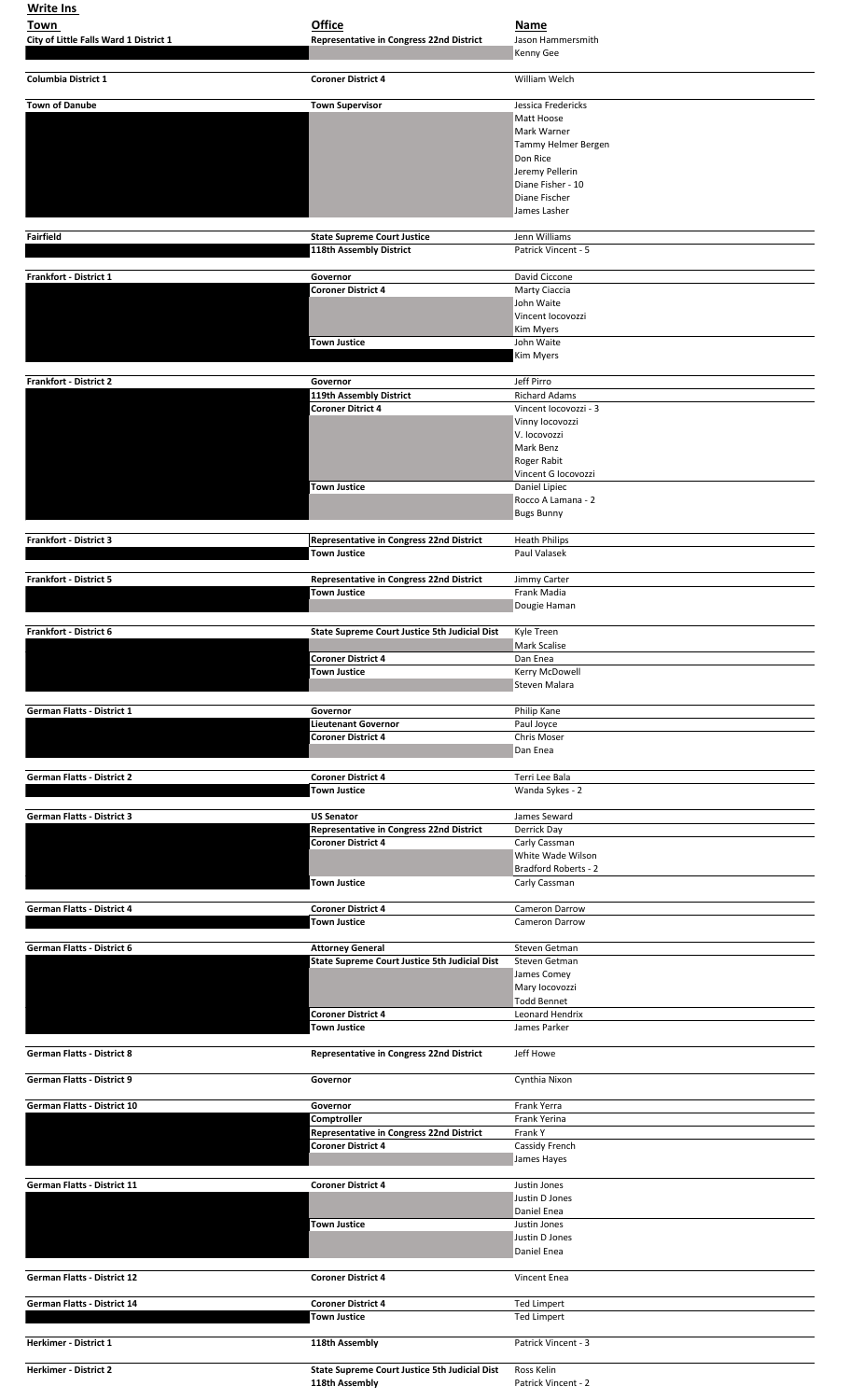| <b>Write Ins</b>                       |                                                                        |                                               |
|----------------------------------------|------------------------------------------------------------------------|-----------------------------------------------|
| Town                                   | <b>Office</b>                                                          | <b>Name</b>                                   |
| City of Little Falls Ward 1 District 1 | <b>Representative in Congress 22nd District</b>                        | Jason Hammersmith<br>Kenny Gee                |
|                                        |                                                                        |                                               |
| <b>Columbia District 1</b>             | <b>Coroner District 4</b>                                              | William Welch                                 |
| <b>Town of Danube</b>                  | <b>Town Supervisor</b>                                                 | Jessica Fredericks                            |
|                                        |                                                                        | Matt Hoose<br>Mark Warner                     |
|                                        |                                                                        | Tammy Helmer Bergen                           |
|                                        |                                                                        | Don Rice                                      |
|                                        |                                                                        | Jeremy Pellerin<br>Diane Fisher - 10          |
|                                        |                                                                        | Diane Fischer                                 |
|                                        |                                                                        | James Lasher                                  |
| <b>Fairfield</b>                       | <b>State Supreme Court Justice</b>                                     | Jenn Williams                                 |
|                                        | 118th Assembly District                                                | Patrick Vincent - 5                           |
| <b>Frankfort - District 1</b>          | Governor                                                               | David Ciccone                                 |
|                                        | <b>Coroner District 4</b>                                              | Marty Ciaccia                                 |
|                                        |                                                                        | John Waite<br>Vincent locovozzi               |
|                                        |                                                                        | Kim Myers                                     |
|                                        | <b>Town Justice</b>                                                    | John Waite                                    |
|                                        |                                                                        | <b>Kim Myers</b>                              |
| <b>Frankfort - District 2</b>          | Governor                                                               | Jeff Pirro                                    |
|                                        | 119th Assembly District<br><b>Coroner Ditrict 4</b>                    | <b>Richard Adams</b><br>Vincent locovozzi - 3 |
|                                        |                                                                        | Vinny locovozzi                               |
|                                        |                                                                        | V. locovozzi<br>Mark Benz                     |
|                                        |                                                                        | Roger Rabit                                   |
|                                        |                                                                        | Vincent G locovozzi                           |
|                                        | <b>Town Justice</b>                                                    | Daniel Lipiec<br>Rocco A Lamana - 2           |
|                                        |                                                                        | <b>Bugs Bunny</b>                             |
| <b>Frankfort - District 3</b>          | Representative in Congress 22nd District                               | <b>Heath Philips</b>                          |
|                                        | <b>Town Justice</b>                                                    | Paul Valasek                                  |
|                                        |                                                                        |                                               |
| <b>Frankfort - District 5</b>          | <b>Representative in Congress 22nd District</b><br><b>Town Justice</b> | Jimmy Carter<br>Frank Madia                   |
|                                        |                                                                        | Dougie Haman                                  |
| <b>Frankfort - District 6</b>          | <b>State Supreme Court Justice 5th Judicial Dist</b>                   | Kyle Treen                                    |
|                                        |                                                                        | Mark Scalise                                  |
|                                        | <b>Coroner District 4</b>                                              | Dan Enea                                      |
|                                        | <b>Town Justice</b>                                                    | Kerry McDowell<br>Steven Malara               |
|                                        |                                                                        |                                               |
| <b>German Flatts - District 1</b>      | Governor<br><b>Lieutenant Governor</b>                                 | Philip Kane<br>Paul Joyce                     |
|                                        | <b>Coroner District 4</b>                                              | Chris Moser                                   |
|                                        |                                                                        | Dan Enea                                      |
| <b>German Flatts - District 2</b>      | <b>Coroner District 4</b>                                              | Terri Lee Bala                                |
|                                        | <b>Town Justice</b>                                                    | Wanda Sykes - 2                               |
| <b>German Flatts - District 3</b>      | <b>US Senator</b>                                                      | James Seward                                  |
|                                        | <b>Representative in Congress 22nd District</b>                        | Derrick Day                                   |
|                                        | <b>Coroner District 4</b>                                              | Carly Cassman<br>White Wade Wilson            |
|                                        |                                                                        | <b>Bradford Roberts - 2</b>                   |
|                                        | <b>Town Justice</b>                                                    | Carly Cassman                                 |
| <b>German Flatts - District 4</b>      | <b>Coroner District 4</b>                                              | <b>Cameron Darrow</b>                         |
|                                        | <b>Town Justice</b>                                                    | <b>Cameron Darrow</b>                         |
| <b>German Flatts - District 6</b>      | <b>Attorney General</b>                                                | Steven Getman                                 |
|                                        | <b>State Supreme Court Justice 5th Judicial Dist</b>                   | Steven Getman                                 |
|                                        |                                                                        | James Comey<br>Mary locovozzi                 |
|                                        |                                                                        | <b>Todd Bennet</b>                            |
|                                        | <b>Coroner District 4</b><br><b>Town Justice</b>                       | Leonard Hendrix<br>James Parker               |
|                                        |                                                                        |                                               |
| <b>German Flatts - District 8</b>      | <b>Representative in Congress 22nd District</b>                        | Jeff Howe                                     |
| <b>German Flatts - District 9</b>      | Governor                                                               | Cynthia Nixon                                 |
|                                        |                                                                        |                                               |
| <b>German Flatts - District 10</b>     | Governor<br>Comptroller                                                | Frank Yerra<br>Frank Yerina                   |
|                                        | <b>Representative in Congress 22nd District</b>                        | Frank Y                                       |
|                                        | <b>Coroner District 4</b>                                              | Cassidy French<br>James Hayes                 |
|                                        |                                                                        |                                               |
| <b>German Flatts - District 11</b>     | <b>Coroner District 4</b>                                              | Justin Jones<br>Justin D Jones                |
|                                        |                                                                        | Daniel Enea                                   |
|                                        | <b>Town Justice</b>                                                    | Justin Jones                                  |
|                                        |                                                                        | Justin D Jones<br>Daniel Enea                 |
|                                        |                                                                        |                                               |
| <b>German Flatts - District 12</b>     | <b>Coroner District 4</b>                                              | Vincent Enea                                  |
| <b>German Flatts - District 14</b>     | <b>Coroner District 4</b>                                              | <b>Ted Limpert</b>                            |
|                                        | <b>Town Justice</b>                                                    | <b>Ted Limpert</b>                            |
| <b>Herkimer - District 1</b>           | 118th Assembly                                                         | Patrick Vincent - 3                           |
|                                        |                                                                        |                                               |
| <b>Herkimer - District 2</b>           | <b>State Supreme Court Justice 5th Judicial Dist</b><br>118th Assembly | Ross Kelin<br>Patrick Vincent - 2             |